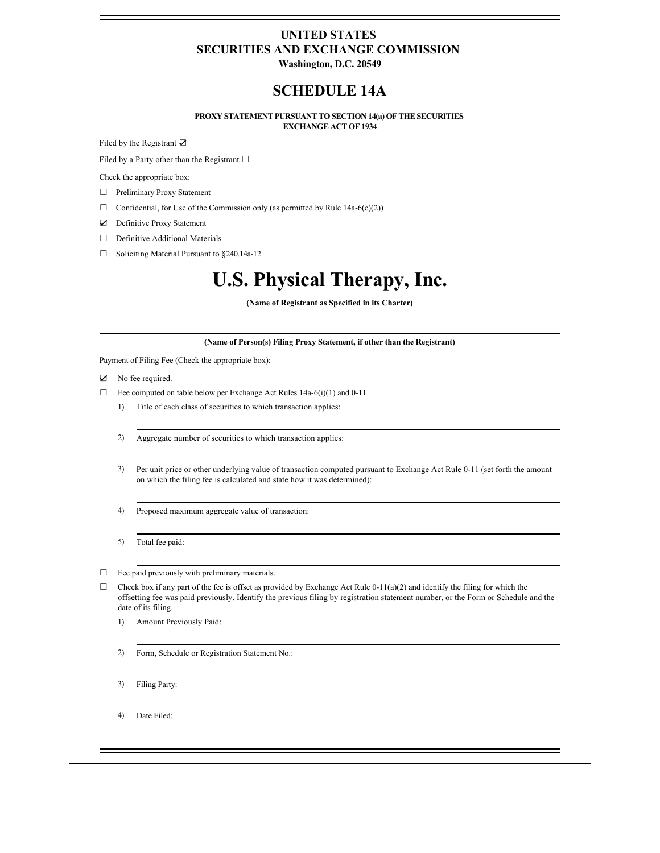# **UNITED STATES SECURITIES AND EXCHANGE COMMISSION**

**Washington, D.C. 20549**

# **SCHEDULE 14A**

### **PROXY STATEMENT PURSUANT TO SECTION 14(a) OF THE SECURITIES EXCHANGE ACT OF 1934**

Filed by the Registrant ☑

Filed by a Party other than the Registrant  $□$ 

Check the appropriate box:

- ☐ Preliminary Proxy Statement
- $\Box$  Confidential, for Use of the Commission only (as permitted by Rule 14a-6(e)(2))
- ☑ Definitive Proxy Statement
- □ Definitive Additional Materials
- ☐ Soliciting Material Pursuant to §240.14a-12

# **U.S. Physical Therapy, Inc.**

**(Name of Registrant as Specified in its Charter)**

### **(Name of Person(s) Filing Proxy Statement, if other than the Registrant)**

Payment of Filing Fee (Check the appropriate box):

- ☑ No fee required.
- $\Box$  Fee computed on table below per Exchange Act Rules 14a-6(i)(1) and 0-11.
	- 1) Title of each class of securities to which transaction applies:
	- 2) Aggregate number of securities to which transaction applies:
	- 3) Per unit price or other underlying value of transaction computed pursuant to Exchange Act Rule 0-11 (set forth the amount on which the filing fee is calculated and state how it was determined):
	- 4) Proposed maximum aggregate value of transaction:
	- 5) Total fee paid:
- ☐ Fee paid previously with preliminary materials.
- $\Box$  Check box if any part of the fee is offset as provided by Exchange Act Rule 0-11(a)(2) and identify the filing for which the offsetting fee was paid previously. Identify the previous filing by registration statement number, or the Form or Schedule and the date of its filing.
	- 1) Amount Previously Paid:
	- 2) Form, Schedule or Registration Statement No.:
	- 3) Filing Party:
	- 4) Date Filed: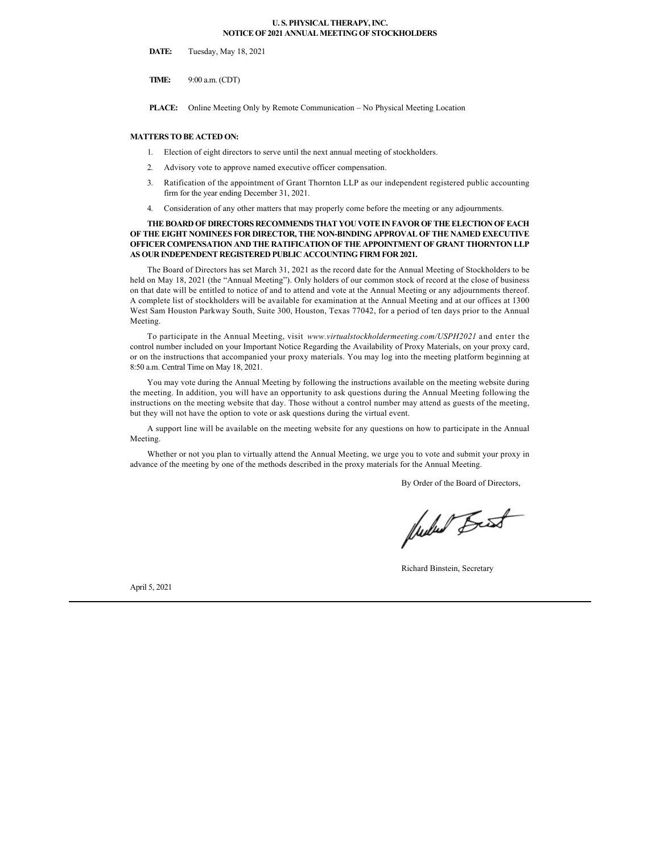### **U. S. PHYSICAL THERAPY, INC. NOTICE OF 2021 ANNUAL MEETING OF STOCKHOLDERS**

**DATE:** Tuesday, May 18, 2021

**TIME:** 9:00 a.m. (CDT)

**PLACE:** Online Meeting Only by Remote Communication – No Physical Meeting Location

### **MATTERS TO BE ACTED ON:**

- 1. Election of eight directors to serve until the next annual meeting of stockholders.
- 2. Advisory vote to approve named executive officer compensation.
- 3. Ratification of the appointment of Grant Thornton LLP as our independent registered public accounting firm for the year ending December 31, 2021.
- 4. Consideration of any other matters that may properly come before the meeting or any adjournments.

### **THE BOARD OF DIRECTORS RECOMMENDS THAT YOU VOTE IN FAVOR OF THE ELECTION OF EACH OF THE EIGHT NOMINEES FOR DIRECTOR, THE NON-BINDING APPROVAL OF THE NAMED EXECUTIVE OFFICER COMPENSATION AND THE RATIFICATION OF THE APPOINTMENT OF GRANT THORNTON LLP AS OUR INDEPENDENT REGISTERED PUBLIC ACCOUNTING FIRM FOR 2021.**

The Board of Directors has set March 31, 2021 as the record date for the Annual Meeting of Stockholders to be held on May 18, 2021 (the "Annual Meeting"). Only holders of our common stock of record at the close of business on that date will be entitled to notice of and to attend and vote at the Annual Meeting or any adjournments thereof. A complete list of stockholders will be available for examination at the Annual Meeting and at our offices at 1300 West Sam Houston Parkway South, Suite 300, Houston, Texas 77042, for a period of ten days prior to the Annual Meeting.

To participate in the Annual Meeting, visit *www.virtualstockholdermeeting.com/USPH2021* and enter the control number included on your Important Notice Regarding the Availability of Proxy Materials, on your proxy card, or on the instructions that accompanied your proxy materials. You may log into the meeting platform beginning at 8:50 a.m. Central Time on May 18, 2021.

You may vote during the Annual Meeting by following the instructions available on the meeting website during the meeting. In addition, you will have an opportunity to ask questions during the Annual Meeting following the instructions on the meeting website that day. Those without a control number may attend as guests of the meeting, but they will not have the option to vote or ask questions during the virtual event.

A support line will be available on the meeting website for any questions on how to participate in the Annual Meeting.

Whether or not you plan to virtually attend the Annual Meeting, we urge you to vote and submit your proxy in advance of the meeting by one of the methods described in the proxy materials for the Annual Meeting.

By Order of the Board of Directors,

fuctured Beat

Richard Binstein, Secretary

April 5, 2021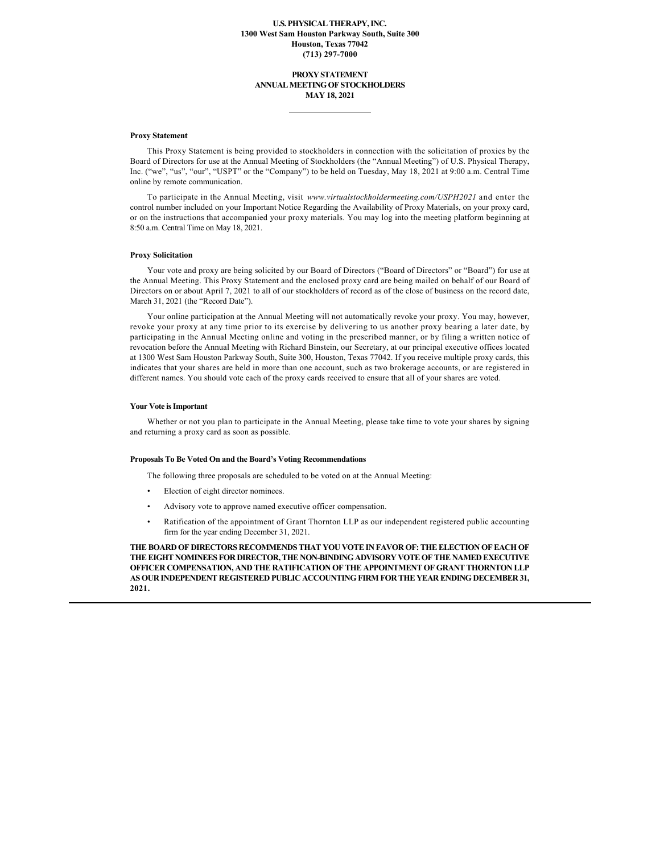### **U.S. PHYSICAL THERAPY, INC. 1300 West Sam Houston Parkway South, Suite 300 Houston, Texas 77042 (713) 297-7000**

### **PROXY STATEMENT ANNUAL MEETING OF STOCKHOLDERS MAY 18, 2021**

#### **Proxy Statement**

This Proxy Statement is being provided to stockholders in connection with the solicitation of proxies by the Board of Directors for use at the Annual Meeting of Stockholders (the "Annual Meeting") of U.S. Physical Therapy, Inc. ("we", "us", "our", "USPT" or the "Company") to be held on Tuesday, May 18, 2021 at 9:00 a.m. Central Time online by remote communication.

To participate in the Annual Meeting, visit *www.virtualstockholdermeeting.com/USPH2021* and enter the control number included on your Important Notice Regarding the Availability of Proxy Materials, on your proxy card, or on the instructions that accompanied your proxy materials. You may log into the meeting platform beginning at 8:50 a.m. Central Time on May 18, 2021.

#### **Proxy Solicitation**

Your vote and proxy are being solicited by our Board of Directors ("Board of Directors" or "Board") for use at the Annual Meeting. This Proxy Statement and the enclosed proxy card are being mailed on behalf of our Board of Directors on or about April 7, 2021 to all of our stockholders of record as of the close of business on the record date, March 31, 2021 (the "Record Date").

Your online participation at the Annual Meeting will not automatically revoke your proxy. You may, however, revoke your proxy at any time prior to its exercise by delivering to us another proxy bearing a later date, by participating in the Annual Meeting online and voting in the prescribed manner, or by filing a written notice of revocation before the Annual Meeting with Richard Binstein, our Secretary, at our principal executive offices located at 1300 West Sam Houston Parkway South, Suite 300, Houston, Texas 77042. If you receive multiple proxy cards, this indicates that your shares are held in more than one account, such as two brokerage accounts, or are registered in different names. You should vote each of the proxy cards received to ensure that all of your shares are voted.

#### **Your Vote is Important**

Whether or not you plan to participate in the Annual Meeting, please take time to vote your shares by signing and returning a proxy card as soon as possible.

#### **Proposals To Be Voted On and the Board's Voting Recommendations**

The following three proposals are scheduled to be voted on at the Annual Meeting:

- Election of eight director nominees.
- Advisory vote to approve named executive officer compensation.
- Ratification of the appointment of Grant Thornton LLP as our independent registered public accounting firm for the year ending December 31, 2021.

**THE BOARD OF DIRECTORS RECOMMENDS THAT YOU VOTE IN FAVOR OF: THE ELECTION OF EACH OF THE EIGHT NOMINEES FOR DIRECTOR, THE NON-BINDING ADVISORY VOTE OF THE NAMED EXECUTIVE OFFICER COMPENSATION, AND THE RATIFICATION OF THE APPOINTMENT OF GRANT THORNTON LLP AS OUR INDEPENDENT REGISTERED PUBLIC ACCOUNTING FIRM FOR THE YEAR ENDING DECEMBER 31, 2021.**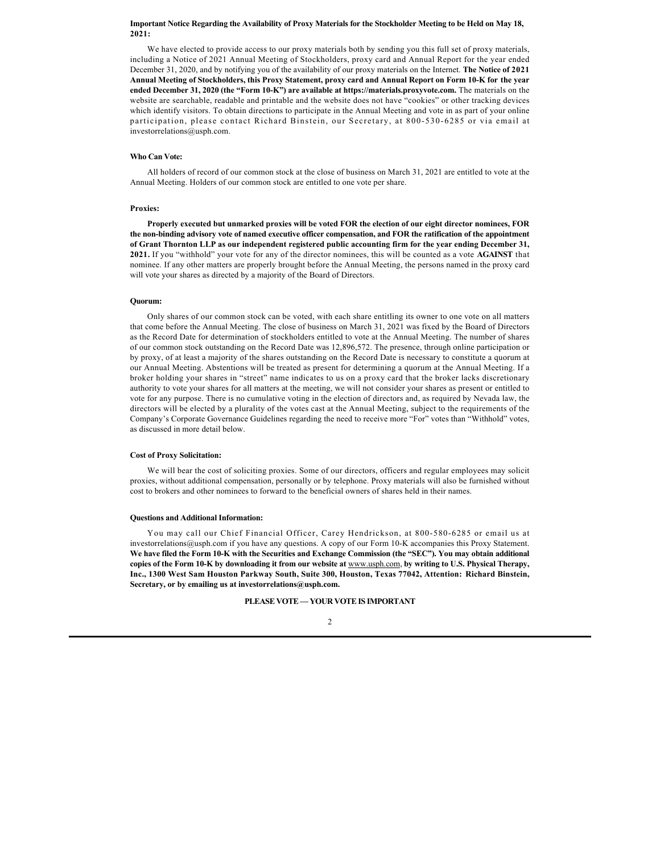### **Important Notice Regarding the Availability of Proxy Materials for the Stockholder Meeting to be Held on May 18, 2021:**

We have elected to provide access to our proxy materials both by sending you this full set of proxy materials, including a Notice of 2021 Annual Meeting of Stockholders, proxy card and Annual Report for the year ended December 31, 2020, and by notifying you of the availability of our proxy materials on the Internet. **The Notice of 2021 Annual Meeting of Stockholders, this Proxy Statement, proxy card and Annual Report on Form 10-K for the year ended December 31, 2020 (the "Form 10-K") are available at https://materials.proxyvote.com.** The materials on the website are searchable, readable and printable and the website does not have "cookies" or other tracking devices which identify visitors. To obtain directions to participate in the Annual Meeting and vote in as part of your online participation, please contact Richard Binstein, our Secretary, at 800-530-6285 or via email at investorrelations@usph.com.

### **Who Can Vote:**

All holders of record of our common stock at the close of business on March 31, 2021 are entitled to vote at the Annual Meeting. Holders of our common stock are entitled to one vote per share.

#### **Proxies:**

**Properly executed but unmarked proxies will be voted FOR the election of our eight director nominees, FOR the non-binding advisory vote of named executive officer compensation, and FOR the ratification of the appointment of Grant Thornton LLP as our independent registered public accounting firm for the year ending December 31, 2021.** If you "withhold" your vote for any of the director nominees, this will be counted as a vote **AGAINST** that nominee. If any other matters are properly brought before the Annual Meeting, the persons named in the proxy card will vote your shares as directed by a majority of the Board of Directors.

#### **Quorum:**

Only shares of our common stock can be voted, with each share entitling its owner to one vote on all matters that come before the Annual Meeting. The close of business on March 31, 2021 was fixed by the Board of Directors as the Record Date for determination of stockholders entitled to vote at the Annual Meeting. The number of shares of our common stock outstanding on the Record Date was 12,896,572. The presence, through online participation or by proxy, of at least a majority of the shares outstanding on the Record Date is necessary to constitute a quorum at our Annual Meeting. Abstentions will be treated as present for determining a quorum at the Annual Meeting. If a broker holding your shares in "street" name indicates to us on a proxy card that the broker lacks discretionary authority to vote your shares for all matters at the meeting, we will not consider your shares as present or entitled to vote for any purpose. There is no cumulative voting in the election of directors and, as required by Nevada law, the directors will be elected by a plurality of the votes cast at the Annual Meeting, subject to the requirements of the Company's Corporate Governance Guidelines regarding the need to receive more "For" votes than "Withhold" votes, as discussed in more detail below.

### **Cost of Proxy Solicitation:**

We will bear the cost of soliciting proxies. Some of our directors, officers and regular employees may solicit proxies, without additional compensation, personally or by telephone. Proxy materials will also be furnished without cost to brokers and other nominees to forward to the beneficial owners of shares held in their names.

### **Questions and Additional Information:**

You may call our Chief Financial Officer, Carey Hendrickson, at 800-580-6285 or email us at investorrelations@usph.com if you have any questions. A copy of our Form 10-K accompanies this Proxy Statement. **We have filed the Form 10-K with the Securities and Exchange Commission (the "SEC"). You may obtain additional copies of the Form 10-K by downloading it from our website at** www.usph.com, **by writing to U.S. Physical Therapy, Inc., 1300 West Sam Houston Parkway South, Suite 300, Houston, Texas 77042, Attention: Richard Binstein, Secretary, or by emailing us at investorrelations@usph.com.**

**PLEASE VOTE — YOUR VOTE IS IMPORTANT**

### $\overline{2}$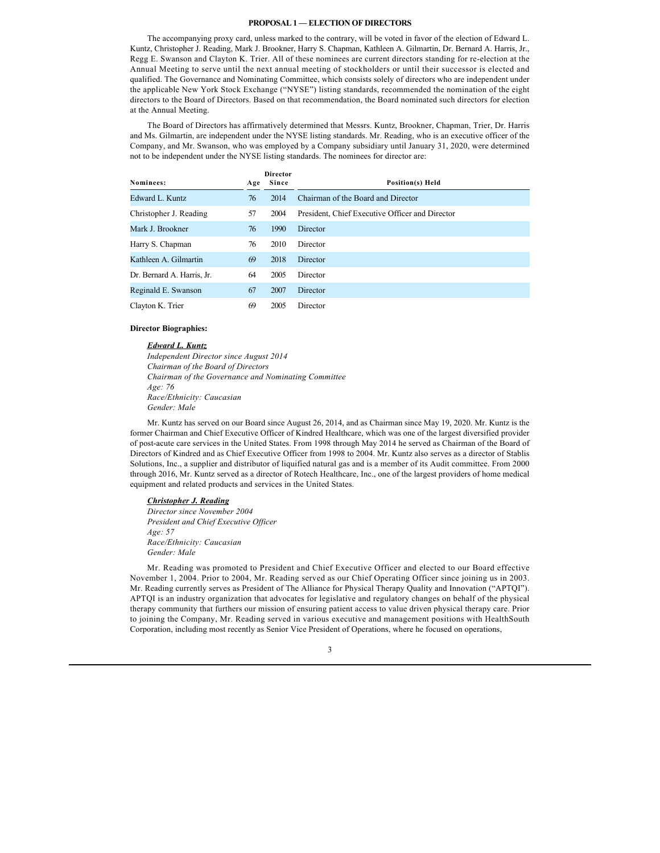### **PROPOSAL 1 — ELECTION OF DIRECTORS**

The accompanying proxy card, unless marked to the contrary, will be voted in favor of the election of Edward L. Kuntz, Christopher J. Reading, Mark J. Brookner, Harry S. Chapman, Kathleen A. Gilmartin, Dr. Bernard A. Harris, Jr., Regg E. Swanson and Clayton K. Trier. All of these nominees are current directors standing for re-election at the Annual Meeting to serve until the next annual meeting of stockholders or until their successor is elected and qualified. The Governance and Nominating Committee, which consists solely of directors who are independent under the applicable New York Stock Exchange ("NYSE") listing standards, recommended the nomination of the eight directors to the Board of Directors. Based on that recommendation, the Board nominated such directors for election at the Annual Meeting.

The Board of Directors has affirmatively determined that Messrs. Kuntz, Brookner, Chapman, Trier, Dr. Harris and Ms. Gilmartin, are independent under the NYSE listing standards. Mr. Reading, who is an executive officer of the Company, and Mr. Swanson, who was employed by a Company subsidiary until January 31, 2020, were determined not to be independent under the NYSE listing standards. The nominees for director are:

| Nominees:                  | Age | <b>Director</b><br>Since | Position(s) Held                                |
|----------------------------|-----|--------------------------|-------------------------------------------------|
| Edward L. Kuntz            | 76  | 2014                     | Chairman of the Board and Director              |
| Christopher J. Reading     | 57  | 2004                     | President, Chief Executive Officer and Director |
| Mark J. Brookner           | 76  | 1990                     | Director                                        |
| Harry S. Chapman           | 76  | 2010                     | Director                                        |
| Kathleen A. Gilmartin      | 69  | 2018                     | Director                                        |
| Dr. Bernard A. Harris, Jr. | 64  | 2005                     | Director                                        |
| Reginald E. Swanson        | 67  | 2007                     | Director                                        |
| Clayton K. Trier           | 69  | 2005                     | Director                                        |

#### **Director Biographies:**

#### *Edward L. Kuntz*

*Independent Director since August 2014 Chairman of the Board of Directors Chairman of the Governance and Nominating Committee Age: 76 Race/Ethnicity: Caucasian Gender: Male*

Mr. Kuntz has served on our Board since August 26, 2014, and as Chairman since May 19, 2020. Mr. Kuntz is the former Chairman and Chief Executive Officer of Kindred Healthcare, which was one of the largest diversified provider of post-acute care services in the United States. From 1998 through May 2014 he served as Chairman of the Board of Directors of Kindred and as Chief Executive Officer from 1998 to 2004. Mr. Kuntz also serves as a director of Stablis Solutions, Inc., a supplier and distributor of liquified natural gas and is a member of its Audit committee. From 2000 through 2016, Mr. Kuntz served as a director of Rotech Healthcare, Inc., one of the largest providers of home medical equipment and related products and services in the United States.

### *Christopher J. Reading*

*Director since November 2004 President and Chief Executive Officer Age: 57 Race/Ethnicity: Caucasian Gender: Male*

Mr. Reading was promoted to President and Chief Executive Officer and elected to our Board effective November 1, 2004. Prior to 2004, Mr. Reading served as our Chief Operating Officer since joining us in 2003. Mr. Reading currently serves as President of The Alliance for Physical Therapy Quality and Innovation ("APTQI"). APTQI is an industry organization that advocates for legislative and regulatory changes on behalf of the physical therapy community that furthers our mission of ensuring patient access to value driven physical therapy care. Prior to joining the Company, Mr. Reading served in various executive and management positions with HealthSouth Corporation, including most recently as Senior Vice President of Operations, where he focused on operations,

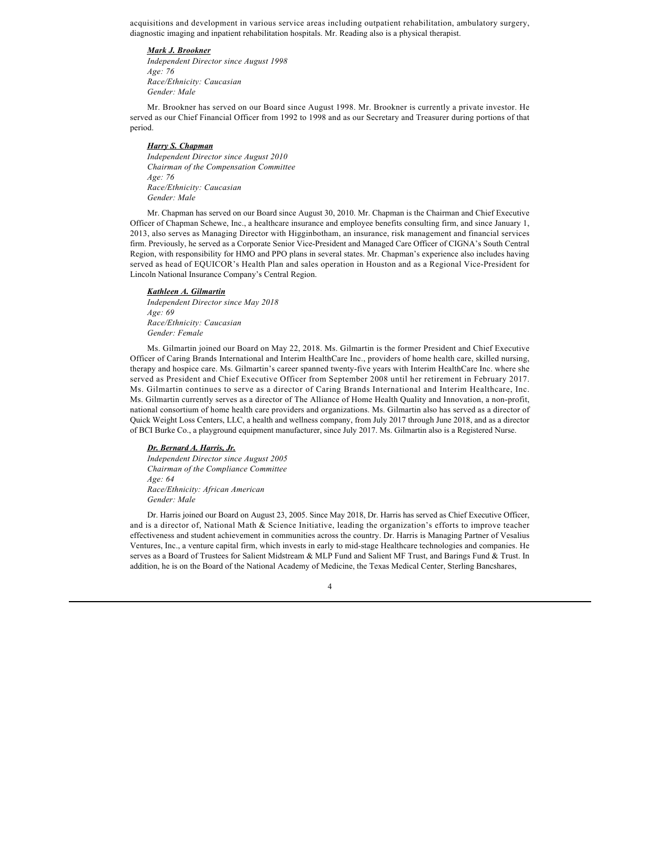acquisitions and development in various service areas including outpatient rehabilitation, ambulatory surgery, diagnostic imaging and inpatient rehabilitation hospitals. Mr. Reading also is a physical therapist.

#### *Mark J. Brookner*

*Independent Director since August 1998 Age: 76 Race/Ethnicity: Caucasian Gender: Male*

Mr. Brookner has served on our Board since August 1998. Mr. Brookner is currently a private investor. He served as our Chief Financial Officer from 1992 to 1998 and as our Secretary and Treasurer during portions of that period.

### *Harry S. Chapman*

*Independent Director since August 2010 Chairman of the Compensation Committee Age: 76 Race/Ethnicity: Caucasian Gender: Male*

Mr. Chapman has served on our Board since August 30, 2010. Mr. Chapman is the Chairman and Chief Executive Officer of Chapman Schewe, Inc., a healthcare insurance and employee benefits consulting firm, and since January 1, 2013, also serves as Managing Director with Higginbotham, an insurance, risk management and financial services firm. Previously, he served as a Corporate Senior Vice-President and Managed Care Officer of CIGNA's South Central Region, with responsibility for HMO and PPO plans in several states. Mr. Chapman's experience also includes having served as head of EQUICOR's Health Plan and sales operation in Houston and as a Regional Vice-President for Lincoln National Insurance Company's Central Region.

#### *Kathleen A. Gilmartin*

*Independent Director since May 2018 Age: 69 Race/Ethnicity: Caucasian Gender: Female*

Ms. Gilmartin joined our Board on May 22, 2018. Ms. Gilmartin is the former President and Chief Executive Officer of Caring Brands International and Interim HealthCare Inc., providers of home health care, skilled nursing, therapy and hospice care. Ms. Gilmartin's career spanned twenty-five years with Interim HealthCare Inc. where she served as President and Chief Executive Officer from September 2008 until her retirement in February 2017. Ms. Gilmartin continues to serve as a director of Caring Brands International and Interim Healthcare, Inc. Ms. Gilmartin currently serves as a director of The Alliance of Home Health Quality and Innovation, a non-profit, national consortium of home health care providers and organizations. Ms. Gilmartin also has served as a director of Quick Weight Loss Centers, LLC, a health and wellness company, from July 2017 through June 2018, and as a director of BCI Burke Co., a playground equipment manufacturer, since July 2017. Ms. Gilmartin also is a Registered Nurse.

#### *Dr. Bernard A. Harris, Jr.*

*Independent Director since August 2005 Chairman of the Compliance Committee Age: 64 Race/Ethnicity: African American Gender: Male*

Dr. Harris joined our Board on August 23, 2005. Since May 2018, Dr. Harris has served as Chief Executive Officer, and is a director of, National Math & Science Initiative, leading the organization's efforts to improve teacher effectiveness and student achievement in communities across the country. Dr. Harris is Managing Partner of Vesalius Ventures, Inc., a venture capital firm, which invests in early to mid-stage Healthcare technologies and companies. He serves as a Board of Trustees for Salient Midstream & MLP Fund and Salient MF Trust, and Barings Fund & Trust. In addition, he is on the Board of the National Academy of Medicine, the Texas Medical Center, Sterling Bancshares,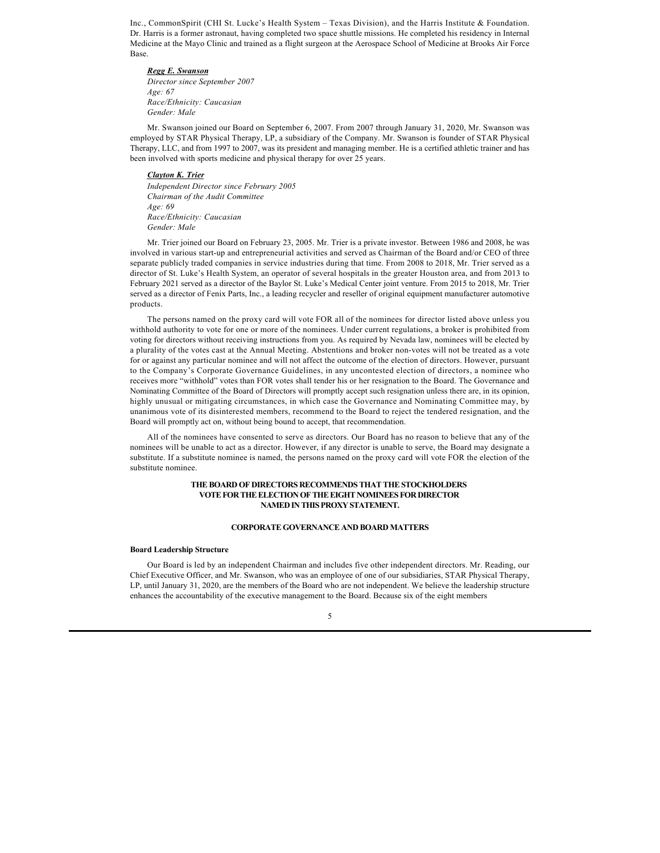Inc., CommonSpirit (CHI St. Lucke's Health System – Texas Division), and the Harris Institute & Foundation. Dr. Harris is a former astronaut, having completed two space shuttle missions. He completed his residency in Internal Medicine at the Mayo Clinic and trained as a flight surgeon at the Aerospace School of Medicine at Brooks Air Force Base.

### *Regg E. Swanson*

*Director since September 2007 Age: 67 Race/Ethnicity: Caucasian Gender: Male*

Mr. Swanson joined our Board on September 6, 2007. From 2007 through January 31, 2020, Mr. Swanson was employed by STAR Physical Therapy, LP, a subsidiary of the Company. Mr. Swanson is founder of STAR Physical Therapy, LLC, and from 1997 to 2007, was its president and managing member. He is a certified athletic trainer and has been involved with sports medicine and physical therapy for over 25 years.

### *Clayton K. Trier*

*Independent Director since February 2005 Chairman of the Audit Committee Age: 69 Race/Ethnicity: Caucasian Gender: Male*

Mr. Trier joined our Board on February 23, 2005. Mr. Trier is a private investor. Between 1986 and 2008, he was involved in various start-up and entrepreneurial activities and served as Chairman of the Board and/or CEO of three separate publicly traded companies in service industries during that time. From 2008 to 2018, Mr. Trier served as a director of St. Luke's Health System, an operator of several hospitals in the greater Houston area, and from 2013 to February 2021 served as a director of the Baylor St. Luke's Medical Center joint venture. From 2015 to 2018, Mr. Trier served as a director of Fenix Parts, Inc., a leading recycler and reseller of original equipment manufacturer automotive products.

The persons named on the proxy card will vote FOR all of the nominees for director listed above unless you withhold authority to vote for one or more of the nominees. Under current regulations, a broker is prohibited from voting for directors without receiving instructions from you. As required by Nevada law, nominees will be elected by a plurality of the votes cast at the Annual Meeting. Abstentions and broker non-votes will not be treated as a vote for or against any particular nominee and will not affect the outcome of the election of directors. However, pursuant to the Company's Corporate Governance Guidelines, in any uncontested election of directors, a nominee who receives more "withhold" votes than FOR votes shall tender his or her resignation to the Board. The Governance and Nominating Committee of the Board of Directors will promptly accept such resignation unless there are, in its opinion, highly unusual or mitigating circumstances, in which case the Governance and Nominating Committee may, by unanimous vote of its disinterested members, recommend to the Board to reject the tendered resignation, and the Board will promptly act on, without being bound to accept, that recommendation.

All of the nominees have consented to serve as directors. Our Board has no reason to believe that any of the nominees will be unable to act as a director. However, if any director is unable to serve, the Board may designate a substitute. If a substitute nominee is named, the persons named on the proxy card will vote FOR the election of the substitute nominee.

### **THE BOARD OF DIRECTORS RECOMMENDS THAT THE STOCKHOLDERS VOTE FOR THE ELECTION OF THE EIGHT NOMINEES FOR DIRECTOR NAMED IN THIS PROXY STATEMENT.**

### **CORPORATE GOVERNANCE AND BOARD MATTERS**

#### **Board Leadership Structure**

Our Board is led by an independent Chairman and includes five other independent directors. Mr. Reading, our Chief Executive Officer, and Mr. Swanson, who was an employee of one of our subsidiaries, STAR Physical Therapy, LP, until January 31, 2020, are the members of the Board who are not independent. We believe the leadership structure enhances the accountability of the executive management to the Board. Because six of the eight members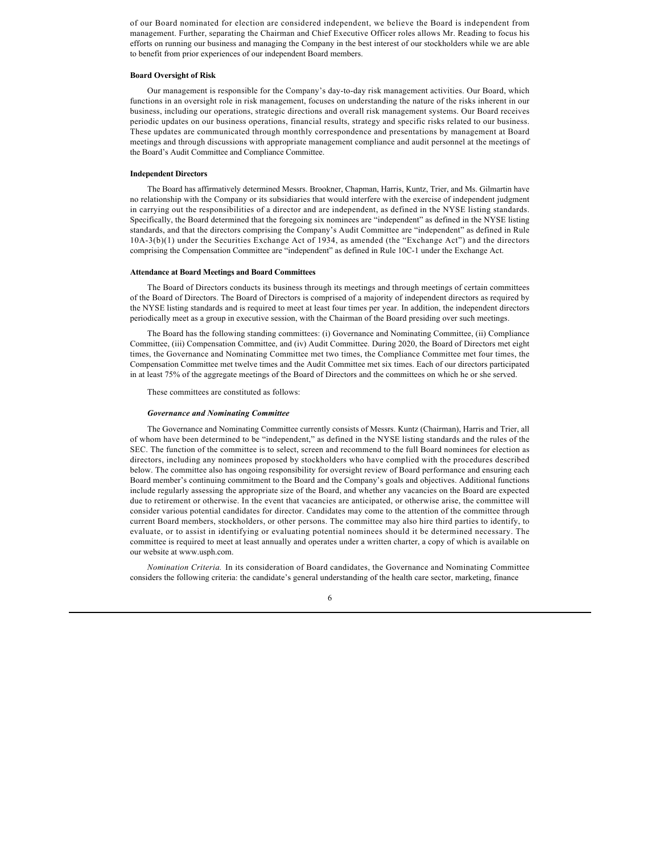of our Board nominated for election are considered independent, we believe the Board is independent from management. Further, separating the Chairman and Chief Executive Officer roles allows Mr. Reading to focus his efforts on running our business and managing the Company in the best interest of our stockholders while we are able to benefit from prior experiences of our independent Board members.

#### **Board Oversight of Risk**

Our management is responsible for the Company's day-to-day risk management activities. Our Board, which functions in an oversight role in risk management, focuses on understanding the nature of the risks inherent in our business, including our operations, strategic directions and overall risk management systems. Our Board receives periodic updates on our business operations, financial results, strategy and specific risks related to our business. These updates are communicated through monthly correspondence and presentations by management at Board meetings and through discussions with appropriate management compliance and audit personnel at the meetings of the Board's Audit Committee and Compliance Committee.

### **Independent Directors**

The Board has affirmatively determined Messrs. Brookner, Chapman, Harris, Kuntz, Trier, and Ms. Gilmartin have no relationship with the Company or its subsidiaries that would interfere with the exercise of independent judgment in carrying out the responsibilities of a director and are independent, as defined in the NYSE listing standards. Specifically, the Board determined that the foregoing six nominees are "independent" as defined in the NYSE listing standards, and that the directors comprising the Company's Audit Committee are "independent" as defined in Rule 10A-3(b)(1) under the Securities Exchange Act of 1934, as amended (the "Exchange Act") and the directors comprising the Compensation Committee are "independent" as defined in Rule 10C-1 under the Exchange Act.

#### **Attendance at Board Meetings and Board Committees**

The Board of Directors conducts its business through its meetings and through meetings of certain committees of the Board of Directors. The Board of Directors is comprised of a majority of independent directors as required by the NYSE listing standards and is required to meet at least four times per year. In addition, the independent directors periodically meet as a group in executive session, with the Chairman of the Board presiding over such meetings.

The Board has the following standing committees: (i) Governance and Nominating Committee, (ii) Compliance Committee, (iii) Compensation Committee, and (iv) Audit Committee. During 2020, the Board of Directors met eight times, the Governance and Nominating Committee met two times, the Compliance Committee met four times, the Compensation Committee met twelve times and the Audit Committee met six times. Each of our directors participated in at least 75% of the aggregate meetings of the Board of Directors and the committees on which he or she served.

These committees are constituted as follows:

#### *Governance and Nominating Committee*

The Governance and Nominating Committee currently consists of Messrs. Kuntz (Chairman), Harris and Trier, all of whom have been determined to be "independent," as defined in the NYSE listing standards and the rules of the SEC. The function of the committee is to select, screen and recommend to the full Board nominees for election as directors, including any nominees proposed by stockholders who have complied with the procedures described below. The committee also has ongoing responsibility for oversight review of Board performance and ensuring each Board member's continuing commitment to the Board and the Company's goals and objectives. Additional functions include regularly assessing the appropriate size of the Board, and whether any vacancies on the Board are expected due to retirement or otherwise. In the event that vacancies are anticipated, or otherwise arise, the committee will consider various potential candidates for director. Candidates may come to the attention of the committee through current Board members, stockholders, or other persons. The committee may also hire third parties to identify, to evaluate, or to assist in identifying or evaluating potential nominees should it be determined necessary. The committee is required to meet at least annually and operates under a written charter, a copy of which is available on our website at www.usph.com.

*Nomination Criteria.* In its consideration of Board candidates, the Governance and Nominating Committee considers the following criteria: the candidate's general understanding of the health care sector, marketing, finance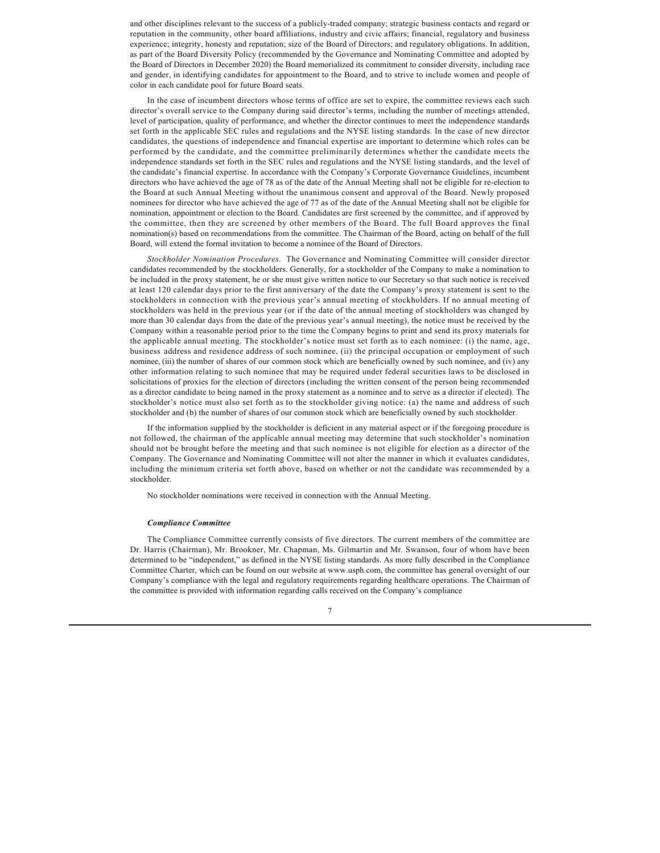and other disciplines relevant to the success of a publicly-traded company; strategic business contacts and regard or reputation in the community, other board affiliations, industry and civic affairs; financial, regulatory and business experience; integrity, honesty and reputation; size of the Board of Directors; and regulatory obligations. In addition, as part of the Board Diversity Policy (recommended by the Governance and Nominating Committee and adopted by the Board of Directors in December 2020) the Board memorialized its commitment to consider diversity, including race and gender, in identifying candidates for appointment to the Board, and to strive to include women and people of color in each candidate pool for future Board seats.

In the case of incumbent directors whose terms of office are set to expire, the committee reviews each such director's overall service to the Company during said director's terms, including the number of meetings attended, level of participation, quality of performance, and whether the director continues to meet the independence standards set forth in the applicable SEC rules and regulations and the NYSE listing standards. In the case of new director candidates, the questions of independence and financial expertise are important to determine which roles can be performed by the candidate, and the committee preliminarily determines whether the candidate meets the independence standards set forth in the SEC rules and regulations and the NYSE listing standards, and the level of the candidate's financial expertise. In accordance with the Company's Corporate Governance Guidelines, incumbent directors who have achieved the age of 78 as of the date of the Annual Meeting shall not be eligible for re-election to the Board at such Annual Meeting without the unanimous consent and approval of the Board. Newly proposed nominees for director who have achieved the age of 77 as of the date of the Annual Meeting shall not be eligible for nomination, appointment or election to the Board. Candidates are first screened by the committee, and if approved by the committee, then they are screened by other members of the Board. The full Board approves the final nomination(s) based on recommendations from the committee. The Chairman of the Board, acting on behalf of the full Board, will extend the formal invitation to become a nominee of the Board of Directors.

*Stockholder Nomination Procedures.* The Governance and Nominating Committee will consider director candidates recommended by the stockholders. Generally, for a stockholder of the Company to make a nomination to be included in the proxy statement, he or she must give written notice to our Secretary so that such notice is received at least 120 calendar days prior to the first anniversary of the date the Company's proxy statement is sent to the stockholders in connection with the previous year's annual meeting of stockholders. If no annual meeting of stockholders was held in the previous year (or if the date of the annual meeting of stockholders was changed by more than 30 calendar days from the date of the previous year's annual meeting), the notice must be received by the Company within a reasonable period prior to the time the Company begins to print and send its proxy materials for the applicable annual meeting. The stockholder's notice must set forth as to each nominee: (i) the name, age, business address and residence address of such nominee, (ii) the principal occupation or employment of such nominee, (iii) the number of shares of our common stock which are beneficially owned by such nominee, and (iv) any other information relating to such nominee that may be required under federal securities laws to be disclosed in solicitations of proxies for the election of directors (including the written consent of the person being recommended as a director candidate to being named in the proxy statement as a nominee and to serve as a director if elected). The stockholder's notice must also set forth as to the stockholder giving notice: (a) the name and address of such stockholder and (b) the number of shares of our common stock which are beneficially owned by such stockholder.

If the information supplied by the stockholder is deficient in any material aspect or if the foregoing procedure is not followed, the chairman of the applicable annual meeting may determine that such stockholder's nomination should not be brought before the meeting and that such nominee is not eligible for election as a director of the Company. The Governance and Nominating Committee will not alter the manner in which it evaluates candidates, including the minimum criteria set forth above, based on whether or not the candidate was recommended by a stockholder.

No stockholder nominations were received in connection with the Annual Meeting.

#### *Compliance Committee*

The Compliance Committee currently consists of five directors. The current members of the committee are Dr. Harris (Chairman), Mr. Brookner, Mr. Chapman, Ms. Gilmartin and Mr. Swanson, four of whom have been determined to be "independent," as defined in the NYSE listing standards. As more fully described in the Compliance Committee Charter, which can be found on our website at www.usph.com, the committee has general oversight of our Company's compliance with the legal and regulatory requirements regarding healthcare operations. The Chairman of the committee is provided with information regarding calls received on the Company's compliance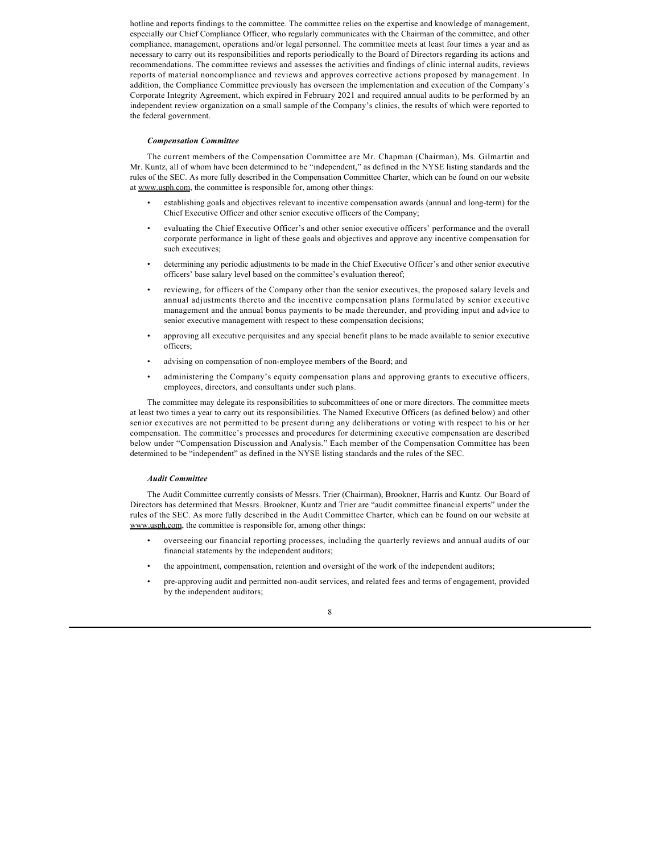hotline and reports findings to the committee. The committee relies on the expertise and knowledge of management, especially our Chief Compliance Officer, who regularly communicates with the Chairman of the committee, and other compliance, management, operations and/or legal personnel. The committee meets at least four times a year and as necessary to carry out its responsibilities and reports periodically to the Board of Directors regarding its actions and recommendations. The committee reviews and assesses the activities and findings of clinic internal audits, reviews reports of material noncompliance and reviews and approves corrective actions proposed by management. In addition, the Compliance Committee previously has overseen the implementation and execution of the Company's Corporate Integrity Agreement, which expired in February 2021 and required annual audits to be performed by an independent review organization on a small sample of the Company's clinics, the results of which were reported to the federal government.

#### *Compensation Committee*

The current members of the Compensation Committee are Mr. Chapman (Chairman), Ms. Gilmartin and Mr. Kuntz, all of whom have been determined to be "independent," as defined in the NYSE listing standards and the rules of the SEC. As more fully described in the Compensation Committee Charter, which can be found on our website at www.usph.com, the committee is responsible for, among other things:

- establishing goals and objectives relevant to incentive compensation awards (annual and long-term) for the Chief Executive Officer and other senior executive officers of the Company;
- evaluating the Chief Executive Officer's and other senior executive officers' performance and the overall corporate performance in light of these goals and objectives and approve any incentive compensation for such executives;
- determining any periodic adjustments to be made in the Chief Executive Officer's and other senior executive officers' base salary level based on the committee's evaluation thereof;
- reviewing, for officers of the Company other than the senior executives, the proposed salary levels and annual adjustments thereto and the incentive compensation plans formulated by senior executive management and the annual bonus payments to be made thereunder, and providing input and advice to senior executive management with respect to these compensation decisions;
- approving all executive perquisites and any special benefit plans to be made available to senior executive officers;
- advising on compensation of non-employee members of the Board; and
- administering the Company's equity compensation plans and approving grants to executive officers, employees, directors, and consultants under such plans.

The committee may delegate its responsibilities to subcommittees of one or more directors. The committee meets at least two times a year to carry out its responsibilities. The Named Executive Officers (as defined below) and other senior executives are not permitted to be present during any deliberations or voting with respect to his or her compensation. The committee's processes and procedures for determining executive compensation are described below under "Compensation Discussion and Analysis." Each member of the Compensation Committee has been determined to be "independent" as defined in the NYSE listing standards and the rules of the SEC.

#### *Audit Committee*

The Audit Committee currently consists of Messrs. Trier (Chairman), Brookner, Harris and Kuntz. Our Board of Directors has determined that Messrs. Brookner, Kuntz and Trier are "audit committee financial experts" under the rules of the SEC. As more fully described in the Audit Committee Charter, which can be found on our website at www.usph.com, the committee is responsible for, among other things:

- overseeing our financial reporting processes, including the quarterly reviews and annual audits of our financial statements by the independent auditors;
- the appointment, compensation, retention and oversight of the work of the independent auditors;
- pre-approving audit and permitted non-audit services, and related fees and terms of engagement, provided by the independent auditors;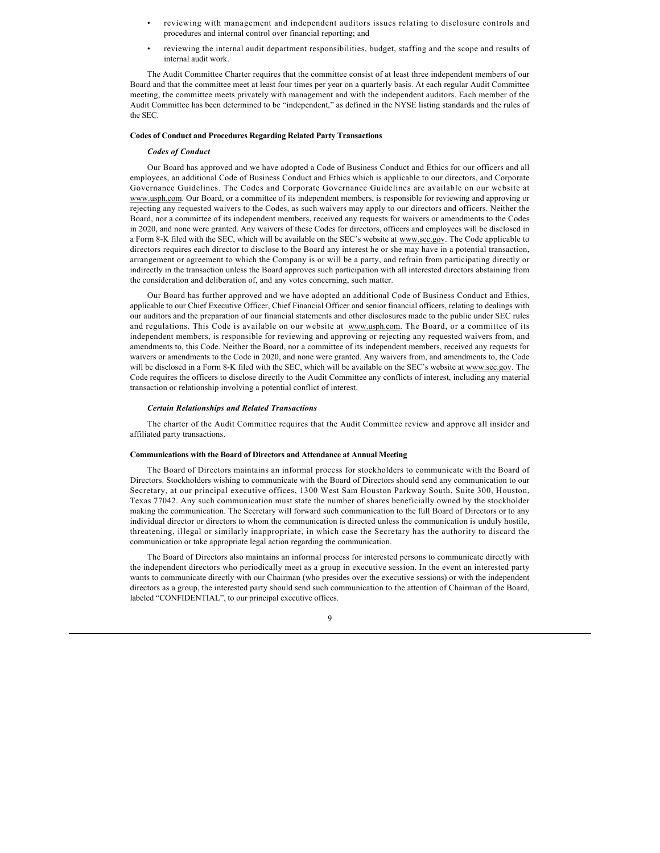- reviewing with management and independent auditors issues relating to disclosure controls and procedures and internal control over financial reporting; and
- reviewing the internal audit department responsibilities, budget, staffing and the scope and results of internal audit work.

The Audit Committee Charter requires that the committee consist of at least three independent members of our Board and that the committee meet at least four times per year on a quarterly basis. At each regular Audit Committee meeting, the committee meets privately with management and with the independent auditors. Each member of the Audit Committee has been determined to be "independent," as defined in the NYSE listing standards and the rules of the SEC.

#### **Codes of Conduct and Procedures Regarding Related Party Transactions**

#### *Codes of Conduct*

Our Board has approved and we have adopted a Code of Business Conduct and Ethics for our officers and all employees, an additional Code of Business Conduct and Ethics which is applicable to our directors, and Corporate Governance Guidelines. The Codes and Corporate Governance Guidelines are available on our website at www.usph.com. Our Board, or a committee of its independent members, is responsible for reviewing and approving or rejecting any requested waivers to the Codes, as such waivers may apply to our directors and officers. Neither the Board, nor a committee of its independent members, received any requests for waivers or amendments to the Codes in 2020, and none were granted. Any waivers of these Codes for directors, officers and employees will be disclosed in a Form 8-K filed with the SEC, which will be available on the SEC's website at www.sec.gov. The Code applicable to directors requires each director to disclose to the Board any interest he or she may have in a potential transaction, arrangement or agreement to which the Company is or will be a party, and refrain from participating directly or indirectly in the transaction unless the Board approves such participation with all interested directors abstaining from the consideration and deliberation of, and any votes concerning, such matter.

Our Board has further approved and we have adopted an additional Code of Business Conduct and Ethics, applicable to our Chief Executive Officer, Chief Financial Officer and senior financial officers, relating to dealings with our auditors and the preparation of our financial statements and other disclosures made to the public under SEC rules and regulations. This Code is available on our website at www.usph.com. The Board, or a committee of its independent members, is responsible for reviewing and approving or rejecting any requested waivers from, and amendments to, this Code. Neither the Board, nor a committee of its independent members, received any requests for waivers or amendments to the Code in 2020, and none were granted. Any waivers from, and amendments to, the Code will be disclosed in a Form 8-K filed with the SEC, which will be available on the SEC's website at www.sec.gov. The Code requires the officers to disclose directly to the Audit Committee any conflicts of interest, including any material transaction or relationship involving a potential conflict of interest.

#### *Certain Relationships and Related Transactions*

The charter of the Audit Committee requires that the Audit Committee review and approve all insider and affiliated party transactions.

### **Communications with the Board of Directors and Attendance at Annual Meeting**

The Board of Directors maintains an informal process for stockholders to communicate with the Board of Directors. Stockholders wishing to communicate with the Board of Directors should send any communication to our Secretary, at our principal executive offices, 1300 West Sam Houston Parkway South, Suite 300, Houston, Texas 77042. Any such communication must state the number of shares beneficially owned by the stockholder making the communication. The Secretary will forward such communication to the full Board of Directors or to any individual director or directors to whom the communication is directed unless the communication is unduly hostile, threatening, illegal or similarly inappropriate, in which case the Secretary has the authority to discard the communication or take appropriate legal action regarding the communication.

The Board of Directors also maintains an informal process for interested persons to communicate directly with the independent directors who periodically meet as a group in executive session. In the event an interested party wants to communicate directly with our Chairman (who presides over the executive sessions) or with the independent directors as a group, the interested party should send such communication to the attention of Chairman of the Board, labeled "CONFIDENTIAL", to our principal executive offices.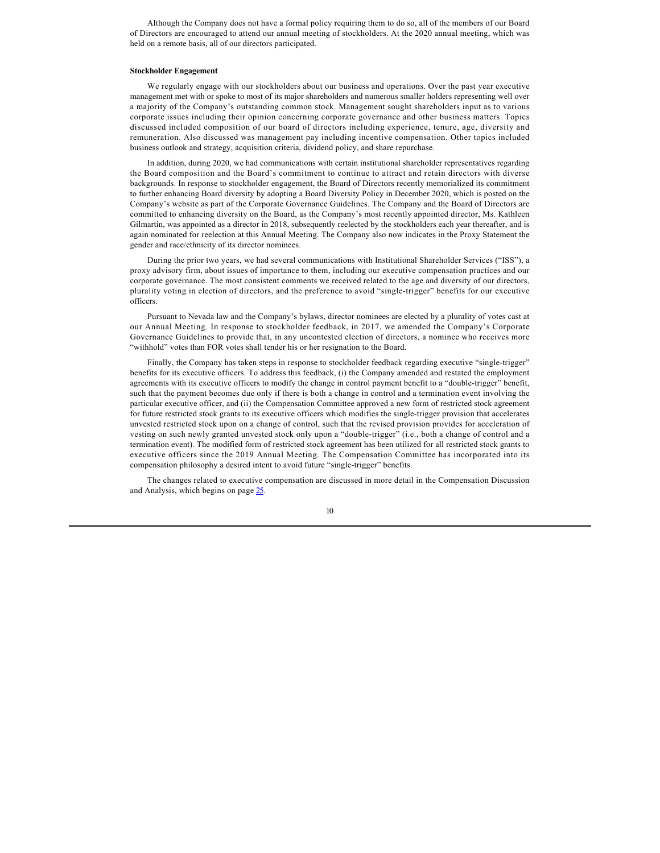Although the Company does not have a formal policy requiring them to do so, all of the members of our Board of Directors are encouraged to attend our annual meeting of stockholders. At the 2020 annual meeting, which was held on a remote basis, all of our directors participated.

### **Stockholder Engagement**

We regularly engage with our stockholders about our business and operations. Over the past year executive management met with or spoke to most of its major shareholders and numerous smaller holders representing well over a majority of the Company's outstanding common stock. Management sought shareholders input as to various corporate issues including their opinion concerning corporate governance and other business matters. Topics discussed included composition of our board of directors including experience, tenure, age, diversity and remuneration. Also discussed was management pay including incentive compensation. Other topics included business outlook and strategy, acquisition criteria, dividend policy, and share repurchase.

In addition, during 2020, we had communications with certain institutional shareholder representatives regarding the Board composition and the Board's commitment to continue to attract and retain directors with diverse backgrounds. In response to stockholder engagement, the Board of Directors recently memorialized its commitment to further enhancing Board diversity by adopting a Board Diversity Policy in December 2020, which is posted on the Company's website as part of the Corporate Governance Guidelines. The Company and the Board of Directors are committed to enhancing diversity on the Board, as the Company's most recently appointed director, Ms. Kathleen Gilmartin, was appointed as a director in 2018, subsequently reelected by the stockholders each year thereafter, and is again nominated for reelection at this Annual Meeting. The Company also now indicates in the Proxy Statement the gender and race/ethnicity of its director nominees.

During the prior two years, we had several communications with Institutional Shareholder Services ("ISS"), a proxy advisory firm, about issues of importance to them, including our executive compensation practices and our corporate governance. The most consistent comments we received related to the age and diversity of our directors, plurality voting in election of directors, and the preference to avoid "single-trigger" benefits for our executive officers.

Pursuant to Nevada law and the Company's bylaws, director nominees are elected by a plurality of votes cast at our Annual Meeting. In response to stockholder feedback, in 2017, we amended the Company's Corporate Governance Guidelines to provide that, in any uncontested election of directors, a nominee who receives more "withhold" votes than FOR votes shall tender his or her resignation to the Board.

Finally, the Company has taken steps in response to stockholder feedback regarding executive "single-trigger" benefits for its executive officers. To address this feedback, (i) the Company amended and restated the employment agreements with its executive officers to modify the change in control payment benefit to a "double-trigger" benefit, such that the payment becomes due only if there is both a change in control and a termination event involving the particular executive officer, and (ii) the Compensation Committee approved a new form of restricted stock agreement for future restricted stock grants to its executive officers which modifies the single-trigger provision that accelerates unvested restricted stock upon on a change of control, such that the revised provision provides for acceleration of vesting on such newly granted unvested stock only upon a "double-trigger" (i.e., both a change of control and a termination event). The modified form of restricted stock agreement has been utilized for all restricted stock grants to executive officers since the 2019 Annual Meeting. The Compensation Committee has incorporated into its compensation philosophy a desired intent to avoid future "single-trigger" benefits.

The changes related to executive compensation are discussed in more detail in the Compensation Discussion and Analysis, which begins on page [25.](#page-16-0)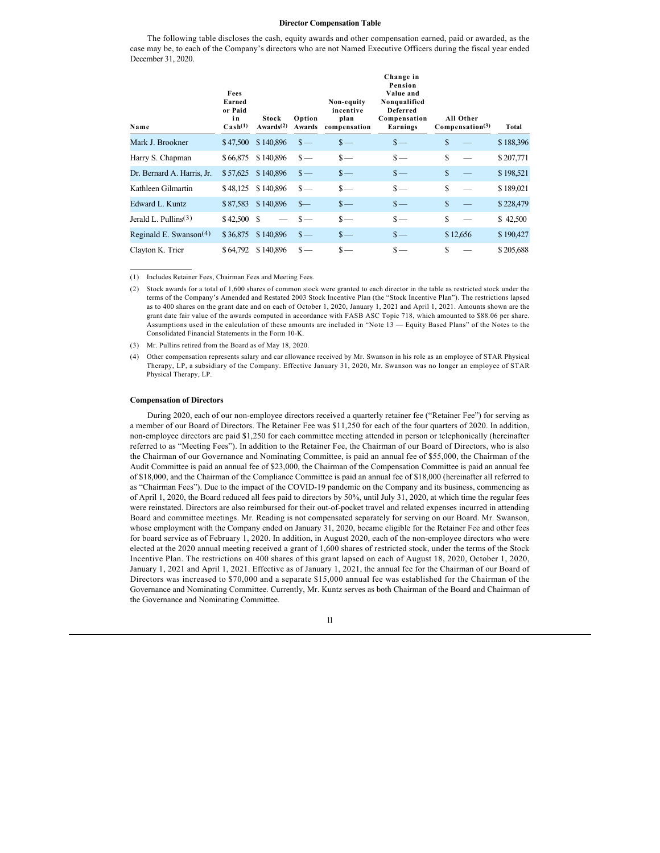### **Director Compensation Table**

The following table discloses the cash, equity awards and other compensation earned, paid or awarded, as the case may be, to each of the Company's directors who are not Named Executive Officers during the fiscal year ended December 31, 2020.

| Name                       | Fees<br>Earned<br>or Paid<br>in<br>$\text{Cash}^{(1)}$ | Stock<br>Awards $(2)$ | Option<br>Awards | Non-equity<br>incentive<br>plan<br>compensation | Change in<br>Pension<br>Value and<br>Nonqualified<br>Deferred<br>Compensation<br>Earnings |          | All Other<br>Compenstation <sup>(3)</sup> | Total     |
|----------------------------|--------------------------------------------------------|-----------------------|------------------|-------------------------------------------------|-------------------------------------------------------------------------------------------|----------|-------------------------------------------|-----------|
| Mark J. Brookner           | \$47,500                                               | \$140,896             | $\frac{\S}{\S}$  | $s-$                                            | $\frac{\text{S}}{\text{}}$                                                                | S        |                                           | \$188,396 |
| Harry S. Chapman           | \$66,875                                               | \$140,896             | $\mathbf{s}$ —   | $\mathbf{s}$ —                                  | $s-$                                                                                      | S        |                                           | \$207,771 |
| Dr. Bernard A. Harris, Jr. | \$57,625                                               | \$140,896             | $\frac{\S}{\S}$  | $\frac{\epsilon}{2}$                            | $\frac{\epsilon}{2}$                                                                      | \$       |                                           | \$198,521 |
| Kathleen Gilmartin         | \$48,125                                               | \$140,896             | $\mathbf{s}$ —   | $\mathbf{s}$ —                                  | $s-$                                                                                      | S        |                                           | \$189,021 |
| Edward L. Kuntz            | \$87,583                                               | \$140,896             | $s-$             | $s-$                                            | $\frac{\epsilon}{2}$                                                                      | \$       |                                           | \$228,479 |
| Jerald L. Pullins $(3)$    | $$42,500$ \$                                           |                       | $\mathbf{s}$ —   | $\mathbf{s}$ —                                  | $s-$                                                                                      | S        |                                           | \$42,500  |
| Reginald E. Swanson $(4)$  | \$36,875                                               | \$140,896             | $\frac{\S}{\S}$  | $\frac{\epsilon}{2}$                            | $s-$                                                                                      | \$12,656 |                                           | \$190,427 |
| Clayton K. Trier           | \$64,792                                               | \$140,896             | $s-$             | $\mathbf{s}$ —                                  | $\mathbf{s}$ —                                                                            | S        |                                           | \$205,688 |

(1) Includes Retainer Fees, Chairman Fees and Meeting Fees.

(3) Mr. Pullins retired from the Board as of May 18, 2020.

#### **Compensation of Directors**

During 2020, each of our non-employee directors received a quarterly retainer fee ("Retainer Fee") for serving as a member of our Board of Directors. The Retainer Fee was \$11,250 for each of the four quarters of 2020. In addition, non-employee directors are paid \$1,250 for each committee meeting attended in person or telephonically (hereinafter referred to as "Meeting Fees"). In addition to the Retainer Fee, the Chairman of our Board of Directors, who is also the Chairman of our Governance and Nominating Committee, is paid an annual fee of \$55,000, the Chairman of the Audit Committee is paid an annual fee of \$23,000, the Chairman of the Compensation Committee is paid an annual fee of \$18,000, and the Chairman of the Compliance Committee is paid an annual fee of \$18,000 (hereinafter all referred to as "Chairman Fees"). Due to the impact of the COVID-19 pandemic on the Company and its business, commencing as of April 1, 2020, the Board reduced all fees paid to directors by 50%, until July 31, 2020, at which time the regular fees were reinstated. Directors are also reimbursed for their out-of-pocket travel and related expenses incurred in attending Board and committee meetings. Mr. Reading is not compensated separately for serving on our Board. Mr. Swanson, whose employment with the Company ended on January 31, 2020, became eligible for the Retainer Fee and other fees for board service as of February 1, 2020. In addition, in August 2020, each of the non-employee directors who were elected at the 2020 annual meeting received a grant of 1,600 shares of restricted stock, under the terms of the Stock Incentive Plan. The restrictions on 400 shares of this grant lapsed on each of August 18, 2020, October 1, 2020, January 1, 2021 and April 1, 2021. Effective as of January 1, 2021, the annual fee for the Chairman of our Board of Directors was increased to \$70,000 and a separate \$15,000 annual fee was established for the Chairman of the Governance and Nominating Committee. Currently, Mr. Kuntz serves as both Chairman of the Board and Chairman of the Governance and Nominating Committee.

<sup>(2)</sup> Stock awards for a total of 1,600 shares of common stock were granted to each director in the table as restricted stock under the terms of the Company's Amended and Restated 2003 Stock Incentive Plan (the "Stock Incentive Plan"). The restrictions lapsed as to 400 shares on the grant date and on each of October 1, 2020, January 1, 2021 and April 1, 2021. Amounts shown are the grant date fair value of the awards computed in accordance with FASB ASC Topic 718, which amounted to \$88.06 per share. Assumptions used in the calculation of these amounts are included in "Note 13 — Equity Based Plans" of the Notes to the Consolidated Financial Statements in the Form 10-K.

<sup>(4)</sup> Other compensation represents salary and car allowance received by Mr. Swanson in his role as an employee of STAR Physical Therapy, LP, a subsidiary of the Company. Effective January 31, 2020, Mr. Swanson was no longer an employee of STAR Physical Therapy, LP.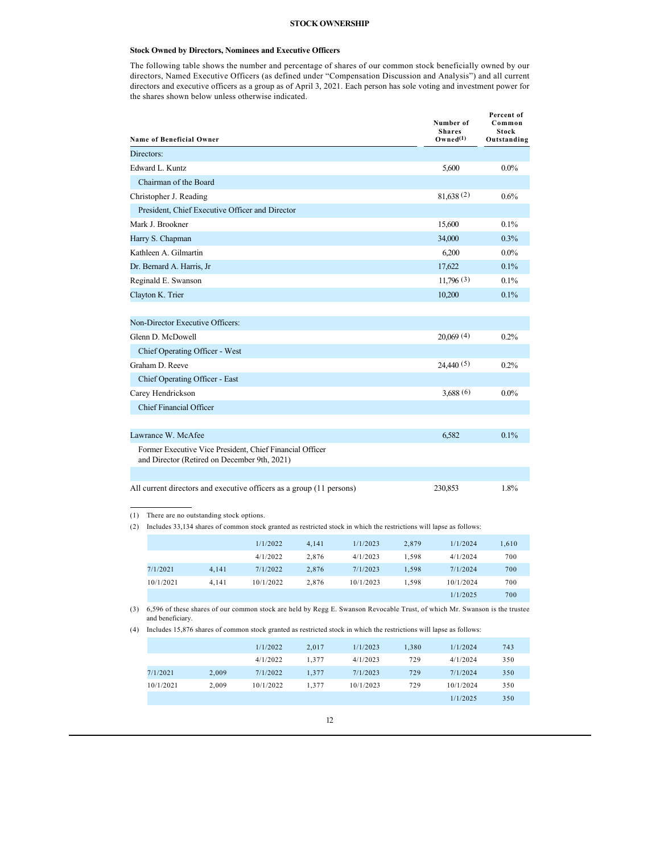### **STOCK OWNERSHIP**

### **Stock Owned by Directors, Nominees and Executive Officers**

The following table shows the number and percentage of shares of our common stock beneficially owned by our directors, Named Executive Officers (as defined under "Compensation Discussion and Analysis") and all current directors and executive officers as a group as of April 3, 2021. Each person has sole voting and investment power for the shares shown below unless otherwise indicated.

|            | <b>Name of Beneficial Owner</b>  |                                         |                                                                                                                            |       |           |       | Number of<br><b>Shares</b><br>Owned <sup>(1)</sup> | Percent of<br>Common<br>Stock<br>Outstanding |
|------------|----------------------------------|-----------------------------------------|----------------------------------------------------------------------------------------------------------------------------|-------|-----------|-------|----------------------------------------------------|----------------------------------------------|
|            | Directors:                       |                                         |                                                                                                                            |       |           |       |                                                    |                                              |
|            | Edward L. Kuntz                  |                                         |                                                                                                                            |       |           |       | 5,600                                              | $0.0\%$                                      |
|            | Chairman of the Board            |                                         |                                                                                                                            |       |           |       |                                                    |                                              |
|            | Christopher J. Reading           |                                         |                                                                                                                            |       |           |       | 81,638(2)                                          | 0.6%                                         |
|            |                                  |                                         | President, Chief Executive Officer and Director                                                                            |       |           |       |                                                    |                                              |
|            | Mark J. Brookner                 |                                         |                                                                                                                            |       |           |       | 15,600                                             | 0.1%                                         |
|            | Harry S. Chapman                 |                                         |                                                                                                                            |       |           |       | 34,000                                             | $0.3\%$                                      |
|            | Kathleen A. Gilmartin            |                                         |                                                                                                                            |       |           |       | 6,200                                              | $0.0\%$                                      |
|            | Dr. Bernard A. Harris, Jr.       |                                         |                                                                                                                            |       |           |       | 17,622                                             | 0.1%                                         |
|            | Reginald E. Swanson              |                                         |                                                                                                                            |       |           |       | 11,796(3)                                          | 0.1%                                         |
|            | Clayton K. Trier                 |                                         |                                                                                                                            |       |           |       | 10,200                                             | 0.1%                                         |
|            |                                  |                                         |                                                                                                                            |       |           |       |                                                    |                                              |
|            | Non-Director Executive Officers: |                                         |                                                                                                                            |       |           |       |                                                    |                                              |
|            | Glenn D. McDowell                |                                         |                                                                                                                            |       |           |       | 20,069(4)                                          | 0.2%                                         |
|            | Chief Operating Officer - West   |                                         |                                                                                                                            |       |           |       |                                                    |                                              |
|            | Graham D. Reeve                  |                                         |                                                                                                                            |       |           |       | 24,440(5)                                          | 0.2%                                         |
|            | Chief Operating Officer - East   |                                         |                                                                                                                            |       |           |       |                                                    |                                              |
|            | Carey Hendrickson                |                                         |                                                                                                                            |       |           |       | 3,688(6)                                           | $0.0\%$                                      |
|            | Chief Financial Officer          |                                         |                                                                                                                            |       |           |       |                                                    |                                              |
|            |                                  |                                         |                                                                                                                            |       |           |       |                                                    |                                              |
|            | Lawrance W. McAfee               |                                         |                                                                                                                            |       |           |       | 6,582                                              | 0.1%                                         |
|            |                                  |                                         | Former Executive Vice President, Chief Financial Officer<br>and Director (Retired on December 9th, 2021)                   |       |           |       |                                                    |                                              |
|            |                                  |                                         |                                                                                                                            |       |           |       |                                                    |                                              |
|            |                                  |                                         | All current directors and executive officers as a group (11 persons)                                                       |       |           |       | 230,853                                            | 1.8%                                         |
| (1)<br>(2) |                                  | There are no outstanding stock options. | Includes 33,134 shares of common stock granted as restricted stock in which the restrictions will lapse as follows:        |       |           |       |                                                    |                                              |
|            |                                  |                                         | 1/1/2022                                                                                                                   | 4,141 | 1/1/2023  | 2,879 | 1/1/2024                                           | 1,610                                        |
|            |                                  |                                         | 4/1/2022                                                                                                                   | 2,876 | 4/1/2023  | 1,598 | 4/1/2024                                           | 700                                          |
|            | 7/1/2021                         | 4,141                                   | 7/1/2022                                                                                                                   | 2,876 | 7/1/2023  | 1,598 | 7/1/2024                                           | 700                                          |
|            | 10/1/2021                        | 4,141                                   | 10/1/2022                                                                                                                  | 2,876 | 10/1/2023 | 1,598 | 10/1/2024                                          | 700                                          |
|            |                                  |                                         |                                                                                                                            |       |           |       | 1/1/2025                                           | 700                                          |
| (3)        | and beneficiary.                 |                                         | 6,596 of these shares of our common stock are held by Regg E. Swanson Revocable Trust, of which Mr. Swanson is the trustee |       |           |       |                                                    |                                              |
| (4)        |                                  |                                         | Includes 15,876 shares of common stock granted as restricted stock in which the restrictions will lapse as follows:        |       |           |       |                                                    |                                              |
|            |                                  |                                         | 1/1/2022                                                                                                                   | 2,017 | 1/1/2023  | 1,380 | 1/1/2024                                           | 743                                          |
|            |                                  |                                         | 4/1/2022                                                                                                                   | 1.377 | 4/1/2023  | 729   | 4/1/2024                                           | 350                                          |

| 7/1/2021  | 2.009 | 7/1/2022  | 1.377 | 7/1/2023  | 729 | 7/1/2024  | 350 |
|-----------|-------|-----------|-------|-----------|-----|-----------|-----|
| 10/1/2021 | 2.009 | 10/1/2022 | 1.377 | 10/1/2023 | 729 | 10/1/2024 | 350 |
|           |       |           |       |           |     | 1/1/2025  | 350 |
|           |       |           |       |           |     |           |     |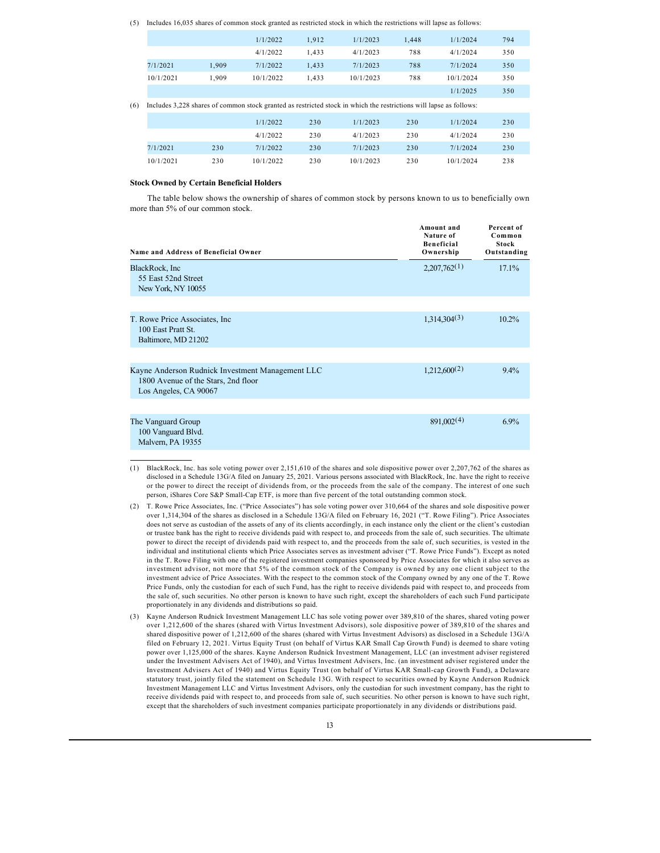|  | (5) Includes 16,035 shares of common stock granted as restricted stock in which the restrictions will lapse as follows: |  |  |
|--|-------------------------------------------------------------------------------------------------------------------------|--|--|
|  |                                                                                                                         |  |  |

|           |       | 1/1/2022  | 1.912 | 1/1/2023                                                                                                           | 1.448 | 1/1/2024  | 794 |
|-----------|-------|-----------|-------|--------------------------------------------------------------------------------------------------------------------|-------|-----------|-----|
|           |       | 4/1/2022  | 1.433 | 4/1/2023                                                                                                           | 788   | 4/1/2024  | 350 |
| 7/1/2021  | 1.909 | 7/1/2022  | 1.433 | 7/1/2023                                                                                                           | 788   | 7/1/2024  | 350 |
| 10/1/2021 | 1.909 | 10/1/2022 | 1.433 | 10/1/2023                                                                                                          | 788   | 10/1/2024 | 350 |
|           |       |           |       |                                                                                                                    |       | 1/1/2025  | 350 |
|           |       |           |       | Includes 3,228 shares of common stock granted as restricted stock in which the restrictions will lapse as follows: |       |           |     |
|           |       | 1/1/2022  | 230   | 1/1/2023                                                                                                           | 230   | 1/1/2024  | 230 |
|           |       | 4/1/2022  | 230   | 4/1/2023                                                                                                           | 230   | 4/1/2024  | 230 |
| 7/1/2021  | 230   | 7/1/2022  | 230   | 7/1/2023                                                                                                           | 230   | 7/1/2024  | 230 |
| 10/1/2021 | 230   | 10/1/2022 | 230   | 10/1/2023                                                                                                          | 230   | 10/1/2024 | 238 |

### **Stock Owned by Certain Beneficial Holders**

The table below shows the ownership of shares of common stock by persons known to us to beneficially own more than 5% of our common stock.

| <b>Name and Address of Beneficial Owner</b>                                                                      | Amount and<br>Nature of<br><b>Beneficial</b><br>Ownership | Percent of<br>Common<br><b>Stock</b><br>Outstanding |
|------------------------------------------------------------------------------------------------------------------|-----------------------------------------------------------|-----------------------------------------------------|
| BlackRock, Inc<br>55 East 52nd Street<br>New York, NY 10055                                                      | 2,207,762(1)                                              | 17.1%                                               |
| T. Rowe Price Associates, Inc.<br>100 East Pratt St.<br>Baltimore, MD 21202                                      | 1,314,304(3)                                              | $10.2\%$                                            |
| Kayne Anderson Rudnick Investment Management LLC<br>1800 Avenue of the Stars, 2nd floor<br>Los Angeles, CA 90067 | 1,212,600(2)                                              | $9.4\%$                                             |
| The Vanguard Group<br>100 Vanguard Blvd.<br>Malvern, PA 19355                                                    | 891,002(4)                                                | $6.9\%$                                             |

- (1) BlackRock, Inc. has sole voting power over 2,151,610 of the shares and sole dispositive power over 2,207,762 of the shares as disclosed in a Schedule 13G/A filed on January 25, 2021. Various persons associated with BlackRock, Inc. have the right to receive or the power to direct the receipt of dividends from, or the proceeds from the sale of the company. The interest of one such person, iShares Core S&P Small-Cap ETF, is more than five percent of the total outstanding common stock.
- (2) T. Rowe Price Associates, Inc. ("Price Associates") has sole voting power over 310,664 of the shares and sole dispositive power over 1,314,304 of the shares as disclosed in a Schedule 13G/A filed on February 16, 2021 ("T. Rowe Filing"). Price Associates does not serve as custodian of the assets of any of its clients accordingly, in each instance only the client or the client's custodian or trustee bank has the right to receive dividends paid with respect to, and proceeds from the sale of, such securities. The ultimate power to direct the receipt of dividends paid with respect to, and the proceeds from the sale of, such securities, is vested in the individual and institutional clients which Price Associates serves as investment adviser ("T. Rowe Price Funds"). Except as noted in the T. Rowe Filing with one of the registered investment companies sponsored by Price Associates for which it also serves as investment advisor, not more that 5% of the common stock of the Company is owned by any one client subject to the investment advice of Price Associates. With the respect to the common stock of the Company owned by any one of the T. Rowe Price Funds, only the custodian for each of such Fund, has the right to receive dividends paid with respect to, and proceeds from the sale of, such securities. No other person is known to have such right, except the shareholders of each such Fund participate proportionately in any dividends and distributions so paid.
- (3) Kayne Anderson Rudnick Investment Management LLC has sole voting power over 389,810 of the shares, shared voting power over 1,212,600 of the shares (shared with Virtus Investment Advisors), sole dispositive power of 389,810 of the shares and shared dispositive power of 1,212,600 of the shares (shared with Virtus Investment Advisors) as disclosed in a Schedule 13G/A filed on February 12, 2021. Virtus Equity Trust (on behalf of Virtus KAR Small Cap Growth Fund) is deemed to share voting power over 1,125,000 of the shares. Kayne Anderson Rudnick Investment Management, LLC (an investment adviser registered under the Investment Advisers Act of 1940), and Virtus Investment Advisers, Inc. (an investment adviser registered under the Investment Advisers Act of 1940) and Virtus Equity Trust (on behalf of Virtus KAR Small-cap Growth Fund), a Delaware statutory trust, jointly filed the statement on Schedule 13G. With respect to securities owned by Kayne Anderson Rudnick Investment Management LLC and Virtus Investment Advisors, only the custodian for such investment company, has the right to receive dividends paid with respect to, and proceeds from sale of, such securities. No other person is known to have such right, except that the shareholders of such investment companies participate proportionately in any dividends or distributions paid.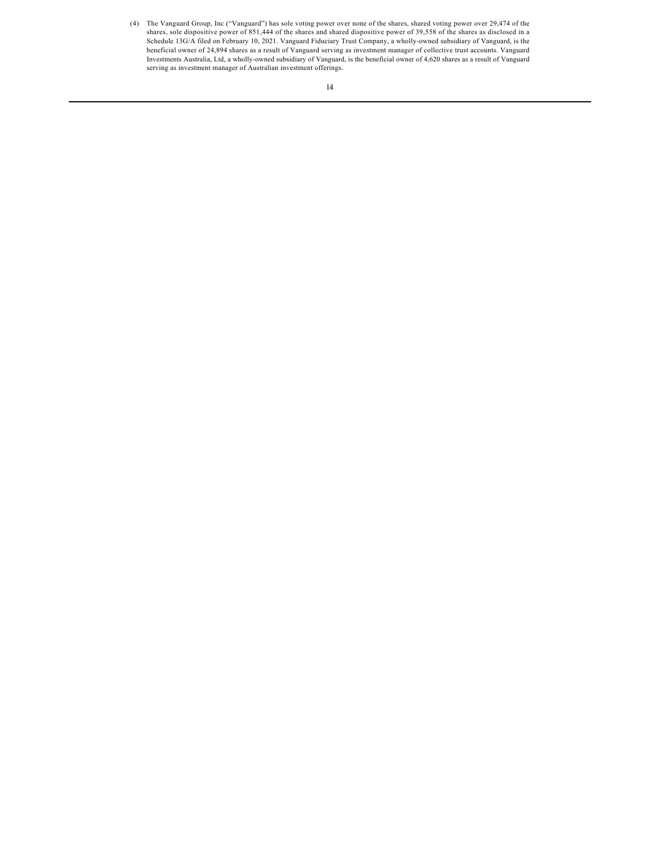(4) The Vanguard Group, Inc ("Vanguard") has sole voting power over none of the shares, shared voting power over 29,474 of the shares, sole dispositive power of 851,444 of the shares and shared dispositive power of 39,558 of the shares as disclosed in a Schedule 13G/A filed on February 10, 2021. Vanguard Fiduciary Trust Company, a wholly-owned subsidiary of Vanguard, is the beneficial owner of 24,894 shares as a result of Vanguard serving as investment manager of collective trust accounts. Vanguard Investments Australia, Ltd, a wholly-owned subsidiary of Vanguard, is the beneficial owner of 4,620 shares as a result of Vanguard serving as investment manager of Australian investment offerings.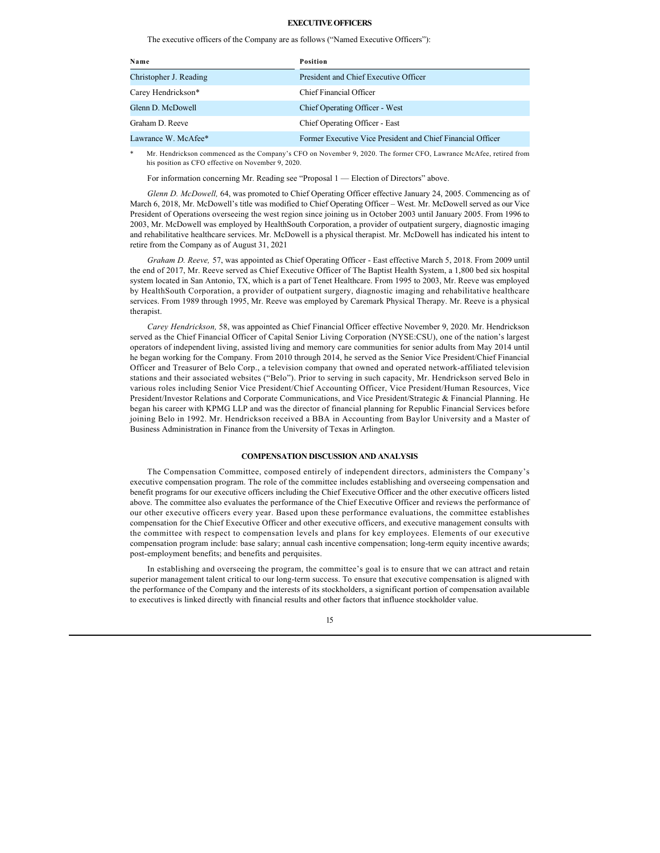### **EXECUTIVE OFFICERS**

The executive officers of the Company are as follows ("Named Executive Officers"):

| Name                   | <b>Position</b>                                             |
|------------------------|-------------------------------------------------------------|
| Christopher J. Reading | President and Chief Executive Officer                       |
| Carey Hendrickson*     | Chief Financial Officer                                     |
| Glenn D. McDowell      | Chief Operating Officer - West                              |
| Graham D. Reeve        | Chief Operating Officer - East                              |
| Lawrance W. McAfee*    | Former Executive Vice President and Chief Financial Officer |

Mr. Hendrickson commenced as the Company's CFO on November 9, 2020. The former CFO, Lawrance McAfee, retired from his position as CFO effective on November 9, 2020.

For information concerning Mr. Reading see "Proposal 1 — Election of Directors" above.

*Glenn D. McDowell,* 64, was promoted to Chief Operating Officer effective January 24, 2005. Commencing as of March 6, 2018, Mr. McDowell's title was modified to Chief Operating Officer – West. Mr. McDowell served as our Vice President of Operations overseeing the west region since joining us in October 2003 until January 2005. From 1996 to 2003, Mr. McDowell was employed by HealthSouth Corporation, a provider of outpatient surgery, diagnostic imaging and rehabilitative healthcare services. Mr. McDowell is a physical therapist. Mr. McDowell has indicated his intent to retire from the Company as of August 31, 2021

*Graham D. Reeve,* 57, was appointed as Chief Operating Officer - East effective March 5, 2018. From 2009 until the end of 2017, Mr. Reeve served as Chief Executive Officer of The Baptist Health System, a 1,800 bed six hospital system located in San Antonio, TX, which is a part of Tenet Healthcare. From 1995 to 2003, Mr. Reeve was employed by HealthSouth Corporation, a provider of outpatient surgery, diagnostic imaging and rehabilitative healthcare services. From 1989 through 1995, Mr. Reeve was employed by Caremark Physical Therapy. Mr. Reeve is a physical therapist.

*Carey Hendrickson,* 58, was appointed as Chief Financial Officer effective November 9, 2020. Mr. Hendrickson served as the Chief Financial Officer of Capital Senior Living Corporation (NYSE:CSU), one of the nation's largest operators of independent living, assisted living and memory care communities for senior adults from May 2014 until he began working for the Company. From 2010 through 2014, he served as the Senior Vice President/Chief Financial Officer and Treasurer of Belo Corp., a television company that owned and operated network-affiliated television stations and their associated websites ("Belo"). Prior to serving in such capacity, Mr. Hendrickson served Belo in various roles including Senior Vice President/Chief Accounting Officer, Vice President/Human Resources, Vice President/Investor Relations and Corporate Communications, and Vice President/Strategic & Financial Planning. He began his career with KPMG LLP and was the director of financial planning for Republic Financial Services before joining Belo in 1992. Mr. Hendrickson received a BBA in Accounting from Baylor University and a Master of Business Administration in Finance from the University of Texas in Arlington.

#### <span id="page-16-0"></span>**COMPENSATION DISCUSSION AND ANALYSIS**

The Compensation Committee, composed entirely of independent directors, administers the Company's executive compensation program. The role of the committee includes establishing and overseeing compensation and benefit programs for our executive officers including the Chief Executive Officer and the other executive officers listed above. The committee also evaluates the performance of the Chief Executive Officer and reviews the performance of our other executive officers every year. Based upon these performance evaluations, the committee establishes compensation for the Chief Executive Officer and other executive officers, and executive management consults with the committee with respect to compensation levels and plans for key employees. Elements of our executive compensation program include: base salary; annual cash incentive compensation; long-term equity incentive awards; post-employment benefits; and benefits and perquisites.

In establishing and overseeing the program, the committee's goal is to ensure that we can attract and retain superior management talent critical to our long-term success. To ensure that executive compensation is aligned with the performance of the Company and the interests of its stockholders, a significant portion of compensation available to executives is linked directly with financial results and other factors that influence stockholder value.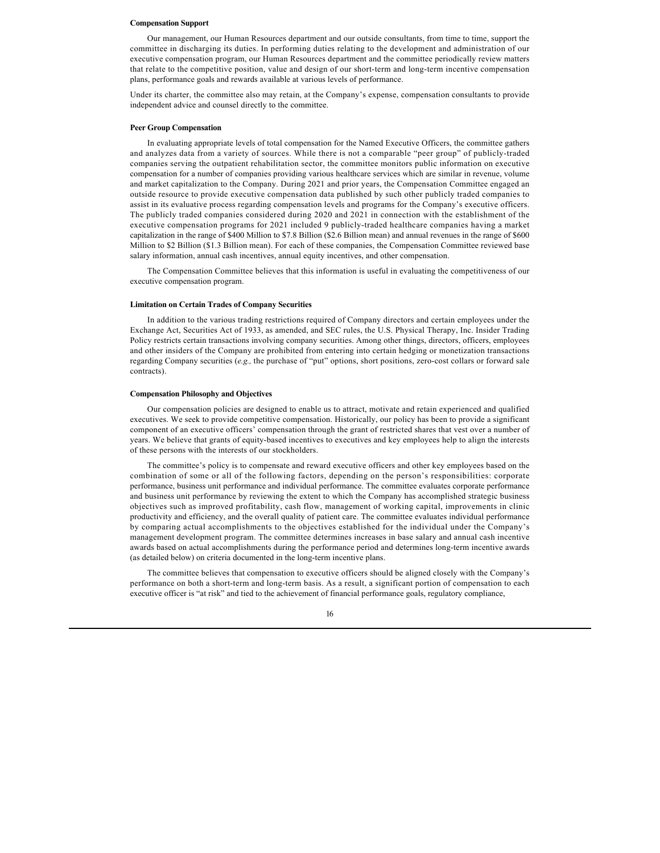#### **Compensation Support**

Our management, our Human Resources department and our outside consultants, from time to time, support the committee in discharging its duties. In performing duties relating to the development and administration of our executive compensation program, our Human Resources department and the committee periodically review matters that relate to the competitive position, value and design of our short-term and long-term incentive compensation plans, performance goals and rewards available at various levels of performance.

Under its charter, the committee also may retain, at the Company's expense, compensation consultants to provide independent advice and counsel directly to the committee.

#### **Peer Group Compensation**

In evaluating appropriate levels of total compensation for the Named Executive Officers, the committee gathers and analyzes data from a variety of sources. While there is not a comparable "peer group" of publicly-traded companies serving the outpatient rehabilitation sector, the committee monitors public information on executive compensation for a number of companies providing various healthcare services which are similar in revenue, volume and market capitalization to the Company. During 2021 and prior years, the Compensation Committee engaged an outside resource to provide executive compensation data published by such other publicly traded companies to assist in its evaluative process regarding compensation levels and programs for the Company's executive officers. The publicly traded companies considered during 2020 and 2021 in connection with the establishment of the executive compensation programs for 2021 included 9 publicly-traded healthcare companies having a market capitalization in the range of \$400 Million to \$7.8 Billion (\$2.6 Billion mean) and annual revenues in the range of \$600 Million to \$2 Billion (\$1.3 Billion mean). For each of these companies, the Compensation Committee reviewed base salary information, annual cash incentives, annual equity incentives, and other compensation.

The Compensation Committee believes that this information is useful in evaluating the competitiveness of our executive compensation program.

#### **Limitation on Certain Trades of Company Securities**

In addition to the various trading restrictions required of Company directors and certain employees under the Exchange Act, Securities Act of 1933, as amended, and SEC rules, the U.S. Physical Therapy, Inc. Insider Trading Policy restricts certain transactions involving company securities. Among other things, directors, officers, employees and other insiders of the Company are prohibited from entering into certain hedging or monetization transactions regarding Company securities (*e.g.,* the purchase of "put" options, short positions, zero-cost collars or forward sale contracts).

#### **Compensation Philosophy and Objectives**

Our compensation policies are designed to enable us to attract, motivate and retain experienced and qualified executives. We seek to provide competitive compensation. Historically, our policy has been to provide a significant component of an executive officers' compensation through the grant of restricted shares that vest over a number of years. We believe that grants of equity-based incentives to executives and key employees help to align the interests of these persons with the interests of our stockholders.

The committee's policy is to compensate and reward executive officers and other key employees based on the combination of some or all of the following factors, depending on the person's responsibilities: corporate performance, business unit performance and individual performance. The committee evaluates corporate performance and business unit performance by reviewing the extent to which the Company has accomplished strategic business objectives such as improved profitability, cash flow, management of working capital, improvements in clinic productivity and efficiency, and the overall quality of patient care. The committee evaluates individual performance by comparing actual accomplishments to the objectives established for the individual under the Company's management development program. The committee determines increases in base salary and annual cash incentive awards based on actual accomplishments during the performance period and determines long-term incentive awards (as detailed below) on criteria documented in the long-term incentive plans.

The committee believes that compensation to executive officers should be aligned closely with the Company's performance on both a short-term and long-term basis. As a result, a significant portion of compensation to each executive officer is "at risk" and tied to the achievement of financial performance goals, regulatory compliance,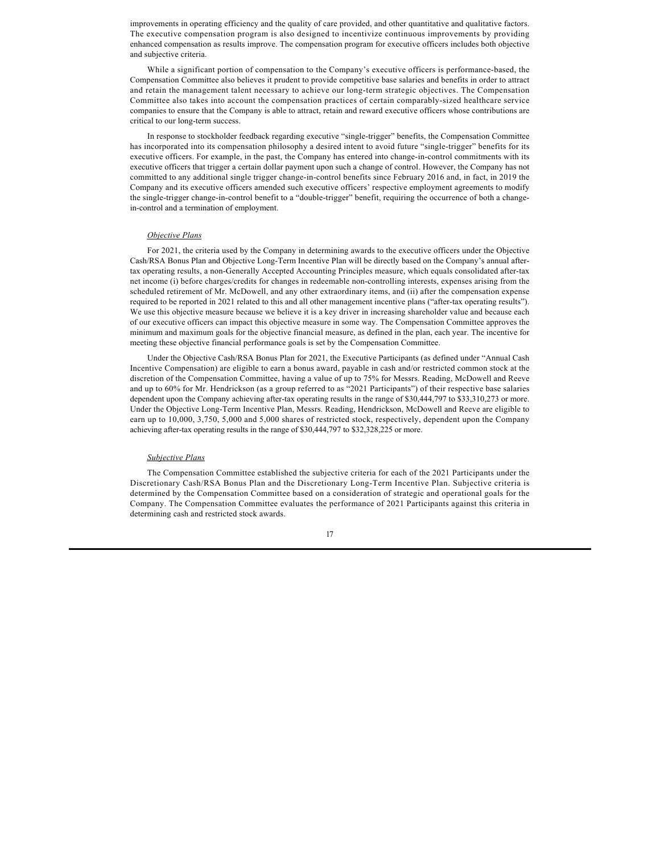improvements in operating efficiency and the quality of care provided, and other quantitative and qualitative factors. The executive compensation program is also designed to incentivize continuous improvements by providing enhanced compensation as results improve. The compensation program for executive officers includes both objective and subjective criteria.

While a significant portion of compensation to the Company's executive officers is performance-based, the Compensation Committee also believes it prudent to provide competitive base salaries and benefits in order to attract and retain the management talent necessary to achieve our long-term strategic objectives. The Compensation Committee also takes into account the compensation practices of certain comparably-sized healthcare service companies to ensure that the Company is able to attract, retain and reward executive officers whose contributions are critical to our long-term success.

In response to stockholder feedback regarding executive "single-trigger" benefits, the Compensation Committee has incorporated into its compensation philosophy a desired intent to avoid future "single-trigger" benefits for its executive officers. For example, in the past, the Company has entered into change-in-control commitments with its executive officers that trigger a certain dollar payment upon such a change of control. However, the Company has not committed to any additional single trigger change-in-control benefits since February 2016 and, in fact, in 2019 the Company and its executive officers amended such executive officers' respective employment agreements to modify the single-trigger change-in-control benefit to a "double-trigger" benefit, requiring the occurrence of both a changein-control and a termination of employment.

## *Objective Plans*

For 2021, the criteria used by the Company in determining awards to the executive officers under the Objective Cash/RSA Bonus Plan and Objective Long-Term Incentive Plan will be directly based on the Company's annual aftertax operating results, a non-Generally Accepted Accounting Principles measure, which equals consolidated after-tax net income (i) before charges/credits for changes in redeemable non-controlling interests, expenses arising from the scheduled retirement of Mr. McDowell, and any other extraordinary items, and (ii) after the compensation expense required to be reported in 2021 related to this and all other management incentive plans ("after-tax operating results"). We use this objective measure because we believe it is a key driver in increasing shareholder value and because each of our executive officers can impact this objective measure in some way. The Compensation Committee approves the minimum and maximum goals for the objective financial measure, as defined in the plan, each year. The incentive for meeting these objective financial performance goals is set by the Compensation Committee.

Under the Objective Cash/RSA Bonus Plan for 2021, the Executive Participants (as defined under "Annual Cash Incentive Compensation) are eligible to earn a bonus award, payable in cash and/or restricted common stock at the discretion of the Compensation Committee, having a value of up to 75% for Messrs. Reading, McDowell and Reeve and up to 60% for Mr. Hendrickson (as a group referred to as "2021 Participants") of their respective base salaries dependent upon the Company achieving after-tax operating results in the range of \$30,444,797 to \$33,310,273 or more. Under the Objective Long-Term Incentive Plan, Messrs. Reading, Hendrickson, McDowell and Reeve are eligible to earn up to 10,000, 3,750, 5,000 and 5,000 shares of restricted stock, respectively, dependent upon the Company achieving after-tax operating results in the range of \$30,444,797 to \$32,328,225 or more.

### *Subjective Plans*

The Compensation Committee established the subjective criteria for each of the 2021 Participants under the Discretionary Cash/RSA Bonus Plan and the Discretionary Long-Term Incentive Plan. Subjective criteria is determined by the Compensation Committee based on a consideration of strategic and operational goals for the Company. The Compensation Committee evaluates the performance of 2021 Participants against this criteria in determining cash and restricted stock awards.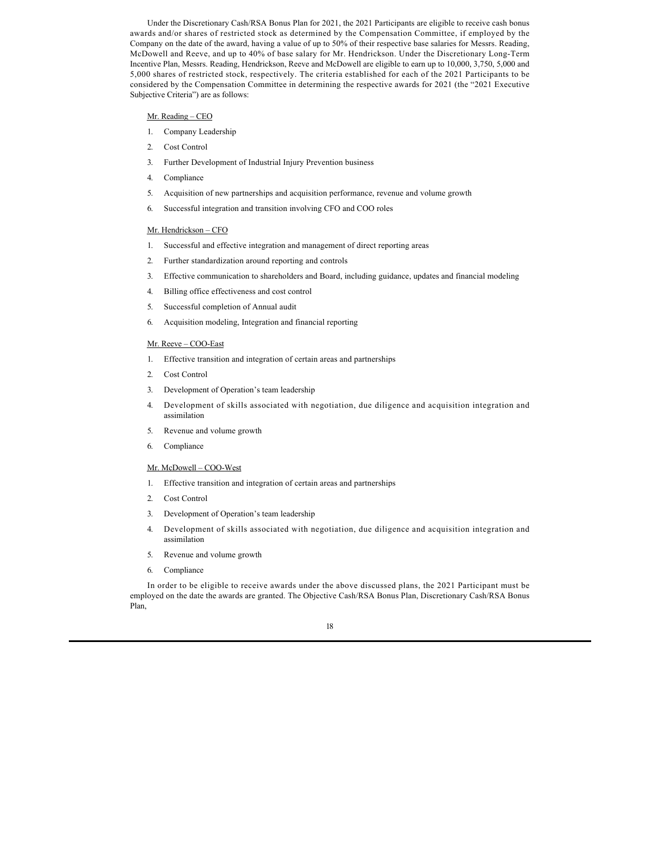Under the Discretionary Cash/RSA Bonus Plan for 2021, the 2021 Participants are eligible to receive cash bonus awards and/or shares of restricted stock as determined by the Compensation Committee, if employed by the Company on the date of the award, having a value of up to 50% of their respective base salaries for Messrs. Reading, McDowell and Reeve, and up to 40% of base salary for Mr. Hendrickson. Under the Discretionary Long-Term Incentive Plan, Messrs. Reading, Hendrickson, Reeve and McDowell are eligible to earn up to 10,000, 3,750, 5,000 and 5,000 shares of restricted stock, respectively. The criteria established for each of the 2021 Participants to be considered by the Compensation Committee in determining the respective awards for 2021 (the "2021 Executive Subjective Criteria") are as follows:

### Mr. Reading – CEO

- 1. Company Leadership
- 2. Cost Control
- 3. Further Development of Industrial Injury Prevention business
- 4. Compliance
- 5. Acquisition of new partnerships and acquisition performance, revenue and volume growth
- 6. Successful integration and transition involving CFO and COO roles

### Mr. Hendrickson – CFO

- 1. Successful and effective integration and management of direct reporting areas
- 2. Further standardization around reporting and controls
- 3. Effective communication to shareholders and Board, including guidance, updates and financial modeling
- 4. Billing office effectiveness and cost control
- 5. Successful completion of Annual audit
- 6. Acquisition modeling, Integration and financial reporting

### Mr. Reeve – COO-East

- 1. Effective transition and integration of certain areas and partnerships
- 2. Cost Control
- 3. Development of Operation's team leadership
- 4. Development of skills associated with negotiation, due diligence and acquisition integration and assimilation
- 5. Revenue and volume growth
- 6. Compliance

### Mr. McDowell – COO-West

- 1. Effective transition and integration of certain areas and partnerships
- 2. Cost Control
- 3. Development of Operation's team leadership
- 4. Development of skills associated with negotiation, due diligence and acquisition integration and assimilation
- 5. Revenue and volume growth
- 6. Compliance

In order to be eligible to receive awards under the above discussed plans, the 2021 Participant must be employed on the date the awards are granted. The Objective Cash/RSA Bonus Plan, Discretionary Cash/RSA Bonus Plan,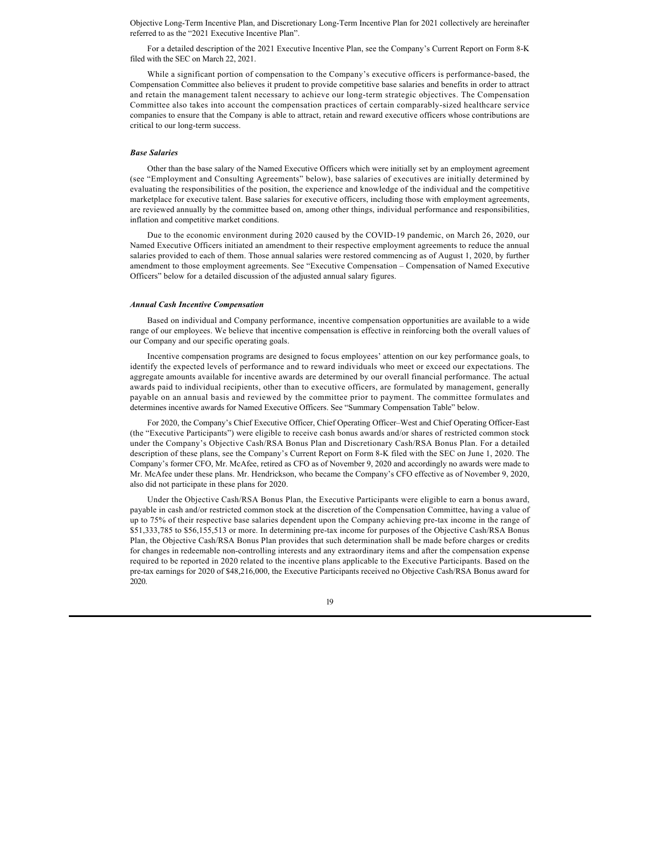Objective Long-Term Incentive Plan, and Discretionary Long-Term Incentive Plan for 2021 collectively are hereinafter referred to as the "2021 Executive Incentive Plan".

For a detailed description of the 2021 Executive Incentive Plan, see the Company's Current Report on Form 8-K filed with the SEC on March 22, 2021.

While a significant portion of compensation to the Company's executive officers is performance-based, the Compensation Committee also believes it prudent to provide competitive base salaries and benefits in order to attract and retain the management talent necessary to achieve our long-term strategic objectives. The Compensation Committee also takes into account the compensation practices of certain comparably-sized healthcare service companies to ensure that the Company is able to attract, retain and reward executive officers whose contributions are critical to our long-term success.

### *Base Salaries*

Other than the base salary of the Named Executive Officers which were initially set by an employment agreement (see "Employment and Consulting Agreements" below), base salaries of executives are initially determined by evaluating the responsibilities of the position, the experience and knowledge of the individual and the competitive marketplace for executive talent. Base salaries for executive officers, including those with employment agreements, are reviewed annually by the committee based on, among other things, individual performance and responsibilities, inflation and competitive market conditions.

Due to the economic environment during 2020 caused by the COVID-19 pandemic, on March 26, 2020, our Named Executive Officers initiated an amendment to their respective employment agreements to reduce the annual salaries provided to each of them. Those annual salaries were restored commencing as of August 1, 2020, by further amendment to those employment agreements. See "Executive Compensation – Compensation of Named Executive Officers" below for a detailed discussion of the adjusted annual salary figures.

#### *Annual Cash Incentive Compensation*

Based on individual and Company performance, incentive compensation opportunities are available to a wide range of our employees. We believe that incentive compensation is effective in reinforcing both the overall values of our Company and our specific operating goals.

Incentive compensation programs are designed to focus employees' attention on our key performance goals, to identify the expected levels of performance and to reward individuals who meet or exceed our expectations. The aggregate amounts available for incentive awards are determined by our overall financial performance. The actual awards paid to individual recipients, other than to executive officers, are formulated by management, generally payable on an annual basis and reviewed by the committee prior to payment. The committee formulates and determines incentive awards for Named Executive Officers. See "Summary Compensation Table" below.

For 2020, the Company's Chief Executive Officer, Chief Operating Officer–West and Chief Operating Officer-East (the "Executive Participants") were eligible to receive cash bonus awards and/or shares of restricted common stock under the Company's Objective Cash/RSA Bonus Plan and Discretionary Cash/RSA Bonus Plan. For a detailed description of these plans, see the Company's Current Report on Form 8-K filed with the SEC on June 1, 2020. The Company's former CFO, Mr. McAfee, retired as CFO as of November 9, 2020 and accordingly no awards were made to Mr. McAfee under these plans. Mr. Hendrickson, who became the Company's CFO effective as of November 9, 2020, also did not participate in these plans for 2020.

Under the Objective Cash/RSA Bonus Plan, the Executive Participants were eligible to earn a bonus award, payable in cash and/or restricted common stock at the discretion of the Compensation Committee, having a value of up to 75% of their respective base salaries dependent upon the Company achieving pre-tax income in the range of \$51,333,785 to \$56,155,513 or more. In determining pre-tax income for purposes of the Objective Cash/RSA Bonus Plan, the Objective Cash/RSA Bonus Plan provides that such determination shall be made before charges or credits for changes in redeemable non-controlling interests and any extraordinary items and after the compensation expense required to be reported in 2020 related to the incentive plans applicable to the Executive Participants. Based on the pre-tax earnings for 2020 of \$48,216,000, the Executive Participants received no Objective Cash/RSA Bonus award for 2020.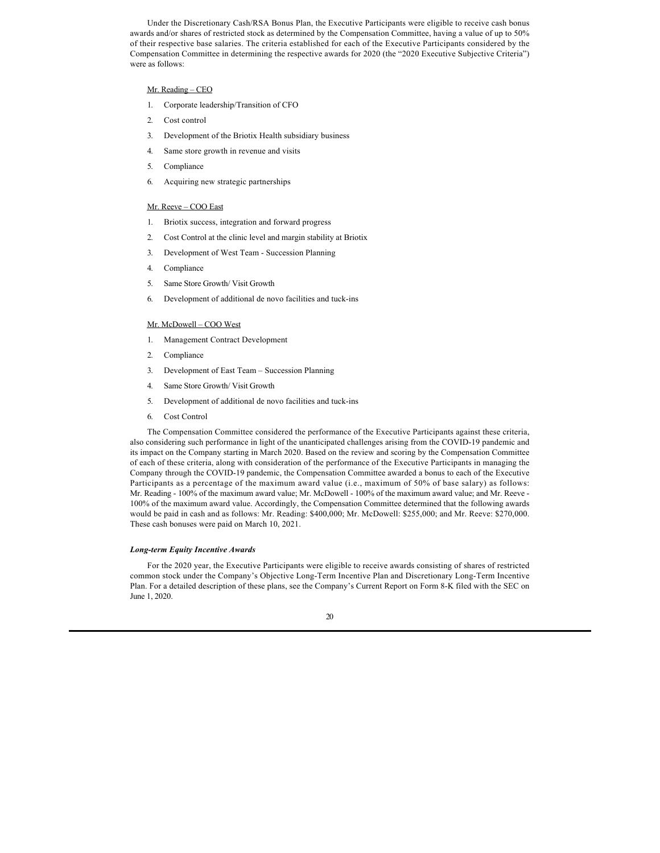Under the Discretionary Cash/RSA Bonus Plan, the Executive Participants were eligible to receive cash bonus awards and/or shares of restricted stock as determined by the Compensation Committee, having a value of up to 50% of their respective base salaries. The criteria established for each of the Executive Participants considered by the Compensation Committee in determining the respective awards for 2020 (the "2020 Executive Subjective Criteria") were as follows:

## Mr. Reading – CEO

- 1. Corporate leadership/Transition of CFO
- 2. Cost control
- 3. Development of the Briotix Health subsidiary business
- 4. Same store growth in revenue and visits
- 5. Compliance
- 6. Acquiring new strategic partnerships

### Mr. Reeve – COO East

- 1. Briotix success, integration and forward progress
- 2. Cost Control at the clinic level and margin stability at Briotix
- 3. Development of West Team Succession Planning
- 4. Compliance
- 5. Same Store Growth/ Visit Growth
- 6. Development of additional de novo facilities and tuck-ins

### Mr. McDowell – COO West

- 1. Management Contract Development
- 2. Compliance
- 3. Development of East Team Succession Planning
- 4. Same Store Growth/ Visit Growth
- 5. Development of additional de novo facilities and tuck-ins
- 6. Cost Control

The Compensation Committee considered the performance of the Executive Participants against these criteria, also considering such performance in light of the unanticipated challenges arising from the COVID-19 pandemic and its impact on the Company starting in March 2020. Based on the review and scoring by the Compensation Committee of each of these criteria, along with consideration of the performance of the Executive Participants in managing the Company through the COVID-19 pandemic, the Compensation Committee awarded a bonus to each of the Executive Participants as a percentage of the maximum award value (i.e., maximum of 50% of base salary) as follows: Mr. Reading - 100% of the maximum award value; Mr. McDowell - 100% of the maximum award value; and Mr. Reeve - 100% of the maximum award value. Accordingly, the Compensation Committee determined that the following awards would be paid in cash and as follows: Mr. Reading: \$400,000; Mr. McDowell: \$255,000; and Mr. Reeve: \$270,000. These cash bonuses were paid on March 10, 2021.

### *Long-term Equity Incentive Awards*

For the 2020 year, the Executive Participants were eligible to receive awards consisting of shares of restricted common stock under the Company's Objective Long-Term Incentive Plan and Discretionary Long-Term Incentive Plan. For a detailed description of these plans, see the Company's Current Report on Form 8-K filed with the SEC on June 1, 2020.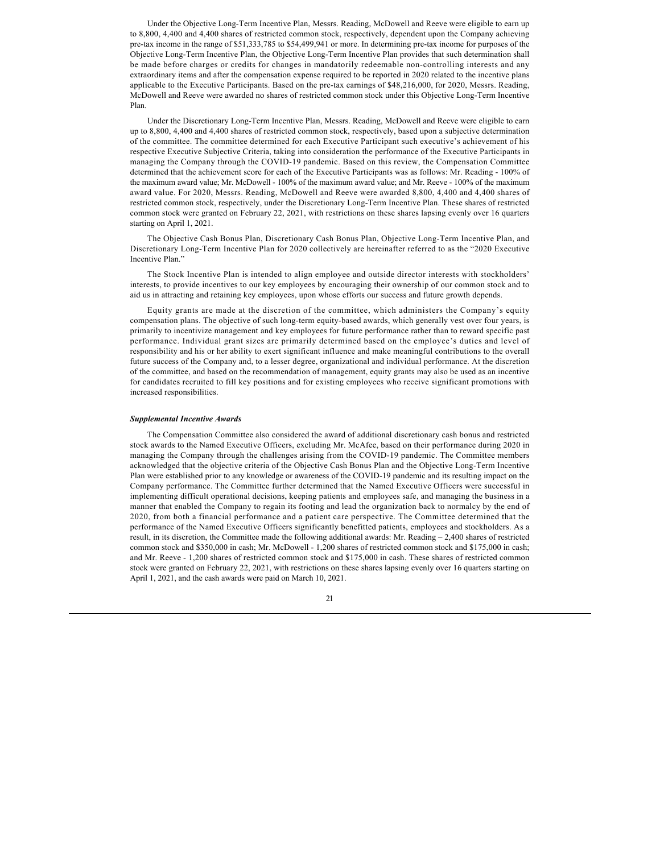Under the Objective Long-Term Incentive Plan, Messrs. Reading, McDowell and Reeve were eligible to earn up to 8,800, 4,400 and 4,400 shares of restricted common stock, respectively, dependent upon the Company achieving pre-tax income in the range of \$51,333,785 to \$54,499,941 or more. In determining pre-tax income for purposes of the Objective Long-Term Incentive Plan, the Objective Long-Term Incentive Plan provides that such determination shall be made before charges or credits for changes in mandatorily redeemable non-controlling interests and any extraordinary items and after the compensation expense required to be reported in 2020 related to the incentive plans applicable to the Executive Participants. Based on the pre-tax earnings of \$48,216,000, for 2020, Messrs. Reading, McDowell and Reeve were awarded no shares of restricted common stock under this Objective Long-Term Incentive Plan.

Under the Discretionary Long-Term Incentive Plan, Messrs. Reading, McDowell and Reeve were eligible to earn up to 8,800, 4,400 and 4,400 shares of restricted common stock, respectively, based upon a subjective determination of the committee. The committee determined for each Executive Participant such executive's achievement of his respective Executive Subjective Criteria, taking into consideration the performance of the Executive Participants in managing the Company through the COVID-19 pandemic. Based on this review, the Compensation Committee determined that the achievement score for each of the Executive Participants was as follows: Mr. Reading - 100% of the maximum award value; Mr. McDowell - 100% of the maximum award value; and Mr. Reeve - 100% of the maximum award value. For 2020, Messrs. Reading, McDowell and Reeve were awarded 8,800, 4,400 and 4,400 shares of restricted common stock, respectively, under the Discretionary Long-Term Incentive Plan. These shares of restricted common stock were granted on February 22, 2021, with restrictions on these shares lapsing evenly over 16 quarters starting on April 1, 2021.

The Objective Cash Bonus Plan, Discretionary Cash Bonus Plan, Objective Long-Term Incentive Plan, and Discretionary Long-Term Incentive Plan for 2020 collectively are hereinafter referred to as the "2020 Executive Incentive Plan."

The Stock Incentive Plan is intended to align employee and outside director interests with stockholders' interests, to provide incentives to our key employees by encouraging their ownership of our common stock and to aid us in attracting and retaining key employees, upon whose efforts our success and future growth depends.

Equity grants are made at the discretion of the committee, which administers the Company's equity compensation plans. The objective of such long-term equity-based awards, which generally vest over four years, is primarily to incentivize management and key employees for future performance rather than to reward specific past performance. Individual grant sizes are primarily determined based on the employee's duties and level of responsibility and his or her ability to exert significant influence and make meaningful contributions to the overall future success of the Company and, to a lesser degree, organizational and individual performance. At the discretion of the committee, and based on the recommendation of management, equity grants may also be used as an incentive for candidates recruited to fill key positions and for existing employees who receive significant promotions with increased responsibilities.

### *Supplemental Incentive Awards*

The Compensation Committee also considered the award of additional discretionary cash bonus and restricted stock awards to the Named Executive Officers, excluding Mr. McAfee, based on their performance during 2020 in managing the Company through the challenges arising from the COVID-19 pandemic. The Committee members acknowledged that the objective criteria of the Objective Cash Bonus Plan and the Objective Long-Term Incentive Plan were established prior to any knowledge or awareness of the COVID-19 pandemic and its resulting impact on the Company performance. The Committee further determined that the Named Executive Officers were successful in implementing difficult operational decisions, keeping patients and employees safe, and managing the business in a manner that enabled the Company to regain its footing and lead the organization back to normalcy by the end of 2020, from both a financial performance and a patient care perspective. The Committee determined that the performance of the Named Executive Officers significantly benefitted patients, employees and stockholders. As a result, in its discretion, the Committee made the following additional awards: Mr. Reading – 2,400 shares of restricted common stock and \$350,000 in cash; Mr. McDowell - 1,200 shares of restricted common stock and \$175,000 in cash; and Mr. Reeve - 1,200 shares of restricted common stock and \$175,000 in cash. These shares of restricted common stock were granted on February 22, 2021, with restrictions on these shares lapsing evenly over 16 quarters starting on April 1, 2021, and the cash awards were paid on March 10, 2021.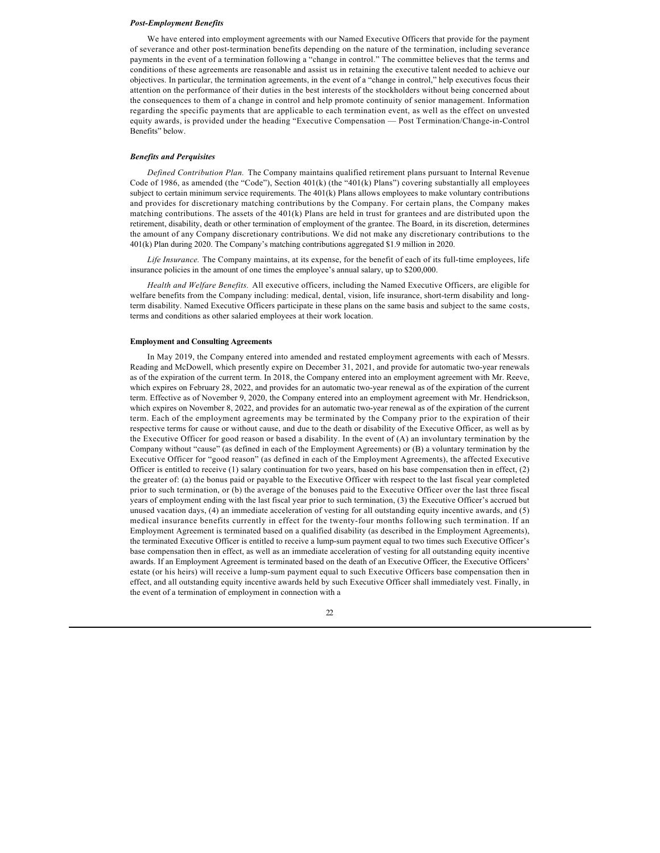#### *Post-Employment Benefits*

We have entered into employment agreements with our Named Executive Officers that provide for the payment of severance and other post-termination benefits depending on the nature of the termination, including severance payments in the event of a termination following a "change in control." The committee believes that the terms and conditions of these agreements are reasonable and assist us in retaining the executive talent needed to achieve our objectives. In particular, the termination agreements, in the event of a "change in control," help executives focus their attention on the performance of their duties in the best interests of the stockholders without being concerned about the consequences to them of a change in control and help promote continuity of senior management. Information regarding the specific payments that are applicable to each termination event, as well as the effect on unvested equity awards, is provided under the heading "Executive Compensation — Post Termination/Change-in-Control Benefits" below.

### *Benefits and Perquisites*

*Defined Contribution Plan.* The Company maintains qualified retirement plans pursuant to Internal Revenue Code of 1986, as amended (the "Code"), Section 401(k) (the "401(k) Plans") covering substantially all employees subject to certain minimum service requirements. The 401(k) Plans allows employees to make voluntary contributions and provides for discretionary matching contributions by the Company. For certain plans, the Company makes matching contributions. The assets of the 401(k) Plans are held in trust for grantees and are distributed upon the retirement, disability, death or other termination of employment of the grantee. The Board, in its discretion, determines the amount of any Company discretionary contributions. We did not make any discretionary contributions to the 401(k) Plan during 2020. The Company's matching contributions aggregated \$1.9 million in 2020.

*Life Insurance.* The Company maintains, at its expense, for the benefit of each of its full-time employees, life insurance policies in the amount of one times the employee's annual salary, up to \$200,000.

*Health and Welfare Benefits.* All executive officers, including the Named Executive Officers, are eligible for welfare benefits from the Company including: medical, dental, vision, life insurance, short-term disability and longterm disability. Named Executive Officers participate in these plans on the same basis and subject to the same costs, terms and conditions as other salaried employees at their work location.

#### **Employment and Consulting Agreements**

In May 2019, the Company entered into amended and restated employment agreements with each of Messrs. Reading and McDowell, which presently expire on December 31, 2021, and provide for automatic two-year renewals as of the expiration of the current term. In 2018, the Company entered into an employment agreement with Mr. Reeve, which expires on February 28, 2022, and provides for an automatic two-year renewal as of the expiration of the current term. Effective as of November 9, 2020, the Company entered into an employment agreement with Mr. Hendrickson, which expires on November 8, 2022, and provides for an automatic two-year renewal as of the expiration of the current term. Each of the employment agreements may be terminated by the Company prior to the expiration of their respective terms for cause or without cause, and due to the death or disability of the Executive Officer, as well as by the Executive Officer for good reason or based a disability. In the event of (A) an involuntary termination by the Company without "cause" (as defined in each of the Employment Agreements) or (B) a voluntary termination by the Executive Officer for "good reason" (as defined in each of the Employment Agreements), the affected Executive Officer is entitled to receive  $(1)$  salary continuation for two years, based on his base compensation then in effect,  $(2)$ the greater of: (a) the bonus paid or payable to the Executive Officer with respect to the last fiscal year completed prior to such termination, or (b) the average of the bonuses paid to the Executive Officer over the last three fiscal years of employment ending with the last fiscal year prior to such termination, (3) the Executive Officer's accrued but unused vacation days, (4) an immediate acceleration of vesting for all outstanding equity incentive awards, and (5) medical insurance benefits currently in effect for the twenty-four months following such termination. If an Employment Agreement is terminated based on a qualified disability (as described in the Employment Agreements), the terminated Executive Officer is entitled to receive a lump-sum payment equal to two times such Executive Officer's base compensation then in effect, as well as an immediate acceleration of vesting for all outstanding equity incentive awards. If an Employment Agreement is terminated based on the death of an Executive Officer, the Executive Officers' estate (or his heirs) will receive a lump-sum payment equal to such Executive Officers base compensation then in effect, and all outstanding equity incentive awards held by such Executive Officer shall immediately vest. Finally, in the event of a termination of employment in connection with a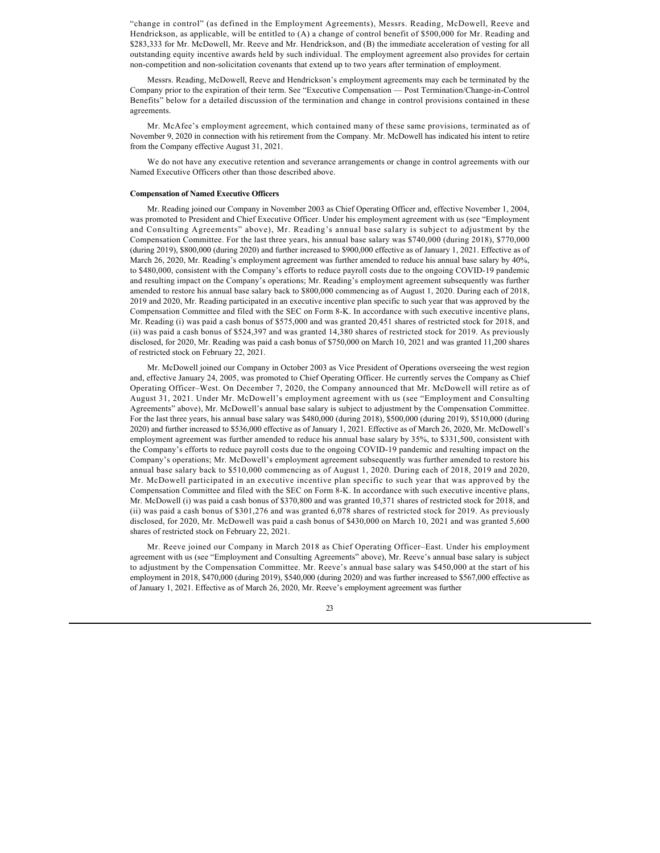"change in control" (as defined in the Employment Agreements), Messrs. Reading, McDowell, Reeve and Hendrickson, as applicable, will be entitled to (A) a change of control benefit of \$500,000 for Mr. Reading and \$283,333 for Mr. McDowell, Mr. Reeve and Mr. Hendrickson, and (B) the immediate acceleration of vesting for all outstanding equity incentive awards held by such individual. The employment agreement also provides for certain non-competition and non-solicitation covenants that extend up to two years after termination of employment.

Messrs. Reading, McDowell, Reeve and Hendrickson's employment agreements may each be terminated by the Company prior to the expiration of their term. See "Executive Compensation — Post Termination/Change-in-Control Benefits" below for a detailed discussion of the termination and change in control provisions contained in these agreements.

Mr. McAfee's employment agreement, which contained many of these same provisions, terminated as of November 9, 2020 in connection with his retirement from the Company. Mr. McDowell has indicated his intent to retire from the Company effective August 31, 2021.

We do not have any executive retention and severance arrangements or change in control agreements with our Named Executive Officers other than those described above.

### **Compensation of Named Executive Officers**

Mr. Reading joined our Company in November 2003 as Chief Operating Officer and, effective November 1, 2004, was promoted to President and Chief Executive Officer. Under his employment agreement with us (see "Employment and Consulting Agreements" above), Mr. Reading's annual base salary is subject to adjustment by the Compensation Committee. For the last three years, his annual base salary was \$740,000 (during 2018), \$770,000 (during 2019), \$800,000 (during 2020) and further increased to \$900,000 effective as of January 1, 2021. Effective as of March 26, 2020, Mr. Reading's employment agreement was further amended to reduce his annual base salary by 40%, to \$480,000, consistent with the Company's efforts to reduce payroll costs due to the ongoing COVID-19 pandemic and resulting impact on the Company's operations; Mr. Reading's employment agreement subsequently was further amended to restore his annual base salary back to \$800,000 commencing as of August 1, 2020. During each of 2018, 2019 and 2020, Mr. Reading participated in an executive incentive plan specific to such year that was approved by the Compensation Committee and filed with the SEC on Form 8-K. In accordance with such executive incentive plans, Mr. Reading (i) was paid a cash bonus of \$575,000 and was granted 20,451 shares of restricted stock for 2018, and (ii) was paid a cash bonus of \$524,397 and was granted 14,380 shares of restricted stock for 2019. As previously disclosed, for 2020, Mr. Reading was paid a cash bonus of \$750,000 on March 10, 2021 and was granted 11,200 shares of restricted stock on February 22, 2021.

Mr. McDowell joined our Company in October 2003 as Vice President of Operations overseeing the west region and, effective January 24, 2005, was promoted to Chief Operating Officer. He currently serves the Company as Chief Operating Officer–West. On December 7, 2020, the Company announced that Mr. McDowell will retire as of August 31, 2021. Under Mr. McDowell's employment agreement with us (see "Employment and Consulting Agreements" above), Mr. McDowell's annual base salary is subject to adjustment by the Compensation Committee. For the last three years, his annual base salary was \$480,000 (during 2018), \$500,000 (during 2019), \$510,000 (during 2020) and further increased to \$536,000 effective as of January 1, 2021. Effective as of March 26, 2020, Mr. McDowell's employment agreement was further amended to reduce his annual base salary by 35%, to \$331,500, consistent with the Company's efforts to reduce payroll costs due to the ongoing COVID-19 pandemic and resulting impact on the Company's operations; Mr. McDowell's employment agreement subsequently was further amended to restore his annual base salary back to \$510,000 commencing as of August 1, 2020. During each of 2018, 2019 and 2020, Mr. McDowell participated in an executive incentive plan specific to such year that was approved by the Compensation Committee and filed with the SEC on Form 8-K. In accordance with such executive incentive plans, Mr. McDowell (i) was paid a cash bonus of \$370,800 and was granted 10,371 shares of restricted stock for 2018, and (ii) was paid a cash bonus of \$301,276 and was granted 6,078 shares of restricted stock for 2019. As previously disclosed, for 2020, Mr. McDowell was paid a cash bonus of \$430,000 on March 10, 2021 and was granted 5,600 shares of restricted stock on February 22, 2021.

Mr. Reeve joined our Company in March 2018 as Chief Operating Officer–East. Under his employment agreement with us (see "Employment and Consulting Agreements" above), Mr. Reeve's annual base salary is subject to adjustment by the Compensation Committee. Mr. Reeve's annual base salary was \$450,000 at the start of his employment in 2018, \$470,000 (during 2019), \$540,000 (during 2020) and was further increased to \$567,000 effective as of January 1, 2021. Effective as of March 26, 2020, Mr. Reeve's employment agreement was further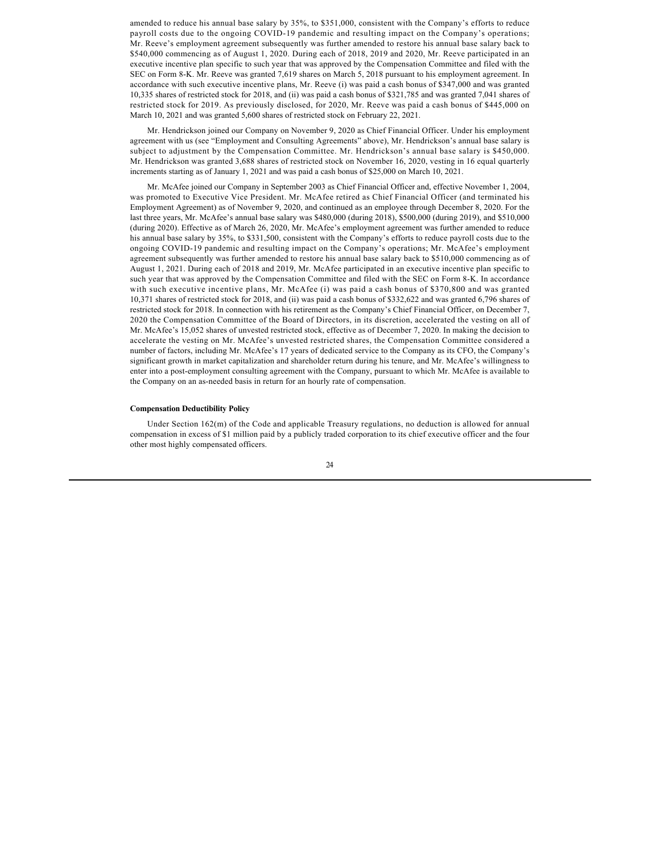amended to reduce his annual base salary by 35%, to \$351,000, consistent with the Company's efforts to reduce payroll costs due to the ongoing COVID-19 pandemic and resulting impact on the Company's operations; Mr. Reeve's employment agreement subsequently was further amended to restore his annual base salary back to \$540,000 commencing as of August 1, 2020. During each of 2018, 2019 and 2020, Mr. Reeve participated in an executive incentive plan specific to such year that was approved by the Compensation Committee and filed with the SEC on Form 8-K. Mr. Reeve was granted 7,619 shares on March 5, 2018 pursuant to his employment agreement. In accordance with such executive incentive plans, Mr. Reeve (i) was paid a cash bonus of \$347,000 and was granted 10,335 shares of restricted stock for 2018, and (ii) was paid a cash bonus of \$321,785 and was granted 7,041 shares of restricted stock for 2019. As previously disclosed, for 2020, Mr. Reeve was paid a cash bonus of \$445,000 on March 10, 2021 and was granted 5,600 shares of restricted stock on February 22, 2021.

Mr. Hendrickson joined our Company on November 9, 2020 as Chief Financial Officer. Under his employment agreement with us (see "Employment and Consulting Agreements" above), Mr. Hendrickson's annual base salary is subject to adjustment by the Compensation Committee. Mr. Hendrickson's annual base salary is \$450,000. Mr. Hendrickson was granted 3,688 shares of restricted stock on November 16, 2020, vesting in 16 equal quarterly increments starting as of January 1, 2021 and was paid a cash bonus of \$25,000 on March 10, 2021.

Mr. McAfee joined our Company in September 2003 as Chief Financial Officer and, effective November 1, 2004, was promoted to Executive Vice President. Mr. McAfee retired as Chief Financial Officer (and terminated his Employment Agreement) as of November 9, 2020, and continued as an employee through December 8, 2020. For the last three years, Mr. McAfee's annual base salary was \$480,000 (during 2018), \$500,000 (during 2019), and \$510,000 (during 2020). Effective as of March 26, 2020, Mr. McAfee's employment agreement was further amended to reduce his annual base salary by 35%, to \$331,500, consistent with the Company's efforts to reduce payroll costs due to the ongoing COVID-19 pandemic and resulting impact on the Company's operations; Mr. McAfee's employment agreement subsequently was further amended to restore his annual base salary back to \$510,000 commencing as of August 1, 2021. During each of 2018 and 2019, Mr. McAfee participated in an executive incentive plan specific to such year that was approved by the Compensation Committee and filed with the SEC on Form 8-K. In accordance with such executive incentive plans, Mr. McAfee (i) was paid a cash bonus of \$370,800 and was granted 10,371 shares of restricted stock for 2018, and (ii) was paid a cash bonus of \$332,622 and was granted 6,796 shares of restricted stock for 2018. In connection with his retirement as the Company's Chief Financial Officer, on December 7, 2020 the Compensation Committee of the Board of Directors, in its discretion, accelerated the vesting on all of Mr. McAfee's 15,052 shares of unvested restricted stock, effective as of December 7, 2020. In making the decision to accelerate the vesting on Mr. McAfee's unvested restricted shares, the Compensation Committee considered a number of factors, including Mr. McAfee's 17 years of dedicated service to the Company as its CFO, the Company's significant growth in market capitalization and shareholder return during his tenure, and Mr. McAfee's willingness to enter into a post-employment consulting agreement with the Company, pursuant to which Mr. McAfee is available to the Company on an as-needed basis in return for an hourly rate of compensation.

#### <span id="page-25-0"></span>**Compensation Deductibility Policy**

Under Section 162(m) of the Code and applicable Treasury regulations, no deduction is allowed for annual compensation in excess of \$1 million paid by a publicly traded corporation to its chief executive officer and the four other most highly compensated officers.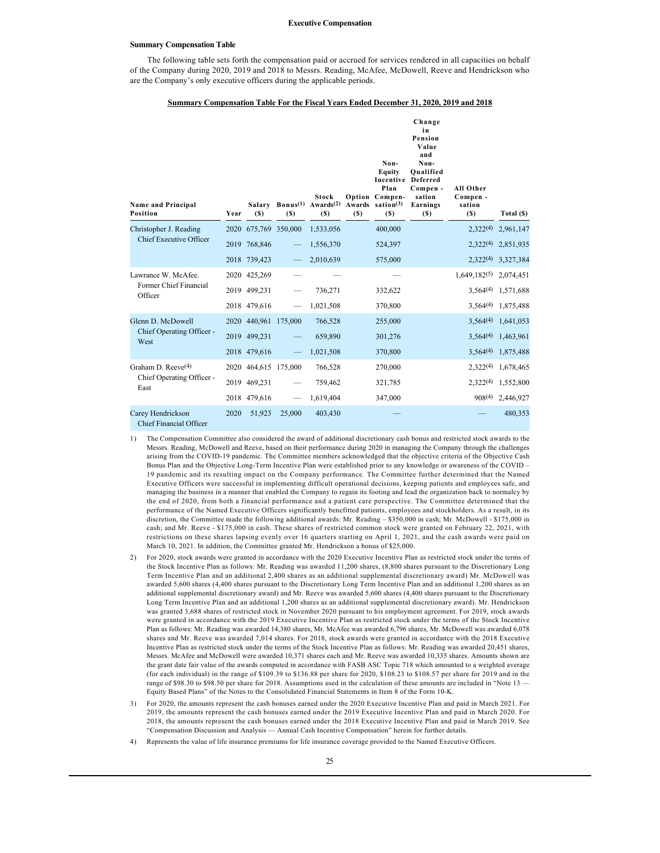#### **Executive Compensation**

#### <span id="page-26-0"></span>**Summary Compensation Table**

The following table sets forth the compensation paid or accrued for services rendered in all capacities on behalf of the Company during 2020, 2019 and 2018 to Messrs. Reading, McAfee, McDowell, Reeve and Hendrickson who are the Company's only executive officers during the applicable periods.

#### **Summary Compensation Table For the Fiscal Years Ended December 31, 2020, 2019 and 2018**

| <b>Name and Principal</b><br>Position        | Year | (S)                  | (S)    | <b>Stock</b><br>Salary Bonus <sup>(1)</sup> Awards <sup>(2)</sup><br>(S) | (S) | Non-<br><b>Equity</b><br><b>Incentive Deferred</b><br>Plan<br>Option Compen-<br>Awards sation $(3)$<br>(S) | Change<br>in<br>Pension<br>Value<br>and<br>Non-<br>Oualified<br>Compen -<br>sation<br>Earnings<br>(S) | All Other<br>Compen -<br>sation<br>(S) | Total (\$)              |
|----------------------------------------------|------|----------------------|--------|--------------------------------------------------------------------------|-----|------------------------------------------------------------------------------------------------------------|-------------------------------------------------------------------------------------------------------|----------------------------------------|-------------------------|
| Christopher J. Reading                       |      | 2020 675,769 350,000 |        | 1,533,056                                                                |     | 400,000                                                                                                    |                                                                                                       | 2.322(4)                               | 2,961,147               |
| <b>Chief Executive Officer</b>               |      | 2019 768,846         |        | 1,556,370                                                                |     | 524,397                                                                                                    |                                                                                                       | 2.322(4)                               | 2,851,935               |
|                                              |      | 2018 739,423         |        | 2,010,639                                                                |     | 575,000                                                                                                    |                                                                                                       | 2,322(4)                               | 3,327,384               |
| Lawrance W. McAfee.                          |      | 2020 425,269         |        |                                                                          |     |                                                                                                            |                                                                                                       | $1,649,182^{(5)}$                      | 2,074,451               |
| Former Chief Financial<br>Officer            |      | 2019 499,231         |        | 736,271                                                                  |     | 332,622                                                                                                    |                                                                                                       |                                        | $3,564^{(4)}$ 1,571,688 |
|                                              |      | 2018 479,616         |        | 1,021,508                                                                |     | 370,800                                                                                                    |                                                                                                       |                                        | $3,564^{(4)}$ 1,875,488 |
| Glenn D. McDowell                            |      | 2020 440,961 175,000 |        | 766,528                                                                  |     | 255,000                                                                                                    |                                                                                                       | $3,564^{(4)}$                          | 1,641,053               |
| Chief Operating Officer -<br>West            |      | 2019 499,231         |        | 659,890                                                                  |     | 301,276                                                                                                    |                                                                                                       | $3,564^{(4)}$                          | 1,463,961               |
|                                              |      | 2018 479,616         |        | 1,021,508                                                                |     | 370,800                                                                                                    |                                                                                                       | $3,564^{(4)}$                          | 1,875,488               |
| Graham D. Reeve $(4)$                        |      | 2020 464,615 175,000 |        | 766,528                                                                  |     | 270,000                                                                                                    |                                                                                                       | 2,322(4)                               | 1,678,465               |
| Chief Operating Officer -<br>East            |      | 2019 469,231         |        | 759,462                                                                  |     | 321,785                                                                                                    |                                                                                                       | $2,322^{(4)}$                          | 1,552,800               |
|                                              |      | 2018 479,616         |        | 1,619,404                                                                |     | 347,000                                                                                                    |                                                                                                       | $908^{(4)}$                            | 2,446,927               |
| Carey Hendrickson<br>Chief Financial Officer | 2020 | 51,923               | 25,000 | 403,430                                                                  |     |                                                                                                            |                                                                                                       |                                        | 480,353                 |

- 1) The Compensation Committee also considered the award of additional discretionary cash bonus and restricted stock awards to the Messrs. Reading, McDowell and Reeve, based on their performance during 2020 in managing the Company through the challenges arising from the COVID-19 pandemic. The Committee members acknowledged that the objective criteria of the Objective Cash Bonus Plan and the Objective Long-Term Incentive Plan were established prior to any knowledge or awareness of the COVID – 19 pandemic and its resulting impact on the Company performance. The Committee further determined that the Named Executive Officers were successful in implementing difficult operational decisions, keeping patients and employees safe, and managing the business in a manner that enabled the Company to regain its footing and lead the organization back to normalcy by the end of 2020, from both a financial performance and a patient care perspective. The Committee determined that the performance of the Named Executive Officers significantly benefitted patients, employees and stockholders. As a result, in its discretion, the Committee made the following additional awards: Mr. Reading – \$350,000 in cash; Mr. McDowell - \$175,000 in cash; and Mr. Reeve - \$175,000 in cash. These shares of restricted common stock were granted on February 22, 2021, with restrictions on these shares lapsing evenly over 16 quarters starting on April 1, 2021, and the cash awards were paid on March 10, 2021. In addition, the Committee granted Mr. Hendrickson a bonus of \$25,000.
- 2) For 2020, stock awards were granted in accordance with the 2020 Executive Incentive Plan as restricted stock under the terms of the Stock Incentive Plan as follows: Mr. Reading was awarded 11,200 shares, (8,800 shares pursuant to the Discretionary Long Term Incentive Plan and an additional 2,400 shares as an additional supplemental discretionary award) Mr. McDowell was awarded 5,600 shares (4,400 shares pursuant to the Discretionary Long Term Incentive Plan and an additional 1,200 shares as an additional supplemental discretionary award) and Mr. Reeve was awarded 5,600 shares (4,400 shares pursuant to the Discretionary Long Term Incentive Plan and an additional 1,200 shares as an additional supplemental discretionary award). Mr. Hendrickson was granted 3,688 shares of restricted stock in November 2020 pursuant to his employment agreement. For 2019, stock awards were granted in accordance with the 2019 Executive Incentive Plan as restricted stock under the terms of the Stock Incentive Plan as follows: Mr. Reading was awarded 14,380 shares, Mr. McAfee was awarded 6,796 shares, Mr. McDowell was awarded 6,078 shares and Mr. Reeve was awarded 7,014 shares. For 2018, stock awards were granted in accordance with the 2018 Executive Incentive Plan as restricted stock under the terms of the Stock Incentive Plan as follows: Mr. Reading was awarded 20,451 shares, Messrs. McAfee and McDowell were awarded 10,371 shares each and Mr. Reeve was awarded 10,335 shares. Amounts shown are the grant date fair value of the awards computed in accordance with FASB ASC Topic 718 which amounted to a weighted average (for each individual) in the range of \$109.39 to \$136.88 per share for 2020, \$108.23 to \$108.57 per share for 2019 and in the range of \$98.30 to \$98.50 per share for 2018. Assumptions used in the calculation of these amounts are included in "Note 13 -Equity Based Plans" of the Notes to the Consolidated Financial Statements in Item 8 of the Form 10-K.
- 3) For 2020, the amounts represent the cash bonuses earned under the 2020 Executive Incentive Plan and paid in March 2021. For 2019, the amounts represent the cash bonuses earned under the 2019 Executive Incentive Plan and paid in March 2020. For 2018, the amounts represent the cash bonuses earned under the 2018 Executive Incentive Plan and paid in March 2019. See "Compensation Discussion and Analysis — Annual Cash Incentive Compensation" herein for further details.
- 4) Represents the value of life insurance premiums for life insurance coverage provided to the Named Executive Officers.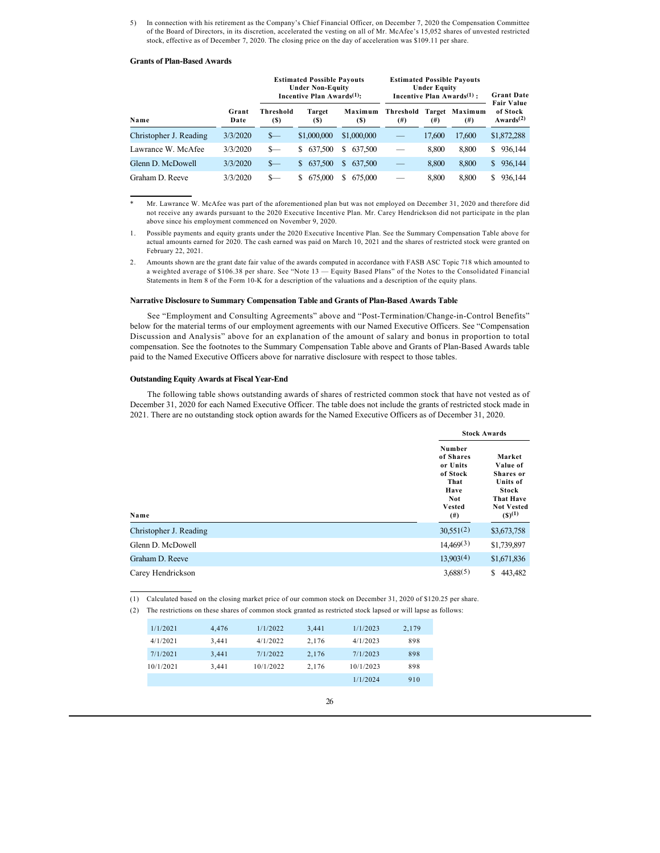5) In connection with his retirement as the Company's Chief Financial Officer, on December 7, 2020 the Compensation Committee of the Board of Directors, in its discretion, accelerated the vesting on all of Mr. McAfee's 15,052 shares of unvested restricted stock, effective as of December 7, 2020. The closing price on the day of acceleration was \$109.11 per share.

#### **Grants of Plan-Based Awards**

|                        |               |                  | <b>Estimated Possible Payouts</b><br><b>Under Non-Equity</b><br>Incentive Plan Awards $(1)$ : |                |                       | <b>Under Equity</b> | <b>Estimated Possible Payouts</b><br>Incentive Plan Awards $(1)$ : | <b>Grant Date</b><br><b>Fair Value</b>         |
|------------------------|---------------|------------------|-----------------------------------------------------------------------------------------------|----------------|-----------------------|---------------------|--------------------------------------------------------------------|------------------------------------------------|
| Name                   | Grant<br>Date | Threshold<br>(S) | Target<br>(S)                                                                                 | Maximum<br>(S) | Threshold<br>$^{(#)}$ | (#)                 | Target Maximum<br>$^{(#)}$                                         | of Stock<br>Awards <sup><math>(2)</math></sup> |
| Christopher J. Reading | 3/3/2020      | $S-$             | \$1,000,000                                                                                   | \$1,000,000    |                       | 17.600              | 17,600                                                             | \$1,872,288                                    |
| Lawrance W. McAfee     | 3/3/2020      | $s-$             | 637,500<br>S.                                                                                 | S.<br>637,500  |                       | 8.800               | 8.800                                                              | \$936,144                                      |
| Glenn D. McDowell      | 3/3/2020      | $S-$             | 637,500<br>S.                                                                                 | S.<br>637,500  |                       | 8.800               | 8.800                                                              | 936,144<br>S.                                  |
| Graham D. Reeve        | 3/3/2020      | $S-$             | 675,000<br>S.                                                                                 | S.<br>675,000  |                       | 8.800               | 8.800                                                              | 936.144<br>S.                                  |

Mr. Lawrance W. McAfee was part of the aforementioned plan but was not employed on December 31, 2020 and therefore did not receive any awards pursuant to the 2020 Executive Incentive Plan. Mr. Carey Hendrickson did not participate in the plan above since his employment commenced on November 9, 2020.

1. Possible payments and equity grants under the 2020 Executive Incentive Plan. See the Summary Compensation Table above for actual amounts earned for 2020. The cash earned was paid on March 10, 2021 and the shares of restricted stock were granted on February 22, 2021.

2. Amounts shown are the grant date fair value of the awards computed in accordance with FASB ASC Topic 718 which amounted to a weighted average of \$106.38 per share. See "Note 13 — Equity Based Plans" of the Notes to the Consolidated Financial Statements in Item 8 of the Form 10-K for a description of the valuations and a description of the equity plans.

### **Narrative Disclosure to Summary Compensation Table and Grants of Plan-Based Awards Table**

See "Employment and Consulting Agreements" above and "Post-Termination/Change-in-Control Benefits" below for the material terms of our employment agreements with our Named Executive Officers. See "Compensation Discussion and Analysis" above for an explanation of the amount of salary and bonus in proportion to total compensation. See the footnotes to the Summary Compensation Table above and Grants of Plan-Based Awards table paid to the Named Executive Officers above for narrative disclosure with respect to those tables.

### **Outstanding Equity Awards at Fiscal Year-End**

The following table shows outstanding awards of shares of restricted common stock that have not vested as of December 31, 2020 for each Named Executive Officer. The table does not include the grants of restricted stock made in 2021. There are no outstanding stock option awards for the Named Executive Officers as of December 31, 2020.

|                        |                                                                                                        | <b>Stock Awards</b>                                                                                                               |
|------------------------|--------------------------------------------------------------------------------------------------------|-----------------------------------------------------------------------------------------------------------------------------------|
| Name                   | Number<br>of Shares<br>or Units<br>of Stock<br>That<br>Have<br><b>Not</b><br><b>Vested</b><br>$^{(#)}$ | Market<br>Value of<br><b>Shares</b> or<br><b>Units of</b><br><b>Stock</b><br><b>That Have</b><br><b>Not Vested</b><br>$(S)^{(1)}$ |
| Christopher J. Reading | 30,551(2)                                                                                              | \$3,673,758                                                                                                                       |
| Glenn D. McDowell      | 14,469(3)                                                                                              | \$1,739,897                                                                                                                       |
| Graham D. Reeve        | 13,903(4)                                                                                              | \$1,671,836                                                                                                                       |
| Carey Hendrickson      | 3,688(5)                                                                                               | S.<br>443,482                                                                                                                     |

(1) Calculated based on the closing market price of our common stock on December 31, 2020 of \$120.25 per share.

(2) The restrictions on these shares of common stock granted as restricted stock lapsed or will lapse as follows:

| 1/1/2021  | 4.476 | 1/1/2022  | 3.441 | 1/1/2023  | 2,179 |
|-----------|-------|-----------|-------|-----------|-------|
| 4/1/2021  | 3.441 | 4/1/2022  | 2.176 | 4/1/2023  | 898   |
| 7/1/2021  | 3.441 | 7/1/2022  | 2.176 | 7/1/2023  | 898   |
| 10/1/2021 | 3.441 | 10/1/2022 | 2.176 | 10/1/2023 | 898   |
|           |       |           |       | 1/1/2024  | 910   |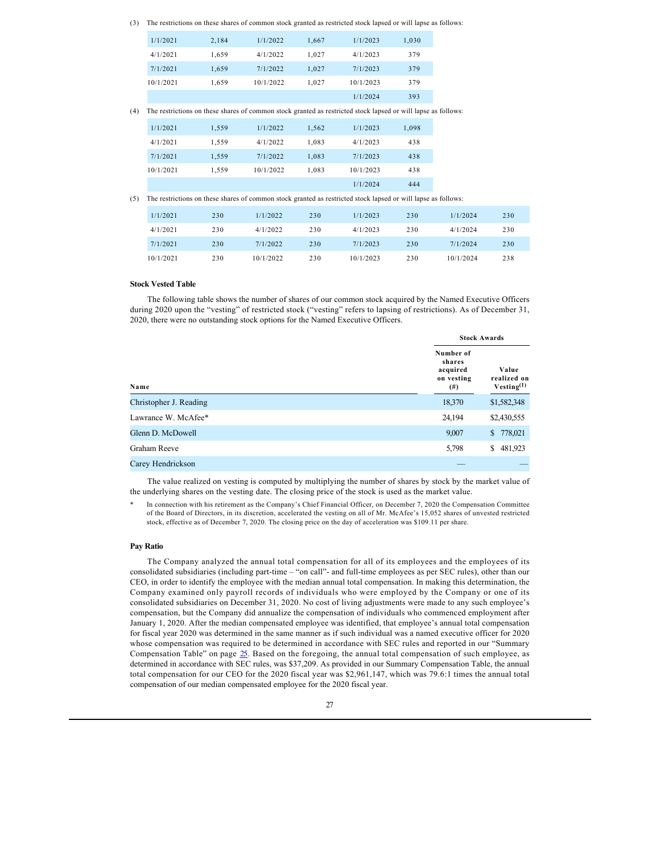(3) The restrictions on these shares of common stock granted as restricted stock lapsed or will lapse as follows:

| 1/1/2021  | 2,184 | 1/1/2022  | 1.667 | 1/1/2023  | 1,030 |
|-----------|-------|-----------|-------|-----------|-------|
| 4/1/2021  | 1.659 | 4/1/2022  | 1.027 | 4/1/2023  | 379   |
| 7/1/2021  | 1.659 | 7/1/2022  | 1.027 | 7/1/2023  | 379   |
| 10/1/2021 | 1.659 | 10/1/2022 | 1,027 | 10/1/2023 | 379   |
|           |       |           |       | 1/1/2024  | 393   |

(4) The restrictions on these shares of common stock granted as restricted stock lapsed or will lapse as follows:

| 1/1/2021  | 1.559 | 1/1/2022  | 1.562 | 1/1/2023  | 1,098 |  |
|-----------|-------|-----------|-------|-----------|-------|--|
| 4/1/2021  | 1.559 | 4/1/2022  | 1.083 | 4/1/2023  | 438   |  |
| 7/1/2021  | 1.559 | 7/1/2022  | 1,083 | 7/1/2023  | 438   |  |
| 10/1/2021 | 1.559 | 10/1/2022 | 1.083 | 10/1/2023 | 438   |  |
|           |       |           |       | 1/1/2024  | 444   |  |

(5) The restrictions on these shares of common stock granted as restricted stock lapsed or will lapse as follows:

| 1/1/2021  | 230 | 1/1/2022  | 230 | 1/1/2023  | 230 | 1/1/2024  | 230 |  |
|-----------|-----|-----------|-----|-----------|-----|-----------|-----|--|
| 4/1/2021  | 230 | 4/1/2022  | 230 | 4/1/2023  | 230 | 4/1/2024  | 230 |  |
| 7/1/2021  | 230 | 7/1/2022  | 230 | 7/1/2023  | 230 | 7/1/2024  | 230 |  |
| 10/1/2021 | 230 | 10/1/2022 | 230 | 10/1/2023 | 230 | 10/1/2024 | 238 |  |

### **Stock Vested Table**

The following table shows the number of shares of our common stock acquired by the Named Executive Officers during 2020 upon the "vesting" of restricted stock ("vesting" refers to lapsing of restrictions). As of December 31, 2020, there were no outstanding stock options for the Named Executive Officers.

|                        |                                                           | <b>Stock Awards</b>                            |  |  |
|------------------------|-----------------------------------------------------------|------------------------------------------------|--|--|
| Name                   | Number of<br>shares<br>acquired<br>on vesting<br>$^{(#)}$ | Value<br>realized on<br>Vesting <sup>(1)</sup> |  |  |
| Christopher J. Reading | 18,370                                                    | \$1,582,348                                    |  |  |
| Lawrance W. McAfee*    | 24,194                                                    | \$2,430,555                                    |  |  |
| Glenn D. McDowell      | 9,007                                                     | 778,021<br>\$                                  |  |  |
| Graham Reeve           | 5,798                                                     | 481,923<br>\$                                  |  |  |
| Carey Hendrickson      |                                                           |                                                |  |  |

The value realized on vesting is computed by multiplying the number of shares by stock by the market value of the underlying shares on the vesting date. The closing price of the stock is used as the market value.

In connection with his retirement as the Company's Chief Financial Officer, on December 7, 2020 the Compensation Committee of the Board of Directors, in its discretion, accelerated the vesting on all of Mr. McAfee's 15,052 shares of unvested restricted stock, effective as of December 7, 2020. The closing price on the day of acceleration was \$109.11 per share.

### **Pay Ratio**

The Company analyzed the annual total compensation for all of its employees and the employees of its consolidated subsidiaries (including part-time – "on call"- and full-time employees as per SEC rules), other than our CEO, in order to identify the employee with the median annual total compensation. In making this determination, the Company examined only payroll records of individuals who were employed by the Company or one of its consolidated subsidiaries on December 31, 2020. No cost of living adjustments were made to any such employee's compensation, but the Company did annualize the compensation of individuals who commenced employment after January 1, 2020. After the median compensated employee was identified, that employee's annual total compensation for fiscal year 2020 was determined in the same manner as if such individual was a named executive officer for 2020 whose compensation was required to be determined in accordance with SEC rules and reported in our "Summary Compensation Table" on page [25.](#page-26-0) Based on the foregoing, the annual total compensation of such employee, as determined in accordance with SEC rules, was \$37,209. As provided in our Summary Compensation Table, the annual total compensation for our CEO for the 2020 fiscal year was \$2,961,147, which was 79.6:1 times the annual total compensation of our median compensated employee for the 2020 fiscal year.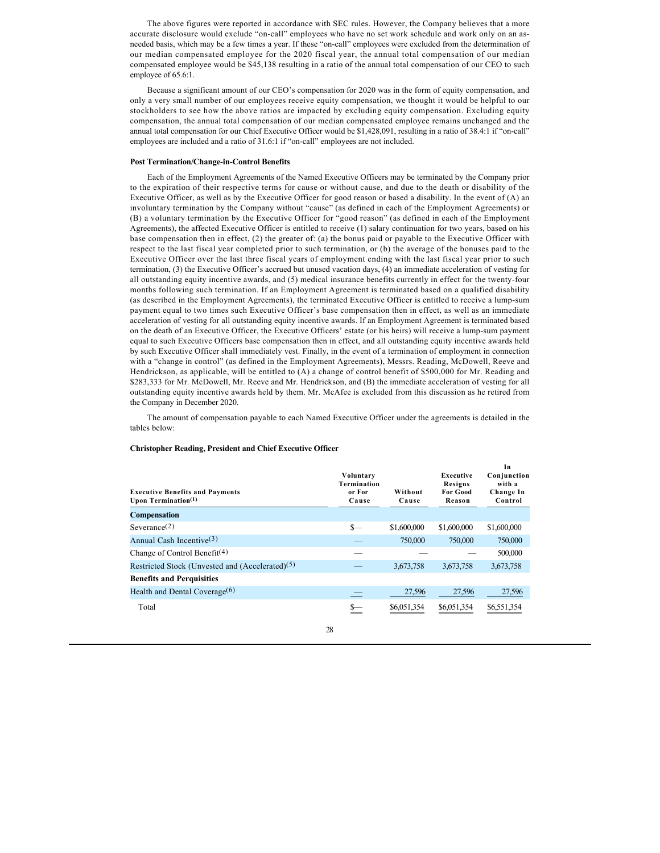The above figures were reported in accordance with SEC rules. However, the Company believes that a more accurate disclosure would exclude "on-call" employees who have no set work schedule and work only on an asneeded basis, which may be a few times a year. If these "on-call" employees were excluded from the determination of our median compensated employee for the 2020 fiscal year, the annual total compensation of our median compensated employee would be \$45,138 resulting in a ratio of the annual total compensation of our CEO to such employee of 65.6:1.

Because a significant amount of our CEO's compensation for 2020 was in the form of equity compensation, and only a very small number of our employees receive equity compensation, we thought it would be helpful to our stockholders to see how the above ratios are impacted by excluding equity compensation. Excluding equity compensation, the annual total compensation of our median compensated employee remains unchanged and the annual total compensation for our Chief Executive Officer would be \$1,428,091, resulting in a ratio of 38.4:1 if "on-call" employees are included and a ratio of 31.6:1 if "on-call" employees are not included.

#### **Post Termination/Change-in-Control Benefits**

Each of the Employment Agreements of the Named Executive Officers may be terminated by the Company prior to the expiration of their respective terms for cause or without cause, and due to the death or disability of the Executive Officer, as well as by the Executive Officer for good reason or based a disability. In the event of (A) an involuntary termination by the Company without "cause" (as defined in each of the Employment Agreements) or (B) a voluntary termination by the Executive Officer for "good reason" (as defined in each of the Employment Agreements), the affected Executive Officer is entitled to receive (1) salary continuation for two years, based on his base compensation then in effect, (2) the greater of: (a) the bonus paid or payable to the Executive Officer with respect to the last fiscal year completed prior to such termination, or (b) the average of the bonuses paid to the Executive Officer over the last three fiscal years of employment ending with the last fiscal year prior to such termination, (3) the Executive Officer's accrued but unused vacation days, (4) an immediate acceleration of vesting for all outstanding equity incentive awards, and (5) medical insurance benefits currently in effect for the twenty-four months following such termination. If an Employment Agreement is terminated based on a qualified disability (as described in the Employment Agreements), the terminated Executive Officer is entitled to receive a lump-sum payment equal to two times such Executive Officer's base compensation then in effect, as well as an immediate acceleration of vesting for all outstanding equity incentive awards. If an Employment Agreement is terminated based on the death of an Executive Officer, the Executive Officers' estate (or his heirs) will receive a lump-sum payment equal to such Executive Officers base compensation then in effect, and all outstanding equity incentive awards held by such Executive Officer shall immediately vest. Finally, in the event of a termination of employment in connection with a "change in control" (as defined in the Employment Agreements), Messrs. Reading, McDowell, Reeve and Hendrickson, as applicable, will be entitled to (A) a change of control benefit of \$500,000 for Mr. Reading and \$283,333 for Mr. McDowell, Mr. Reeve and Mr. Hendrickson, and (B) the immediate acceleration of vesting for all outstanding equity incentive awards held by them. Mr. McAfee is excluded from this discussion as he retired from the Company in December 2020.

The amount of compensation payable to each Named Executive Officer under the agreements is detailed in the tables below:

| <b>Executive Benefits and Payments</b><br>Upon Termination $(1)$ | Voluntary<br>Termination<br>or For<br>Cause | Without<br>Cause | Executive<br>Resigns<br><b>For Good</b><br>Reason | In<br>Conjunction<br>with a<br>Change In<br>Control |
|------------------------------------------------------------------|---------------------------------------------|------------------|---------------------------------------------------|-----------------------------------------------------|
| <b>Compensation</b>                                              |                                             |                  |                                                   |                                                     |
| Severage(2)                                                      | $S-$                                        | \$1,600,000      | \$1,600,000                                       | \$1,600,000                                         |
| Annual Cash Incentive $(3)$                                      |                                             | 750,000          | 750,000                                           | 750,000                                             |
| Change of Control Benefit <sup>(4)</sup>                         |                                             |                  |                                                   | 500,000                                             |
| Restricted Stock (Unvested and (Accelerated) <sup>(5)</sup>      |                                             | 3,673,758        | 3,673,758                                         | 3,673,758                                           |
| <b>Benefits and Perquisities</b>                                 |                                             |                  |                                                   |                                                     |
| Health and Dental Coverage $(6)$                                 |                                             | 27,596           | 27,596                                            | 27,596                                              |
| Total                                                            | <u>s—</u>                                   | \$6,051,354      | \$6,051,354                                       | \$6,551,354                                         |

#### **Christopher Reading, President and Chief Executive Officer**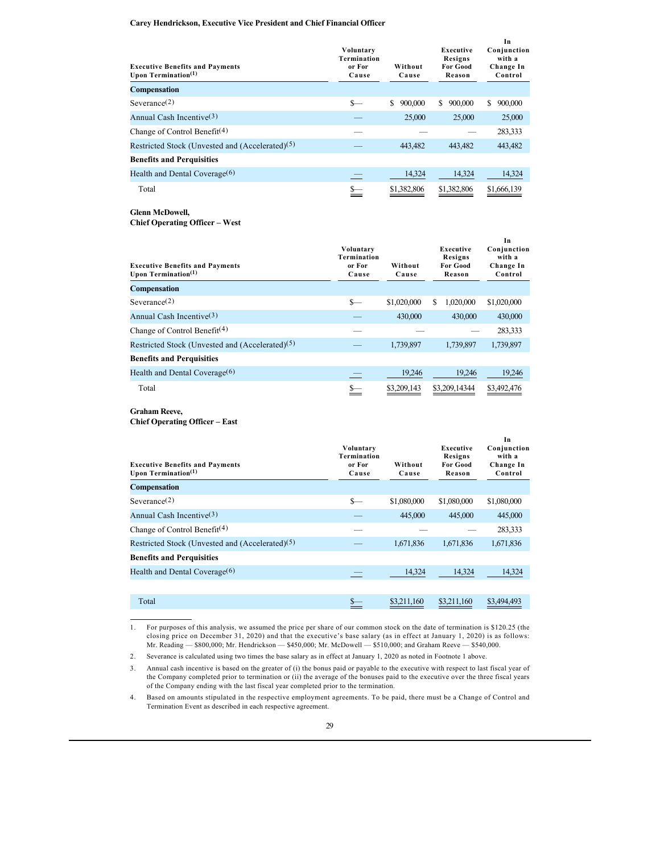### **Carey Hendrickson, Executive Vice President and Chief Financial Officer**

| <b>Executive Benefits and Payments</b><br>Upon Termination $(1)$ | Voluntary<br>Termination<br>or For<br>Cause | Without<br>Cause | Executive<br>Resigns<br><b>For Good</b><br>Reason | In<br>Conjunction<br>with a<br>Change In<br>Control |
|------------------------------------------------------------------|---------------------------------------------|------------------|---------------------------------------------------|-----------------------------------------------------|
| <b>Compensation</b>                                              |                                             |                  |                                                   |                                                     |
| Severance $(2)$                                                  | $\frac{1}{2}$                               | \$.<br>900,000   | S.<br>900,000                                     | 900,000<br>\$                                       |
| Annual Cash Incentive $(3)$                                      |                                             | 25,000           | 25,000                                            | 25,000                                              |
| Change of Control Benefit <sup>(4)</sup>                         |                                             |                  |                                                   | 283,333                                             |
| Restricted Stock (Unvested and (Accelerated) <sup>(5)</sup>      |                                             | 443,482          | 443,482                                           | 443,482                                             |
| <b>Benefits and Perquisities</b>                                 |                                             |                  |                                                   |                                                     |
| Health and Dental Coverage $(6)$                                 |                                             | 14,324           | 14,324                                            | 14,324                                              |
| Total                                                            | s—                                          | \$1,382,806      | \$1,382,806                                       | \$1,666,139                                         |

**Glenn McDowell,** 

**Chief Operating Officer – West**

| <b>Executive Benefits and Payments</b><br>Upon Termination $(1)$ | Voluntary<br>Termination<br>or For<br>Cause | Without<br>Cause | Executive<br>Resigns<br><b>For Good</b><br>Reason | Conjunction<br>with a<br>Change In<br>Control |
|------------------------------------------------------------------|---------------------------------------------|------------------|---------------------------------------------------|-----------------------------------------------|
| <b>Compensation</b>                                              |                                             |                  |                                                   |                                               |
| Severance $(2)$                                                  | S—                                          | \$1,020,000      | S<br>1.020.000                                    | \$1,020,000                                   |
| Annual Cash Incentive $(3)$                                      |                                             | 430,000          | 430,000                                           | 430,000                                       |
| Change of Control Benefit <sup>(4)</sup>                         |                                             |                  |                                                   | 283,333                                       |
| Restricted Stock (Unvested and (Accelerated) <sup>(5)</sup>      |                                             | 1,739,897        | 1,739,897                                         | 1,739,897                                     |
| <b>Benefits and Perquisities</b>                                 |                                             |                  |                                                   |                                               |
| Health and Dental Coverage $(6)$                                 |                                             | 19,246           | 19,246                                            | 19,246                                        |
| Total                                                            | <u>s—</u>                                   | \$3,209,143      | \$3,209,14344                                     | \$3,492,476                                   |

**In** 

**Graham Reeve, Chief Operating Officer – East**

| <b>Executive Benefits and Payments</b><br>Upon Termination $(1)$ | Voluntary<br>Termination<br>or For<br>Cause | Without<br>Cause | Executive<br>Resigns<br><b>For Good</b><br>Reason | In<br>Conjunction<br>with a<br>Change In<br>Control |
|------------------------------------------------------------------|---------------------------------------------|------------------|---------------------------------------------------|-----------------------------------------------------|
| <b>Compensation</b>                                              |                                             |                  |                                                   |                                                     |
| Severance(2)                                                     | $\frac{1}{2}$                               | \$1,080,000      | \$1,080,000                                       | \$1,080,000                                         |
| Annual Cash Incentive $(3)$                                      |                                             | 445,000          | 445,000                                           | 445,000                                             |
| Change of Control Benefit <sup>(4)</sup>                         |                                             |                  |                                                   | 283,333                                             |
| Restricted Stock (Unvested and (Accelerated) <sup>(5)</sup>      |                                             | 1,671,836        | 1,671,836                                         | 1,671,836                                           |
| <b>Benefits and Perquisities</b>                                 |                                             |                  |                                                   |                                                     |
| Health and Dental Coverage $(6)$                                 |                                             | 14,324           | 14.324                                            | 14,324                                              |
|                                                                  |                                             |                  |                                                   |                                                     |
| Total                                                            | \$—                                         | \$3.211,160      | \$3,211,160                                       | \$3,494,493                                         |

1. For purposes of this analysis, we assumed the price per share of our common stock on the date of termination is \$120.25 (the closing price on December 31, 2020) and that the executive's base salary (as in effect at January 1, 2020) is as follows: Mr. Reading — \$800,000; Mr. Hendrickson — \$450,000; Mr. McDowell — \$510,000; and Graham Reeve — \$540,000.

2. Severance is calculated using two times the base salary as in effect at January 1, 2020 as noted in Footnote 1 above.

4. Based on amounts stipulated in the respective employment agreements. To be paid, there must be a Change of Control and Termination Event as described in each respective agreement.

<sup>3.</sup> Annual cash incentive is based on the greater of (i) the bonus paid or payable to the executive with respect to last fiscal year of the Company completed prior to termination or (ii) the average of the bonuses paid to the executive over the three fiscal years of the Company ending with the last fiscal year completed prior to the termination.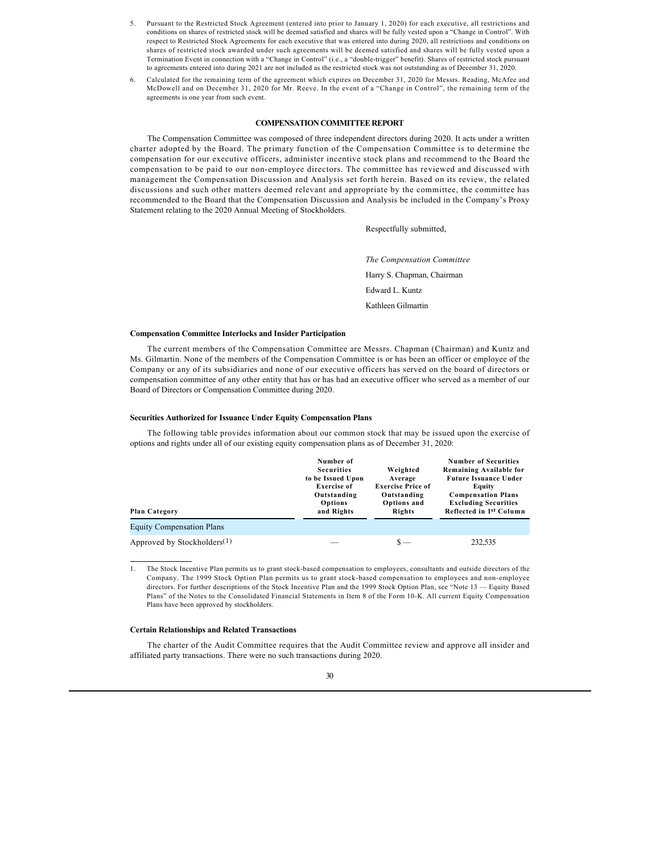- 5. Pursuant to the Restricted Stock Agreement (entered into prior to January 1, 2020) for each executive, all restrictions and conditions on shares of restricted stock will be deemed satisfied and shares will be fully vested upon a "Change in Control". With respect to Restricted Stock Agreements for each executive that was entered into during 2020, all restrictions and conditions on shares of restricted stock awarded under such agreements will be deemed satisfied and shares will be fully vested upon a Termination Event in connection with a "Change in Control" (i.e., a "double-trigger" benefit). Shares of restricted stock pursuant to agreements entered into during 2021 are not included as the restricted stock was not outstanding as of December 31, 2020.
- 6. Calculated for the remaining term of the agreement which expires on December 31, 2020 for Messrs. Reading, McAfee and McDowell and on December 31, 2020 for Mr. Reeve. In the event of a "Change in Control", the remaining term of the agreements is one year from such event.

### **COMPENSATION COMMITTEE REPORT**

The Compensation Committee was composed of three independent directors during 2020. It acts under a written charter adopted by the Board. The primary function of the Compensation Committee is to determine the compensation for our executive officers, administer incentive stock plans and recommend to the Board the compensation to be paid to our non-employee directors. The committee has reviewed and discussed with management the Compensation Discussion and Analysis set forth herein. Based on its review, the related discussions and such other matters deemed relevant and appropriate by the committee, the committee has recommended to the Board that the Compensation Discussion and Analysis be included in the Company's Proxy Statement relating to the 2020 Annual Meeting of Stockholders.

Respectfully submitted,

*The Compensation Committee* Harry S. Chapman, Chairman Edward L. Kuntz Kathleen Gilmartin

#### **Compensation Committee Interlocks and Insider Participation**

The current members of the Compensation Committee are Messrs. Chapman (Chairman) and Kuntz and Ms. Gilmartin. None of the members of the Compensation Committee is or has been an officer or employee of the Company or any of its subsidiaries and none of our executive officers has served on the board of directors or compensation committee of any other entity that has or has had an executive officer who served as a member of our Board of Directors or Compensation Committee during 2020.

#### **Securities Authorized for Issuance Under Equity Compensation Plans**

The following table provides information about our common stock that may be issued upon the exercise of options and rights under all of our existing equity compensation plans as of December 31, 2020:

| <b>Plan Category</b>             | Number of<br><b>Securities</b><br>to be Issued Upon<br><b>Exercise of</b><br>Outstanding<br>Options<br>and Rights | Weighted<br>Average<br><b>Exercise Price of</b><br>Outstanding<br>Options and<br>Rights | <b>Number of Securities</b><br>Remaining Available for<br><b>Future Issuance Under</b><br>Equity<br><b>Compensation Plans</b><br><b>Excluding Securities</b><br>Reflected in 1 <sup>st</sup> Column |
|----------------------------------|-------------------------------------------------------------------------------------------------------------------|-----------------------------------------------------------------------------------------|-----------------------------------------------------------------------------------------------------------------------------------------------------------------------------------------------------|
| <b>Equity Compensation Plans</b> |                                                                                                                   |                                                                                         |                                                                                                                                                                                                     |
| Approved by Stockholders $(1)$   |                                                                                                                   | $s-$                                                                                    | 232,535                                                                                                                                                                                             |

1. The Stock Incentive Plan permits us to grant stock-based compensation to employees, consultants and outside directors of the Company. The 1999 Stock Option Plan permits us to grant stock-based compensation to employees and non-employee directors. For further descriptions of the Stock Incentive Plan and the 1999 Stock Option Plan, see "Note 13 — Equity Based Plans" of the Notes to the Consolidated Financial Statements in Item 8 of the Form 10-K. All current Equity Compensation Plans have been approved by stockholders.

### **Certain Relationships and Related Transactions**

The charter of the Audit Committee requires that the Audit Committee review and approve all insider and affiliated party transactions. There were no such transactions during 2020.

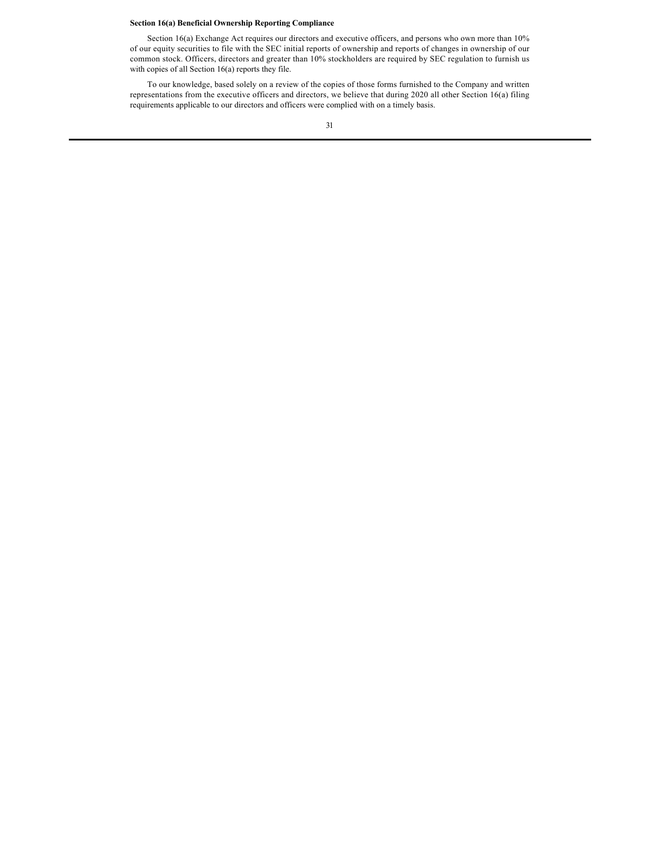## **Section 16(a) Beneficial Ownership Reporting Compliance**

Section 16(a) Exchange Act requires our directors and executive officers, and persons who own more than 10% of our equity securities to file with the SEC initial reports of ownership and reports of changes in ownership of our common stock. Officers, directors and greater than 10% stockholders are required by SEC regulation to furnish us with copies of all Section 16(a) reports they file.

To our knowledge, based solely on a review of the copies of those forms furnished to the Company and written representations from the executive officers and directors, we believe that during 2020 all other Section 16(a) filing requirements applicable to our directors and officers were complied with on a timely basis.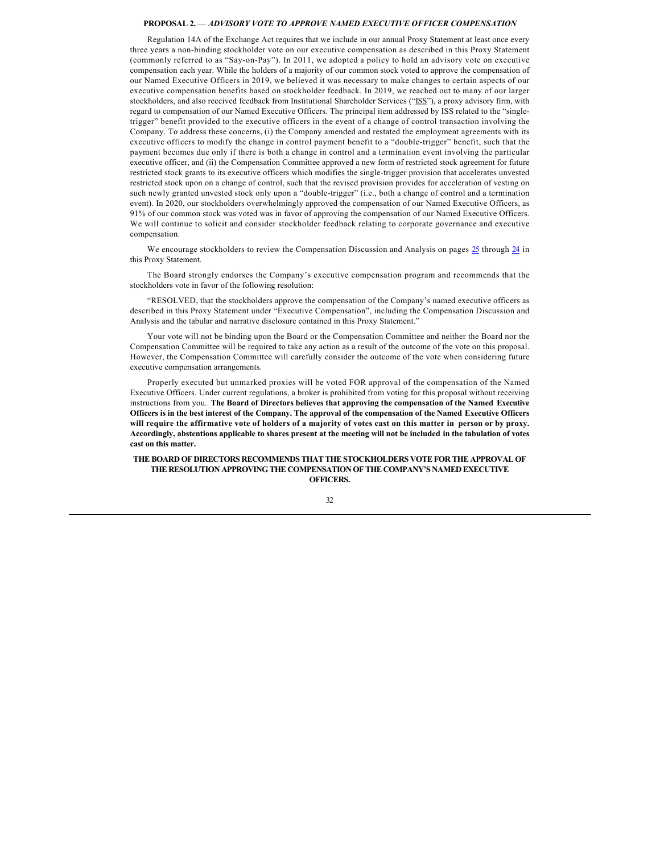### **PROPOSAL 2.** — *ADVISORY VOTE TO APPROVE NAMED EXECUTIVE OFFICER COMPENSATION*

Regulation 14A of the Exchange Act requires that we include in our annual Proxy Statement at least once every three years a non-binding stockholder vote on our executive compensation as described in this Proxy Statement (commonly referred to as "Say-on-Pay"). In 2011, we adopted a policy to hold an advisory vote on executive compensation each year. While the holders of a majority of our common stock voted to approve the compensation of our Named Executive Officers in 2019, we believed it was necessary to make changes to certain aspects of our executive compensation benefits based on stockholder feedback. In 2019, we reached out to many of our larger stockholders, and also received feedback from Institutional Shareholder Services ("ISS"), a proxy advisory firm, with regard to compensation of our Named Executive Officers. The principal item addressed by ISS related to the "singletrigger" benefit provided to the executive officers in the event of a change of control transaction involving the Company. To address these concerns, (i) the Company amended and restated the employment agreements with its executive officers to modify the change in control payment benefit to a "double-trigger" benefit, such that the payment becomes due only if there is both a change in control and a termination event involving the particular executive officer, and (ii) the Compensation Committee approved a new form of restricted stock agreement for future restricted stock grants to its executive officers which modifies the single-trigger provision that accelerates unvested restricted stock upon on a change of control, such that the revised provision provides for acceleration of vesting on such newly granted unvested stock only upon a "double-trigger" (i.e., both a change of control and a termination event). In 2020, our stockholders overwhelmingly approved the compensation of our Named Executive Officers, as 91% of our common stock was voted was in favor of approving the compensation of our Named Executive Officers. We will continue to solicit and consider stockholder feedback relating to corporate governance and executive compensation.

We encourage stockholders to review the Compensation Discussion and Analysis on pages  $25$  through  $24$  in this Proxy Statement.

The Board strongly endorses the Company's executive compensation program and recommends that the stockholders vote in favor of the following resolution:

"RESOLVED, that the stockholders approve the compensation of the Company's named executive officers as described in this Proxy Statement under "Executive Compensation", including the Compensation Discussion and Analysis and the tabular and narrative disclosure contained in this Proxy Statement."

Your vote will not be binding upon the Board or the Compensation Committee and neither the Board nor the Compensation Committee will be required to take any action as a result of the outcome of the vote on this proposal. However, the Compensation Committee will carefully consider the outcome of the vote when considering future executive compensation arrangements.

Properly executed but unmarked proxies will be voted FOR approval of the compensation of the Named Executive Officers. Under current regulations, a broker is prohibited from voting for this proposal without receiving instructions from you. **The Board of Directors believes that approving the compensation of the Named Executive Officers is in the best interest of the Company. The approval of the compensation of the Named Executive Officers will require the affirmative vote of holders of a majority of votes cast on this matter in person or by proxy. Accordingly, abstentions applicable to shares present at the meeting will not be included in the tabulation of votes cast on this matter.**

**THE BOARD OF DIRECTORS RECOMMENDS THAT THE STOCKHOLDERS VOTE FOR THE APPROVAL OF THE RESOLUTION APPROVING THE COMPENSATION OF THE COMPANY'S NAMED EXECUTIVE OFFICERS.**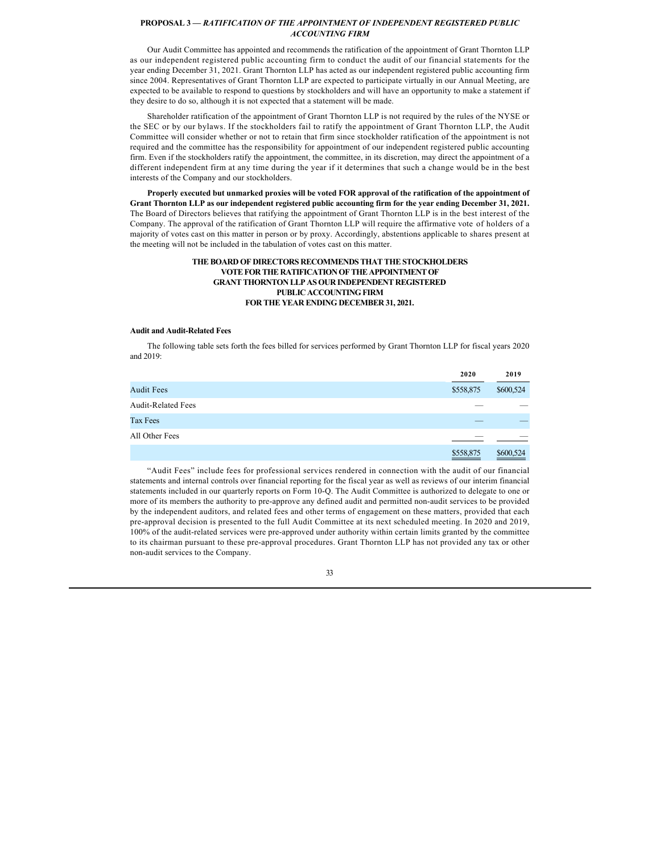### **PROPOSAL 3 —** *RATIFICATION OF THE APPOINTMENT OF INDEPENDENT REGISTERED PUBLIC ACCOUNTING FIRM*

Our Audit Committee has appointed and recommends the ratification of the appointment of Grant Thornton LLP as our independent registered public accounting firm to conduct the audit of our financial statements for the year ending December 31, 2021. Grant Thornton LLP has acted as our independent registered public accounting firm since 2004. Representatives of Grant Thornton LLP are expected to participate virtually in our Annual Meeting, are expected to be available to respond to questions by stockholders and will have an opportunity to make a statement if they desire to do so, although it is not expected that a statement will be made.

Shareholder ratification of the appointment of Grant Thornton LLP is not required by the rules of the NYSE or the SEC or by our bylaws. If the stockholders fail to ratify the appointment of Grant Thornton LLP, the Audit Committee will consider whether or not to retain that firm since stockholder ratification of the appointment is not required and the committee has the responsibility for appointment of our independent registered public accounting firm. Even if the stockholders ratify the appointment, the committee, in its discretion, may direct the appointment of a different independent firm at any time during the year if it determines that such a change would be in the best interests of the Company and our stockholders.

**Properly executed but unmarked proxies will be voted FOR approval of the ratification of the appointment of Grant Thornton LLP as our independent registered public accounting firm for the year ending December 31, 2021.** The Board of Directors believes that ratifying the appointment of Grant Thornton LLP is in the best interest of the Company. The approval of the ratification of Grant Thornton LLP will require the affirmative vote of holders of a majority of votes cast on this matter in person or by proxy. Accordingly, abstentions applicable to shares present at the meeting will not be included in the tabulation of votes cast on this matter.

### **THE BOARD OF DIRECTORS RECOMMENDS THAT THE STOCKHOLDERS VOTE FOR THE RATIFICATION OF THE APPOINTMENT OF GRANT THORNTON LLP AS OUR INDEPENDENT REGISTERED PUBLIC ACCOUNTING FIRM FOR THE YEAR ENDING DECEMBER 31, 2021.**

### **Audit and Audit-Related Fees**

The following table sets forth the fees billed for services performed by Grant Thornton LLP for fiscal years 2020 and 2019:

|                           | 2020      | 2019      |
|---------------------------|-----------|-----------|
| <b>Audit Fees</b>         | \$558,875 | \$600,524 |
| <b>Audit-Related Fees</b> |           |           |
| Tax Fees                  |           |           |
| All Other Fees            |           |           |
|                           | \$558,875 | \$600,524 |

"Audit Fees" include fees for professional services rendered in connection with the audit of our financial statements and internal controls over financial reporting for the fiscal year as well as reviews of our interim financial statements included in our quarterly reports on Form 10-Q. The Audit Committee is authorized to delegate to one or more of its members the authority to pre-approve any defined audit and permitted non-audit services to be provided by the independent auditors, and related fees and other terms of engagement on these matters, provided that each pre-approval decision is presented to the full Audit Committee at its next scheduled meeting. In 2020 and 2019, 100% of the audit-related services were pre-approved under authority within certain limits granted by the committee to its chairman pursuant to these pre-approval procedures. Grant Thornton LLP has not provided any tax or other non-audit services to the Company.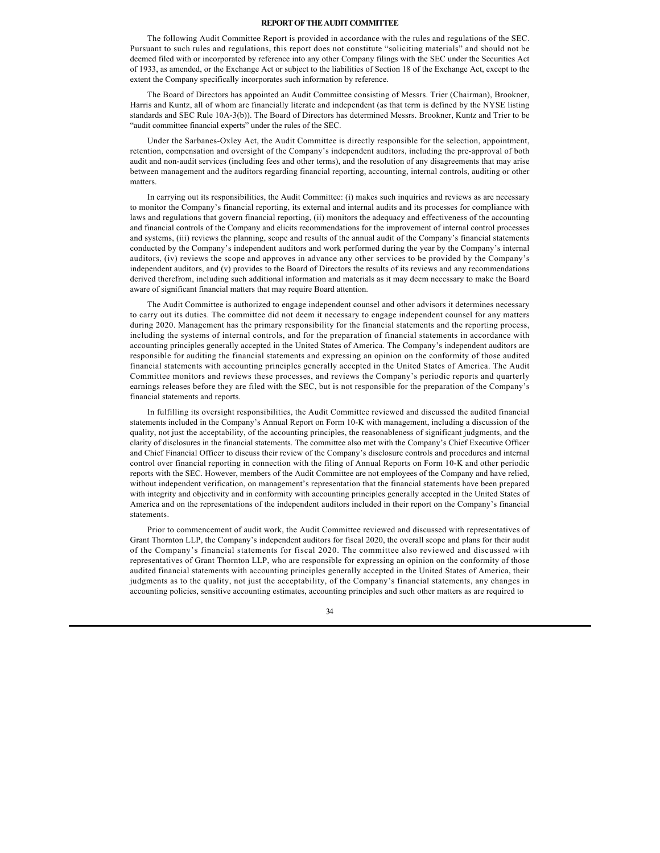### **REPORT OF THE AUDIT COMMITTEE**

The following Audit Committee Report is provided in accordance with the rules and regulations of the SEC. Pursuant to such rules and regulations, this report does not constitute "soliciting materials" and should not be deemed filed with or incorporated by reference into any other Company filings with the SEC under the Securities Act of 1933, as amended, or the Exchange Act or subject to the liabilities of Section 18 of the Exchange Act, except to the extent the Company specifically incorporates such information by reference.

The Board of Directors has appointed an Audit Committee consisting of Messrs. Trier (Chairman), Brookner, Harris and Kuntz, all of whom are financially literate and independent (as that term is defined by the NYSE listing standards and SEC Rule 10A-3(b)). The Board of Directors has determined Messrs. Brookner, Kuntz and Trier to be "audit committee financial experts" under the rules of the SEC.

Under the Sarbanes-Oxley Act, the Audit Committee is directly responsible for the selection, appointment, retention, compensation and oversight of the Company's independent auditors, including the pre-approval of both audit and non-audit services (including fees and other terms), and the resolution of any disagreements that may arise between management and the auditors regarding financial reporting, accounting, internal controls, auditing or other matters.

In carrying out its responsibilities, the Audit Committee: (i) makes such inquiries and reviews as are necessary to monitor the Company's financial reporting, its external and internal audits and its processes for compliance with laws and regulations that govern financial reporting, (ii) monitors the adequacy and effectiveness of the accounting and financial controls of the Company and elicits recommendations for the improvement of internal control processes and systems, (iii) reviews the planning, scope and results of the annual audit of the Company's financial statements conducted by the Company's independent auditors and work performed during the year by the Company's internal auditors, (iv) reviews the scope and approves in advance any other services to be provided by the Company's independent auditors, and (v) provides to the Board of Directors the results of its reviews and any recommendations derived therefrom, including such additional information and materials as it may deem necessary to make the Board aware of significant financial matters that may require Board attention.

The Audit Committee is authorized to engage independent counsel and other advisors it determines necessary to carry out its duties. The committee did not deem it necessary to engage independent counsel for any matters during 2020. Management has the primary responsibility for the financial statements and the reporting process, including the systems of internal controls, and for the preparation of financial statements in accordance with accounting principles generally accepted in the United States of America. The Company's independent auditors are responsible for auditing the financial statements and expressing an opinion on the conformity of those audited financial statements with accounting principles generally accepted in the United States of America. The Audit Committee monitors and reviews these processes, and reviews the Company's periodic reports and quarterly earnings releases before they are filed with the SEC, but is not responsible for the preparation of the Company's financial statements and reports.

In fulfilling its oversight responsibilities, the Audit Committee reviewed and discussed the audited financial statements included in the Company's Annual Report on Form 10-K with management, including a discussion of the quality, not just the acceptability, of the accounting principles, the reasonableness of significant judgments, and the clarity of disclosures in the financial statements. The committee also met with the Company's Chief Executive Officer and Chief Financial Officer to discuss their review of the Company's disclosure controls and procedures and internal control over financial reporting in connection with the filing of Annual Reports on Form 10-K and other periodic reports with the SEC. However, members of the Audit Committee are not employees of the Company and have relied, without independent verification, on management's representation that the financial statements have been prepared with integrity and objectivity and in conformity with accounting principles generally accepted in the United States of America and on the representations of the independent auditors included in their report on the Company's financial statements.

Prior to commencement of audit work, the Audit Committee reviewed and discussed with representatives of Grant Thornton LLP, the Company's independent auditors for fiscal 2020, the overall scope and plans for their audit of the Company's financial statements for fiscal 2020. The committee also reviewed and discussed with representatives of Grant Thornton LLP, who are responsible for expressing an opinion on the conformity of those audited financial statements with accounting principles generally accepted in the United States of America, their judgments as to the quality, not just the acceptability, of the Company's financial statements, any changes in accounting policies, sensitive accounting estimates, accounting principles and such other matters as are required to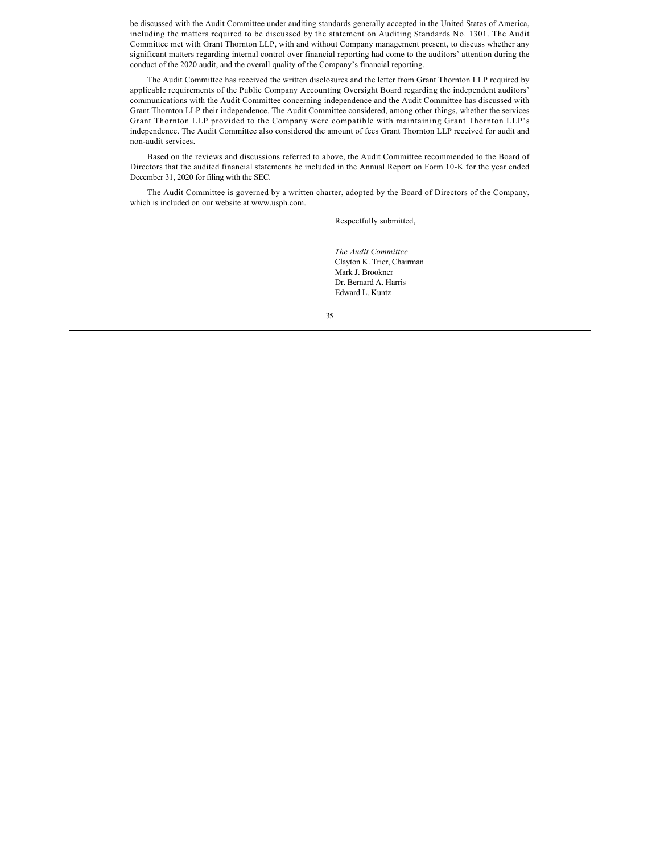be discussed with the Audit Committee under auditing standards generally accepted in the United States of America, including the matters required to be discussed by the statement on Auditing Standards No. 1301. The Audit Committee met with Grant Thornton LLP, with and without Company management present, to discuss whether any significant matters regarding internal control over financial reporting had come to the auditors' attention during the conduct of the 2020 audit, and the overall quality of the Company's financial reporting.

The Audit Committee has received the written disclosures and the letter from Grant Thornton LLP required by applicable requirements of the Public Company Accounting Oversight Board regarding the independent auditors' communications with the Audit Committee concerning independence and the Audit Committee has discussed with Grant Thornton LLP their independence. The Audit Committee considered, among other things, whether the services Grant Thornton LLP provided to the Company were compatible with maintaining Grant Thornton LLP's independence. The Audit Committee also considered the amount of fees Grant Thornton LLP received for audit and non-audit services.

Based on the reviews and discussions referred to above, the Audit Committee recommended to the Board of Directors that the audited financial statements be included in the Annual Report on Form 10-K for the year ended December 31, 2020 for filing with the SEC.

The Audit Committee is governed by a written charter, adopted by the Board of Directors of the Company, which is included on our website at www.usph.com.

Respectfully submitted,

*The Audit Committee* Clayton K. Trier, Chairman Mark J. Brookner Dr. Bernard A. Harris Edward L. Kuntz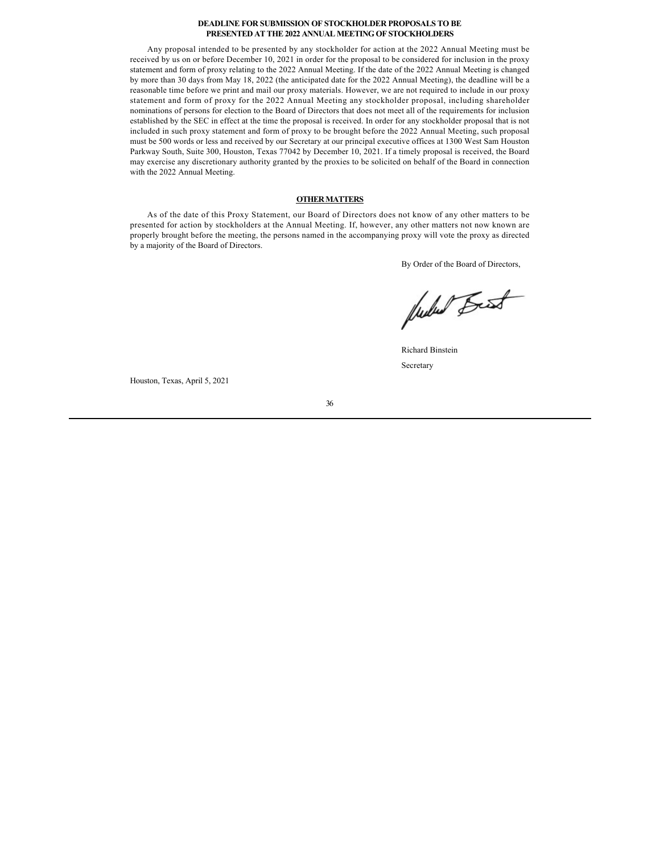### **DEADLINE FOR SUBMISSION OF STOCKHOLDER PROPOSALS TO BE PRESENTED AT THE 2022 ANNUAL MEETING OF STOCKHOLDERS**

Any proposal intended to be presented by any stockholder for action at the 2022 Annual Meeting must be received by us on or before December 10, 2021 in order for the proposal to be considered for inclusion in the proxy statement and form of proxy relating to the 2022 Annual Meeting. If the date of the 2022 Annual Meeting is changed by more than 30 days from May 18, 2022 (the anticipated date for the 2022 Annual Meeting), the deadline will be a reasonable time before we print and mail our proxy materials. However, we are not required to include in our proxy statement and form of proxy for the 2022 Annual Meeting any stockholder proposal, including shareholder nominations of persons for election to the Board of Directors that does not meet all of the requirements for inclusion established by the SEC in effect at the time the proposal is received. In order for any stockholder proposal that is not included in such proxy statement and form of proxy to be brought before the 2022 Annual Meeting, such proposal must be 500 words or less and received by our Secretary at our principal executive offices at 1300 West Sam Houston Parkway South, Suite 300, Houston, Texas 77042 by December 10, 2021. If a timely proposal is received, the Board may exercise any discretionary authority granted by the proxies to be solicited on behalf of the Board in connection with the 2022 Annual Meeting.

### **OTHER MATTERS**

As of the date of this Proxy Statement, our Board of Directors does not know of any other matters to be presented for action by stockholders at the Annual Meeting. If, however, any other matters not now known are properly brought before the meeting, the persons named in the accompanying proxy will vote the proxy as directed by a majority of the Board of Directors.

By Order of the Board of Directors,

fuctured Best

Richard Binstein Secretary

Houston, Texas, April 5, 2021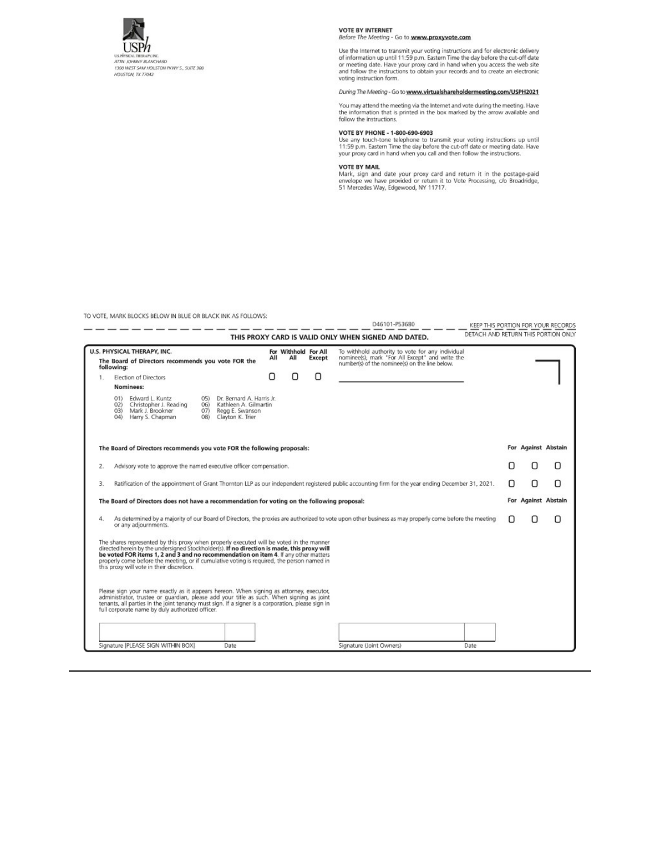

VOTE BY INTERNET<br>Before The Meeting - Go to www.proxyvote.com

Use the Internet to transmit your voting instructions and for electronic delivery of information up until 11:59 p.m. Eastern Time the day before the cut-off date or meeting date. Have your proxy card in hand when you acce voting instruction form.

### During The Meeting - Go to www.virtualshareholdermeeting.com/USPH2021

You may attend the meeting via the Internet and vote during the meeting. Have the information that is printed in the box marked by the arrow available and follow the instructions.

VOTE BY PHONE - 1-800-690-6903<br>Use any touch-tone telephone to transmit your voting instructions up until<br>11:59 p.m. Eastern Time the day before the cut-off date or meeting date. Have<br>your proxy card in hand when you call

VOTE BY MAIL<br>Mark, sign and date your proxy card and return it in the postage-paid<br>envelope we have provided or return it to Vote Processing, c/o Broadridge,<br>51 Mercedes Way, Edgewood, NY 11717.

TO VOTE, MARK BLOCKS BELOW IN BLUE OR BLACK INK AS FOLLOWS:

| DETACH AND RETURN THIS PORTION ONLY<br>THIS PROXY CARD IS VALID ONLY WHEN SIGNED AND DATED.<br>U.S. PHYSICAL THERAPY, INC.<br>For Withhold For All<br>To withhold authority to vote for any individual<br>nominee(s), mark 'For All Except" and write the<br>All<br>АII<br>Except<br>The Board of Directors recommends you vote FOR the<br>number(s) of the nominee(s) on the line below.<br>following:<br>O<br>U<br>Election of Directors<br>П<br>1.<br>Nominees:<br>Edward L. Kuntz<br>Dr. Bernard A. Harris Jr.<br>05)<br>01<br>Kathleen A. Gilmartin<br>Christopher J. Reading<br>02)<br>06)<br>Mark J. Brookner<br>07) Regg E. Swanson<br>O3)<br>Harry S. Chapman<br>Clayton K. Trier<br>04<br>(8)<br>For Against Abstain<br>The Board of Directors recommends you vote FOR the following proposals:<br>Advisory vote to approve the named executive officer compensation.<br>z.<br>Ratification of the appointment of Grant Thornton LLP as our independent registered public accounting firm for the year ending December 31, 2021.<br>n<br>3.<br>For Against Abstain<br>The Board of Directors does not have a recommendation for voting on the following proposal:<br>As determined by a majority of our Board of Directors, the proxies are authorized to vote upon other business as may properly come before the meeting<br>4.<br>or any adjournments.<br>The shares represented by this proxy when properly executed will be voted in the manner<br>directed herein by the undersigned Stockholder(s). If no direction is made, this proxy will<br>be voted FOR items 1, 2 and 3 and no recommendation on item 4. If any other matters<br>properly come before the meeting, or if cumulative voting is required, the person named in<br>this proxy will vote in their discretion.<br>Please sign your name exactly as it appears hereon. When signing as attorney, executor,<br>administrator, trustee or quardian, please add your title as such. When signing as joint<br>tenants, all parties in the joint tenancy must sign. If a signer is a corporation, please sign in |   |   | KEEP THIS PORTION FOR YOUR RECORDS | D46101-P53680 |  |  |  |  |  |
|--------------------------------------------------------------------------------------------------------------------------------------------------------------------------------------------------------------------------------------------------------------------------------------------------------------------------------------------------------------------------------------------------------------------------------------------------------------------------------------------------------------------------------------------------------------------------------------------------------------------------------------------------------------------------------------------------------------------------------------------------------------------------------------------------------------------------------------------------------------------------------------------------------------------------------------------------------------------------------------------------------------------------------------------------------------------------------------------------------------------------------------------------------------------------------------------------------------------------------------------------------------------------------------------------------------------------------------------------------------------------------------------------------------------------------------------------------------------------------------------------------------------------------------------------------------------------------------------------------------------------------------------------------------------------------------------------------------------------------------------------------------------------------------------------------------------------------------------------------------------------------------------------------------------------------------------------------------------------------------------------------------------------------------------------------------------------------------------|---|---|------------------------------------|---------------|--|--|--|--|--|
|                                                                                                                                                                                                                                                                                                                                                                                                                                                                                                                                                                                                                                                                                                                                                                                                                                                                                                                                                                                                                                                                                                                                                                                                                                                                                                                                                                                                                                                                                                                                                                                                                                                                                                                                                                                                                                                                                                                                                                                                                                                                                            |   |   |                                    |               |  |  |  |  |  |
|                                                                                                                                                                                                                                                                                                                                                                                                                                                                                                                                                                                                                                                                                                                                                                                                                                                                                                                                                                                                                                                                                                                                                                                                                                                                                                                                                                                                                                                                                                                                                                                                                                                                                                                                                                                                                                                                                                                                                                                                                                                                                            |   |   |                                    |               |  |  |  |  |  |
|                                                                                                                                                                                                                                                                                                                                                                                                                                                                                                                                                                                                                                                                                                                                                                                                                                                                                                                                                                                                                                                                                                                                                                                                                                                                                                                                                                                                                                                                                                                                                                                                                                                                                                                                                                                                                                                                                                                                                                                                                                                                                            |   |   |                                    |               |  |  |  |  |  |
|                                                                                                                                                                                                                                                                                                                                                                                                                                                                                                                                                                                                                                                                                                                                                                                                                                                                                                                                                                                                                                                                                                                                                                                                                                                                                                                                                                                                                                                                                                                                                                                                                                                                                                                                                                                                                                                                                                                                                                                                                                                                                            |   |   |                                    |               |  |  |  |  |  |
|                                                                                                                                                                                                                                                                                                                                                                                                                                                                                                                                                                                                                                                                                                                                                                                                                                                                                                                                                                                                                                                                                                                                                                                                                                                                                                                                                                                                                                                                                                                                                                                                                                                                                                                                                                                                                                                                                                                                                                                                                                                                                            |   |   |                                    |               |  |  |  |  |  |
|                                                                                                                                                                                                                                                                                                                                                                                                                                                                                                                                                                                                                                                                                                                                                                                                                                                                                                                                                                                                                                                                                                                                                                                                                                                                                                                                                                                                                                                                                                                                                                                                                                                                                                                                                                                                                                                                                                                                                                                                                                                                                            |   |   |                                    |               |  |  |  |  |  |
|                                                                                                                                                                                                                                                                                                                                                                                                                                                                                                                                                                                                                                                                                                                                                                                                                                                                                                                                                                                                                                                                                                                                                                                                                                                                                                                                                                                                                                                                                                                                                                                                                                                                                                                                                                                                                                                                                                                                                                                                                                                                                            | n | n |                                    |               |  |  |  |  |  |
|                                                                                                                                                                                                                                                                                                                                                                                                                                                                                                                                                                                                                                                                                                                                                                                                                                                                                                                                                                                                                                                                                                                                                                                                                                                                                                                                                                                                                                                                                                                                                                                                                                                                                                                                                                                                                                                                                                                                                                                                                                                                                            | n | n |                                    |               |  |  |  |  |  |
|                                                                                                                                                                                                                                                                                                                                                                                                                                                                                                                                                                                                                                                                                                                                                                                                                                                                                                                                                                                                                                                                                                                                                                                                                                                                                                                                                                                                                                                                                                                                                                                                                                                                                                                                                                                                                                                                                                                                                                                                                                                                                            |   |   |                                    |               |  |  |  |  |  |
|                                                                                                                                                                                                                                                                                                                                                                                                                                                                                                                                                                                                                                                                                                                                                                                                                                                                                                                                                                                                                                                                                                                                                                                                                                                                                                                                                                                                                                                                                                                                                                                                                                                                                                                                                                                                                                                                                                                                                                                                                                                                                            |   |   |                                    |               |  |  |  |  |  |
|                                                                                                                                                                                                                                                                                                                                                                                                                                                                                                                                                                                                                                                                                                                                                                                                                                                                                                                                                                                                                                                                                                                                                                                                                                                                                                                                                                                                                                                                                                                                                                                                                                                                                                                                                                                                                                                                                                                                                                                                                                                                                            |   |   |                                    |               |  |  |  |  |  |
| full corporate name by duly authorized officer.                                                                                                                                                                                                                                                                                                                                                                                                                                                                                                                                                                                                                                                                                                                                                                                                                                                                                                                                                                                                                                                                                                                                                                                                                                                                                                                                                                                                                                                                                                                                                                                                                                                                                                                                                                                                                                                                                                                                                                                                                                            |   |   |                                    |               |  |  |  |  |  |
|                                                                                                                                                                                                                                                                                                                                                                                                                                                                                                                                                                                                                                                                                                                                                                                                                                                                                                                                                                                                                                                                                                                                                                                                                                                                                                                                                                                                                                                                                                                                                                                                                                                                                                                                                                                                                                                                                                                                                                                                                                                                                            |   |   |                                    |               |  |  |  |  |  |
| Signature [PLEASE SIGN WITHIN BOX]<br>Signature (Joint Owners)<br>Date<br>Date                                                                                                                                                                                                                                                                                                                                                                                                                                                                                                                                                                                                                                                                                                                                                                                                                                                                                                                                                                                                                                                                                                                                                                                                                                                                                                                                                                                                                                                                                                                                                                                                                                                                                                                                                                                                                                                                                                                                                                                                             |   |   |                                    |               |  |  |  |  |  |